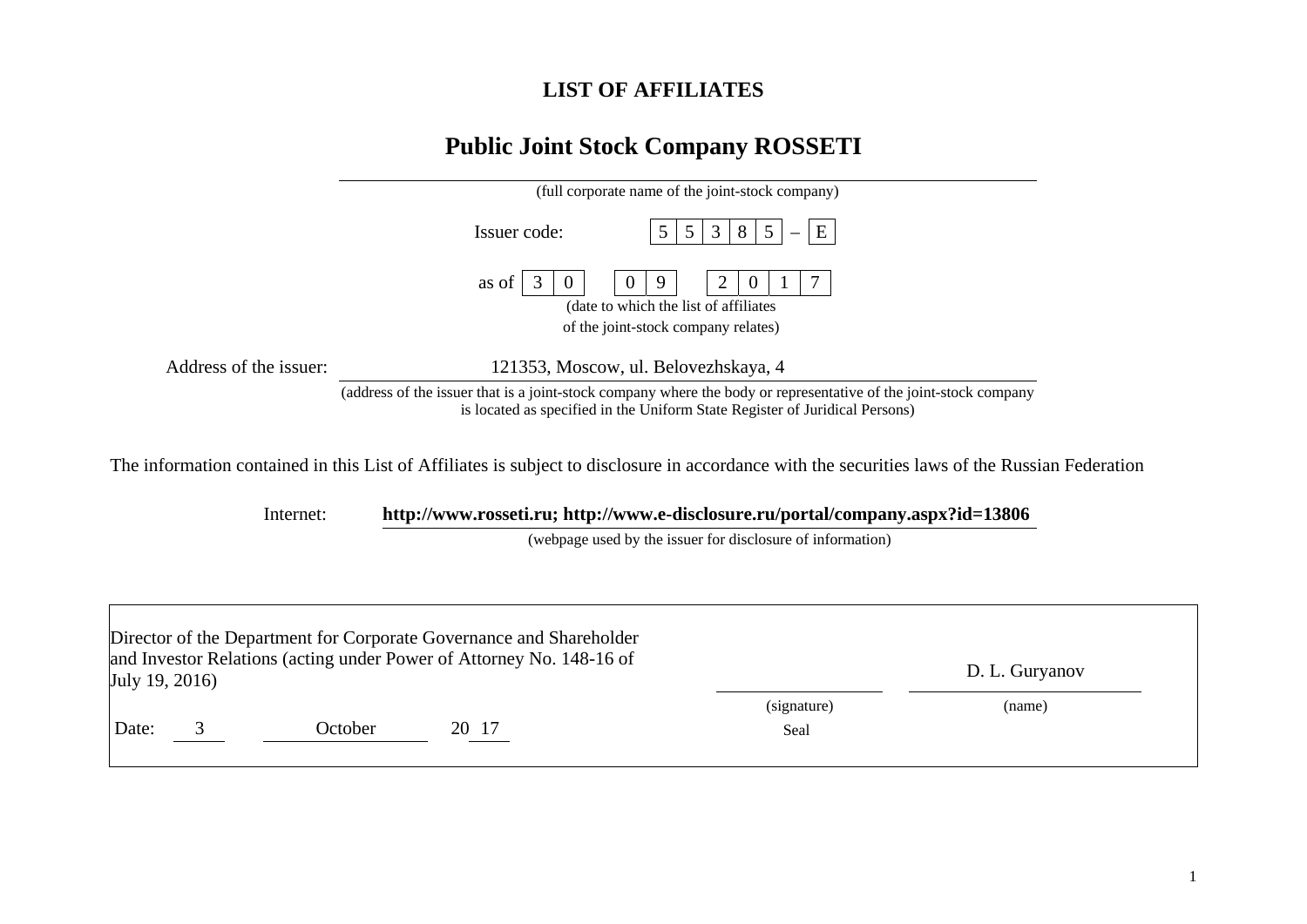## **LIST OF AFFILIATES**

## **Public Joint Stock Company ROSSETI**

|                        | (full corporate name of the joint-stock company)                                                                                                                                                |
|------------------------|-------------------------------------------------------------------------------------------------------------------------------------------------------------------------------------------------|
|                        | Issuer code:<br>3<br>E<br>5 <sup>5</sup><br>8<br>5<br>5                                                                                                                                         |
|                        | 3<br>as of<br>7<br>2<br>$\theta$<br>9<br>$\theta$<br>(date to which the list of affiliates<br>of the joint-stock company relates)                                                               |
| Address of the issuer: | 121353, Moscow, ul. Belovezhskaya, 4                                                                                                                                                            |
|                        | (address of the issuer that is a joint-stock company where the body or representative of the joint-stock company<br>is located as specified in the Uniform State Register of Juridical Persons) |
|                        | The information contained in this List of Affiliates is subject to disclosure in accordance with the securities laws of the Russian Federation                                                  |
| Internet:              | http://www.rosseti.ru; http://www.e-disclosure.ru/portal/company.aspx?id=13806                                                                                                                  |
|                        | (webpage used by the issuer for disclosure of information)                                                                                                                                      |
|                        |                                                                                                                                                                                                 |
|                        |                                                                                                                                                                                                 |
|                        | Director of the Department for Corporate Governance and Shareholder                                                                                                                             |
|                        | and Investor Relations (acting under Power of Attorney No. 148-16 of<br>$\mathbf{D}$ I $\mathbf{C}_{\text{univ>2}$                                                                              |

| July 19, 2016) |         | $\frac{1}{2}$ and $\frac{1}{2}$ are responsible (we can be considered by $\frac{1}{2}$ and $\frac{1}{2}$ and $\frac{1}{2}$ are $\frac{1}{2}$ |                     | D. L. Guryanov |  |
|----------------|---------|----------------------------------------------------------------------------------------------------------------------------------------------|---------------------|----------------|--|
| Date:<br>ັ     | October | 20<br>-17                                                                                                                                    | (signature)<br>Seal | (name)         |  |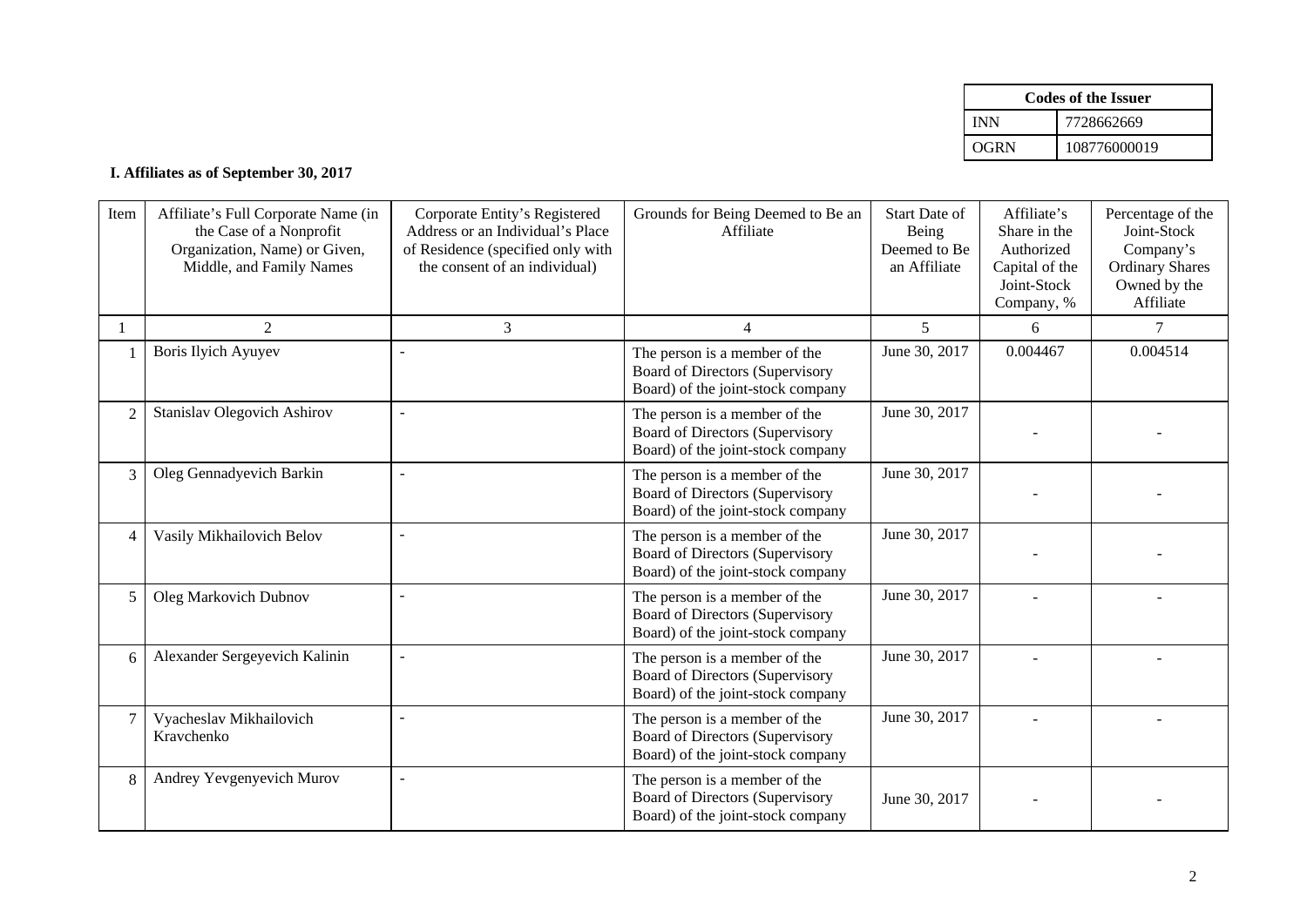|      | Codes of the Issuer |
|------|---------------------|
| INN  | 7728662669          |
| OGRN | 108776000019        |

## **I. Affiliates as of September 30, 2017**

| Item           | Affiliate's Full Corporate Name (in<br>the Case of a Nonprofit<br>Organization, Name) or Given,<br>Middle, and Family Names | Corporate Entity's Registered<br>Address or an Individual's Place<br>of Residence (specified only with<br>the consent of an individual) | Grounds for Being Deemed to Be an<br>Affiliate                                                               | <b>Start Date of</b><br>Being<br>Deemed to Be<br>an Affiliate | Affiliate's<br>Share in the<br>Authorized<br>Capital of the<br>Joint-Stock<br>Company, % | Percentage of the<br>Joint-Stock<br>Company's<br><b>Ordinary Shares</b><br>Owned by the<br>Affiliate |
|----------------|-----------------------------------------------------------------------------------------------------------------------------|-----------------------------------------------------------------------------------------------------------------------------------------|--------------------------------------------------------------------------------------------------------------|---------------------------------------------------------------|------------------------------------------------------------------------------------------|------------------------------------------------------------------------------------------------------|
|                | 2                                                                                                                           | 3                                                                                                                                       | $\overline{4}$                                                                                               | 5                                                             | 6                                                                                        | 7                                                                                                    |
|                | <b>Boris Ilyich Ayuyev</b>                                                                                                  |                                                                                                                                         | The person is a member of the<br><b>Board of Directors (Supervisory</b><br>Board) of the joint-stock company | June 30, 2017                                                 | 0.004467                                                                                 | 0.004514                                                                                             |
| $\overline{2}$ | <b>Stanislav Olegovich Ashirov</b>                                                                                          |                                                                                                                                         | The person is a member of the<br><b>Board of Directors (Supervisory</b><br>Board) of the joint-stock company | June 30, 2017                                                 |                                                                                          |                                                                                                      |
| 3              | Oleg Gennadyevich Barkin                                                                                                    | $\overline{a}$                                                                                                                          | The person is a member of the<br><b>Board of Directors (Supervisory</b><br>Board) of the joint-stock company | June 30, 2017                                                 |                                                                                          |                                                                                                      |
| $\overline{4}$ | Vasily Mikhailovich Belov                                                                                                   |                                                                                                                                         | The person is a member of the<br><b>Board of Directors (Supervisory</b><br>Board) of the joint-stock company | June 30, 2017                                                 |                                                                                          |                                                                                                      |
| 5              | <b>Oleg Markovich Dubnov</b>                                                                                                |                                                                                                                                         | The person is a member of the<br><b>Board of Directors (Supervisory</b><br>Board) of the joint-stock company | June 30, 2017                                                 |                                                                                          |                                                                                                      |
| 6              | Alexander Sergeyevich Kalinin                                                                                               | $\overline{\phantom{a}}$                                                                                                                | The person is a member of the<br>Board of Directors (Supervisory<br>Board) of the joint-stock company        | June 30, 2017                                                 |                                                                                          |                                                                                                      |
| $\tau$         | Vyacheslav Mikhailovich<br>Kravchenko                                                                                       |                                                                                                                                         | The person is a member of the<br><b>Board of Directors (Supervisory</b><br>Board) of the joint-stock company | June 30, 2017                                                 |                                                                                          |                                                                                                      |
| 8              | Andrey Yevgenyevich Murov                                                                                                   | $\blacksquare$                                                                                                                          | The person is a member of the<br><b>Board of Directors (Supervisory</b><br>Board) of the joint-stock company | June 30, 2017                                                 |                                                                                          |                                                                                                      |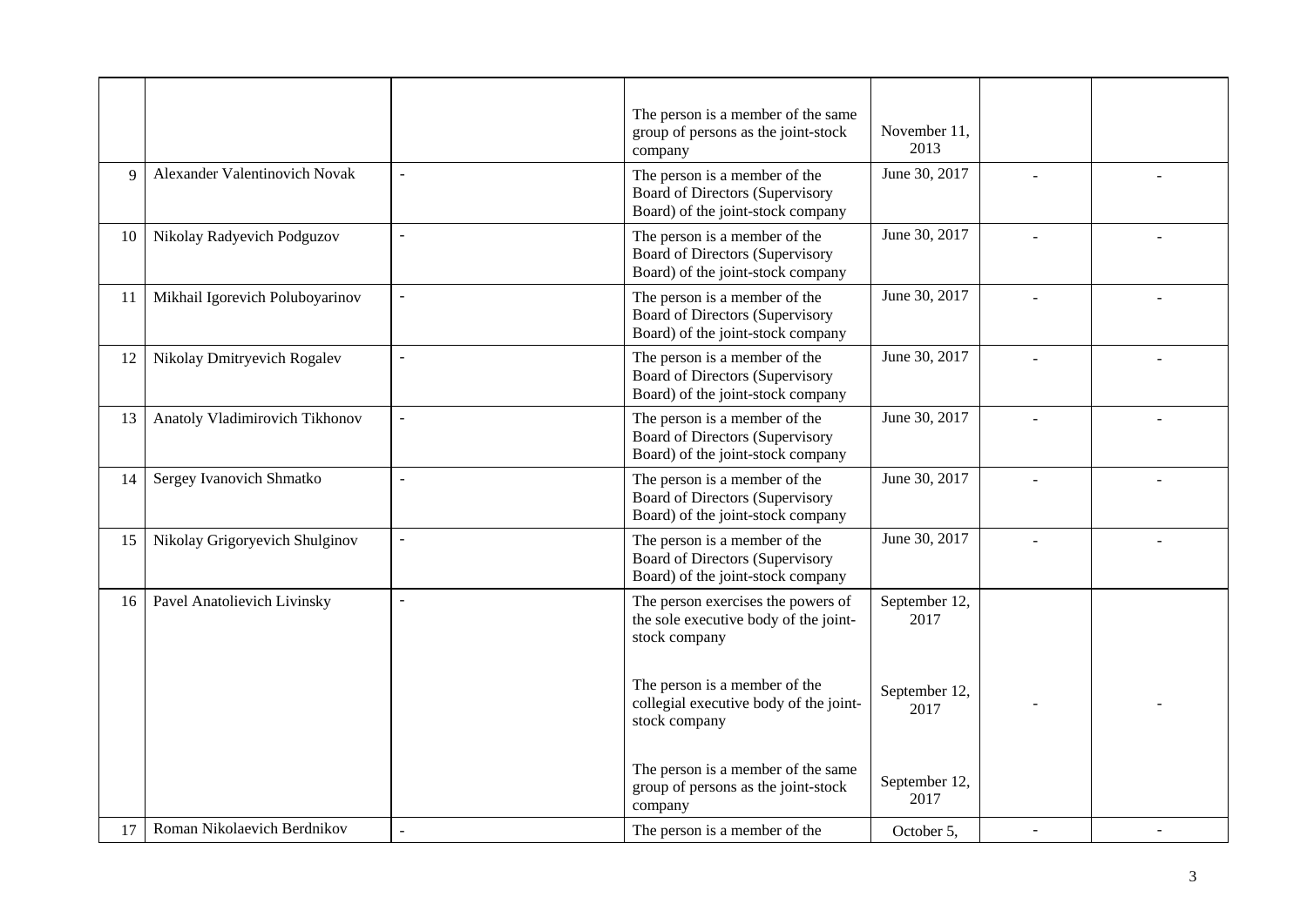|    |                                 |                          | The person is a member of the same<br>group of persons as the joint-stock<br>company                         | November 11,<br>2013  |  |
|----|---------------------------------|--------------------------|--------------------------------------------------------------------------------------------------------------|-----------------------|--|
| 9  | Alexander Valentinovich Novak   | $\overline{\phantom{a}}$ | The person is a member of the<br>Board of Directors (Supervisory<br>Board) of the joint-stock company        | June 30, 2017         |  |
| 10 | Nikolay Radyevich Podguzov      | $\overline{a}$           | The person is a member of the<br>Board of Directors (Supervisory<br>Board) of the joint-stock company        | June 30, 2017         |  |
| 11 | Mikhail Igorevich Poluboyarinov | $\overline{a}$           | The person is a member of the<br>Board of Directors (Supervisory<br>Board) of the joint-stock company        | June 30, 2017         |  |
| 12 | Nikolay Dmitryevich Rogalev     | $\overline{a}$           | The person is a member of the<br>Board of Directors (Supervisory<br>Board) of the joint-stock company        | June 30, 2017         |  |
| 13 | Anatoly Vladimirovich Tikhonov  | $\overline{\phantom{a}}$ | The person is a member of the<br><b>Board of Directors (Supervisory</b><br>Board) of the joint-stock company | June 30, 2017         |  |
| 14 | Sergey Ivanovich Shmatko        | $\overline{a}$           | The person is a member of the<br>Board of Directors (Supervisory<br>Board) of the joint-stock company        | June 30, 2017         |  |
| 15 | Nikolay Grigoryevich Shulginov  | $\overline{a}$           | The person is a member of the<br>Board of Directors (Supervisory<br>Board) of the joint-stock company        | June 30, 2017         |  |
| 16 | Pavel Anatolievich Livinsky     | $\overline{\phantom{a}}$ | The person exercises the powers of<br>the sole executive body of the joint-<br>stock company                 | September 12,<br>2017 |  |
|    |                                 |                          | The person is a member of the<br>collegial executive body of the joint-<br>stock company                     | September 12,<br>2017 |  |
|    |                                 |                          | The person is a member of the same<br>group of persons as the joint-stock<br>company                         | September 12,<br>2017 |  |
| 17 | Roman Nikolaevich Berdnikov     |                          | The person is a member of the                                                                                | October 5.            |  |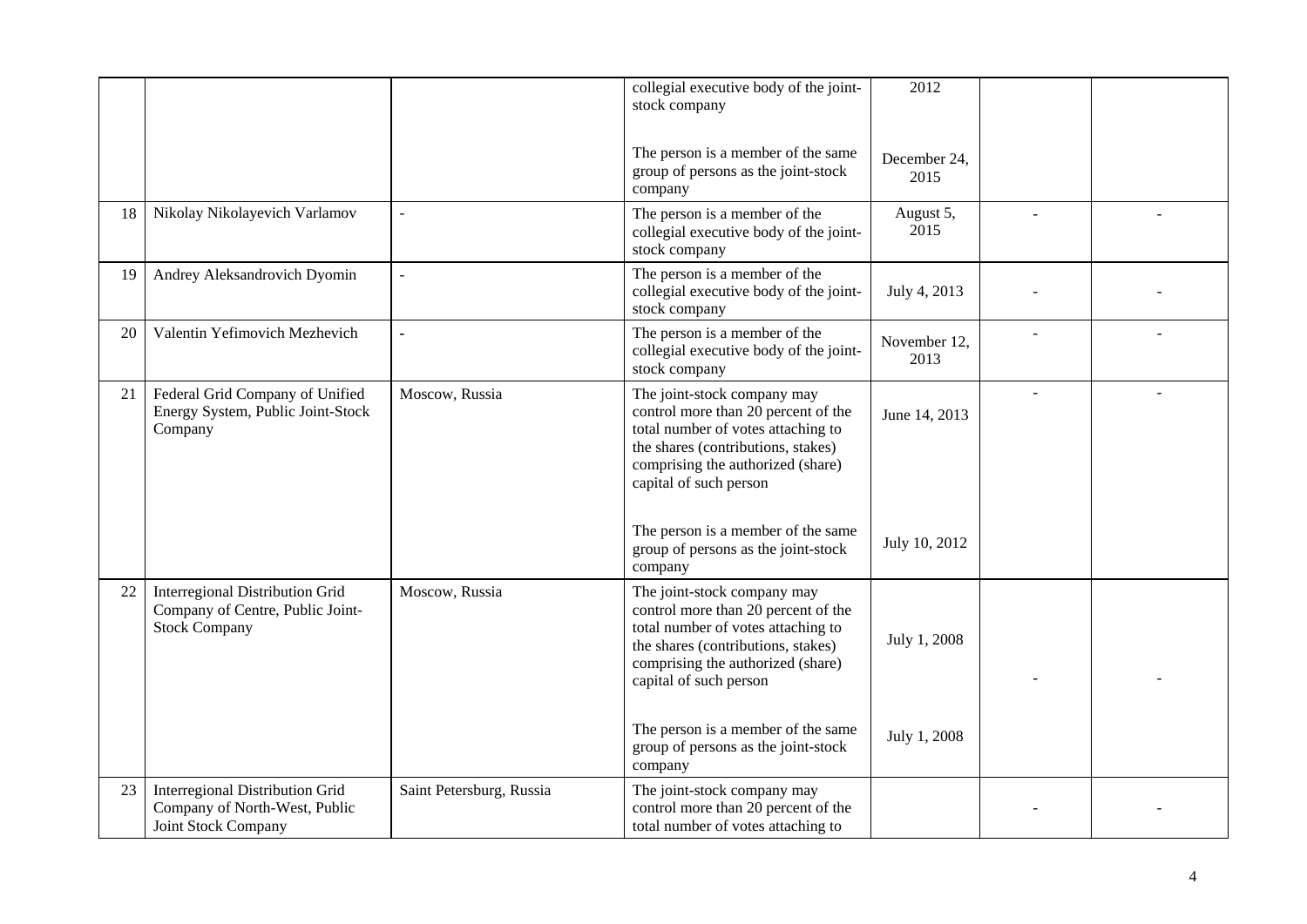|    |                                                                                                    |                          | collegial executive body of the joint-<br>stock company                                                                                                                                                       | 2012                 |  |
|----|----------------------------------------------------------------------------------------------------|--------------------------|---------------------------------------------------------------------------------------------------------------------------------------------------------------------------------------------------------------|----------------------|--|
|    |                                                                                                    |                          | The person is a member of the same<br>group of persons as the joint-stock<br>company                                                                                                                          | December 24,<br>2015 |  |
| 18 | Nikolay Nikolayevich Varlamov                                                                      | $\overline{a}$           | The person is a member of the<br>collegial executive body of the joint-<br>stock company                                                                                                                      | August 5,<br>2015    |  |
| 19 | Andrey Aleksandrovich Dyomin                                                                       | $\sim$                   | The person is a member of the<br>collegial executive body of the joint-<br>stock company                                                                                                                      | July 4, 2013         |  |
| 20 | Valentin Yefimovich Mezhevich                                                                      |                          | The person is a member of the<br>collegial executive body of the joint-<br>stock company                                                                                                                      | November 12,<br>2013 |  |
| 21 | Federal Grid Company of Unified<br>Energy System, Public Joint-Stock<br>Company                    | Moscow, Russia           | The joint-stock company may<br>control more than 20 percent of the<br>total number of votes attaching to<br>the shares (contributions, stakes)<br>comprising the authorized (share)<br>capital of such person | June 14, 2013        |  |
|    |                                                                                                    |                          | The person is a member of the same<br>group of persons as the joint-stock<br>company                                                                                                                          | July 10, 2012        |  |
| 22 | <b>Interregional Distribution Grid</b><br>Company of Centre, Public Joint-<br><b>Stock Company</b> | Moscow, Russia           | The joint-stock company may<br>control more than 20 percent of the<br>total number of votes attaching to<br>the shares (contributions, stakes)<br>comprising the authorized (share)<br>capital of such person | July 1, 2008         |  |
|    |                                                                                                    |                          | The person is a member of the same<br>group of persons as the joint-stock<br>company                                                                                                                          | July 1, 2008         |  |
| 23 | <b>Interregional Distribution Grid</b><br>Company of North-West, Public<br>Joint Stock Company     | Saint Petersburg, Russia | The joint-stock company may<br>control more than 20 percent of the<br>total number of votes attaching to                                                                                                      |                      |  |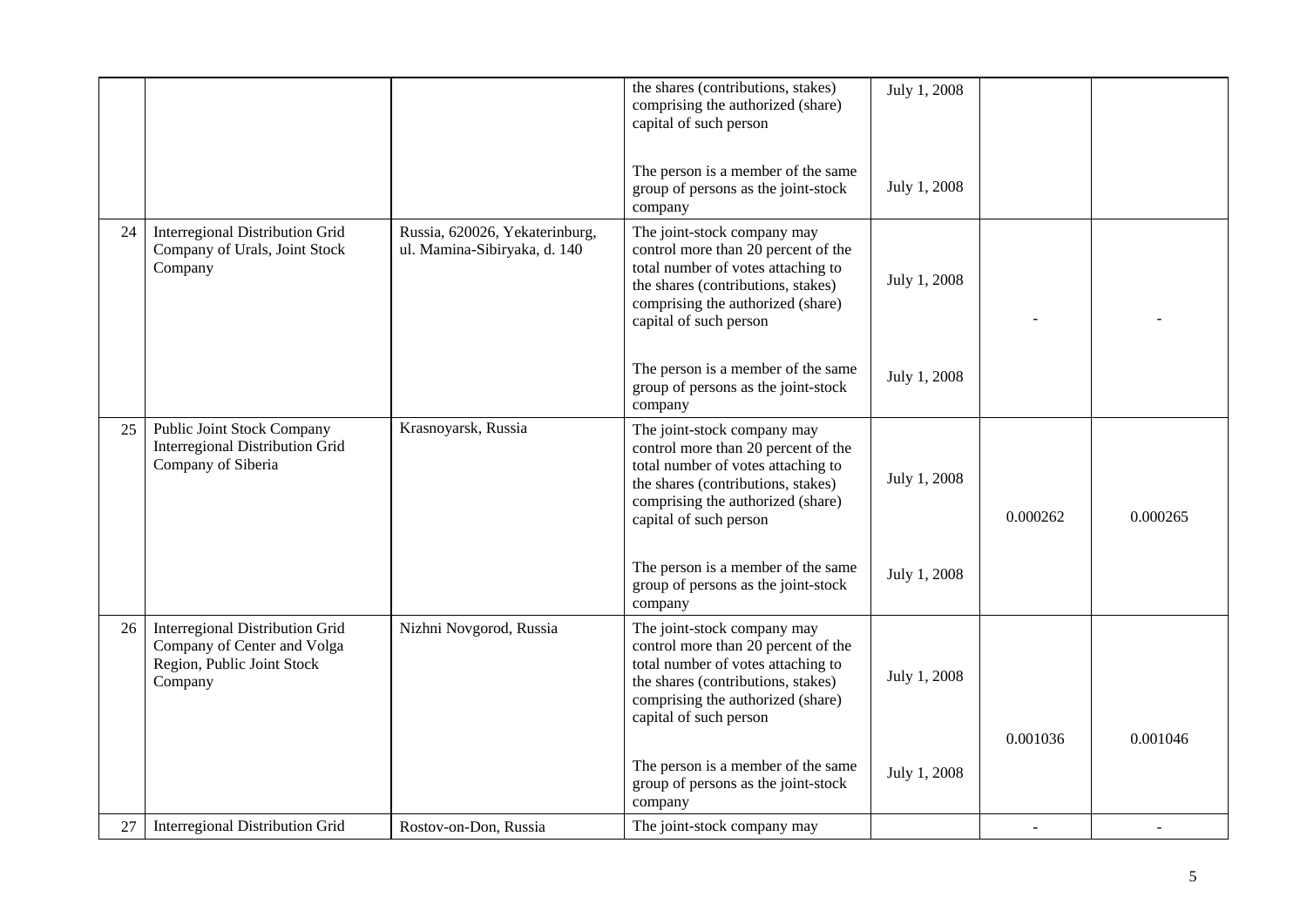| 27 | <b>Interregional Distribution Grid</b>                                                                         | Rostov-on-Don, Russia                                          | The joint-stock company may                                                                                                                                                                                   |              |          |          |
|----|----------------------------------------------------------------------------------------------------------------|----------------------------------------------------------------|---------------------------------------------------------------------------------------------------------------------------------------------------------------------------------------------------------------|--------------|----------|----------|
|    |                                                                                                                |                                                                | The person is a member of the same<br>group of persons as the joint-stock<br>company                                                                                                                          | July 1, 2008 | 0.001036 | 0.001046 |
| 26 | <b>Interregional Distribution Grid</b><br>Company of Center and Volga<br>Region, Public Joint Stock<br>Company | Nizhni Novgorod, Russia                                        | The joint-stock company may<br>control more than 20 percent of the<br>total number of votes attaching to<br>the shares (contributions, stakes)<br>comprising the authorized (share)<br>capital of such person | July 1, 2008 |          |          |
|    |                                                                                                                |                                                                | The person is a member of the same<br>group of persons as the joint-stock<br>company                                                                                                                          | July 1, 2008 |          |          |
| 25 | <b>Public Joint Stock Company</b><br><b>Interregional Distribution Grid</b><br>Company of Siberia              | Krasnoyarsk, Russia                                            | The joint-stock company may<br>control more than 20 percent of the<br>total number of votes attaching to<br>the shares (contributions, stakes)<br>comprising the authorized (share)<br>capital of such person | July 1, 2008 | 0.000262 | 0.000265 |
|    |                                                                                                                |                                                                | The person is a member of the same<br>group of persons as the joint-stock<br>company                                                                                                                          | July 1, 2008 |          |          |
| 24 | <b>Interregional Distribution Grid</b><br>Company of Urals, Joint Stock<br>Company                             | Russia, 620026, Yekaterinburg,<br>ul. Mamina-Sibiryaka, d. 140 | The joint-stock company may<br>control more than 20 percent of the<br>total number of votes attaching to<br>the shares (contributions, stakes)<br>comprising the authorized (share)<br>capital of such person | July 1, 2008 |          |          |
|    |                                                                                                                |                                                                | The person is a member of the same<br>group of persons as the joint-stock<br>company                                                                                                                          | July 1, 2008 |          |          |
|    |                                                                                                                |                                                                | the shares (contributions, stakes)<br>comprising the authorized (share)<br>capital of such person                                                                                                             | July 1, 2008 |          |          |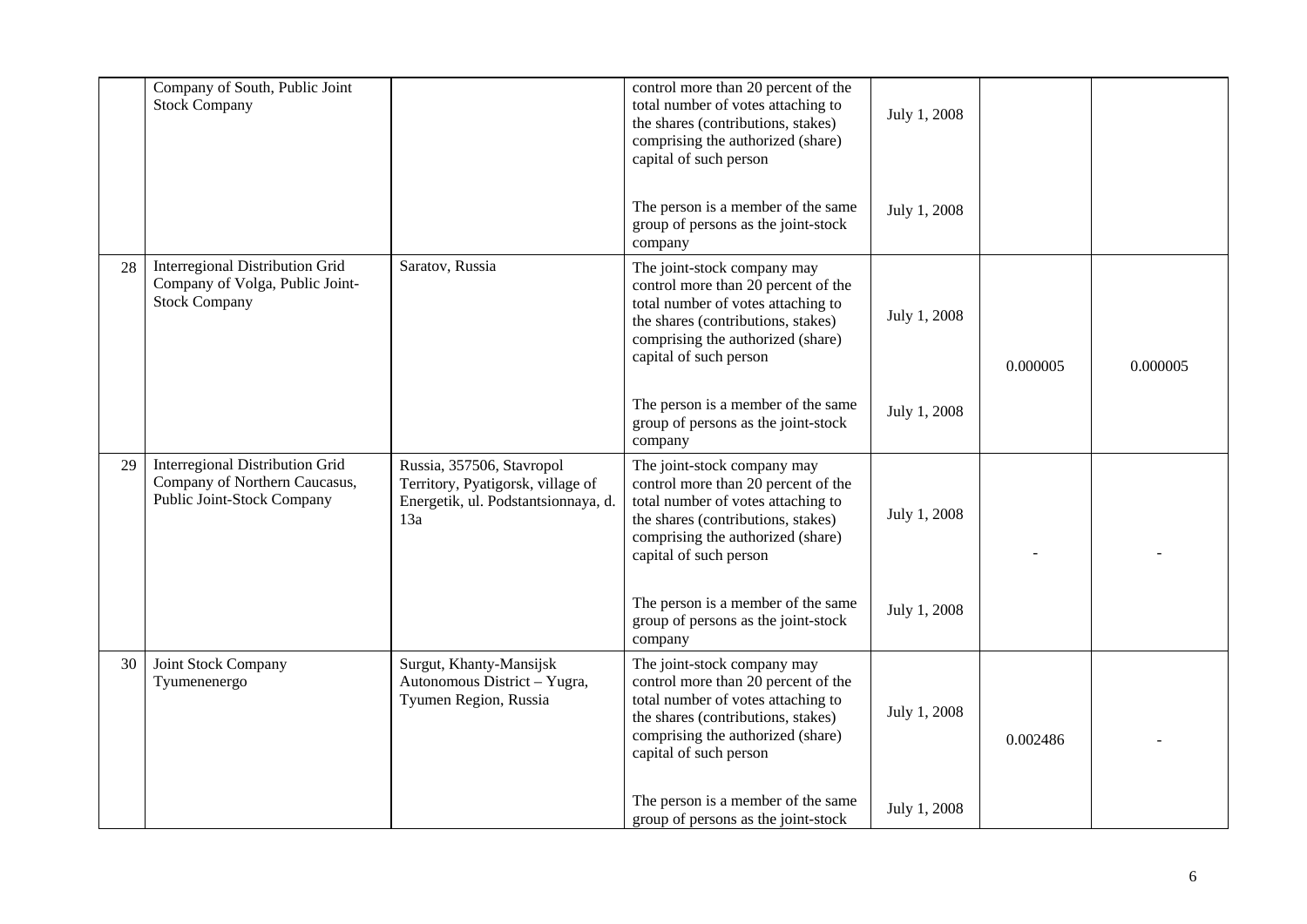|    | Company of South, Public Joint<br><b>Stock Company</b>                                         |                                                                                                              | control more than 20 percent of the<br>total number of votes attaching to<br>the shares (contributions, stakes)<br>comprising the authorized (share)<br>capital of such person                                | July 1, 2008 |          |          |
|----|------------------------------------------------------------------------------------------------|--------------------------------------------------------------------------------------------------------------|---------------------------------------------------------------------------------------------------------------------------------------------------------------------------------------------------------------|--------------|----------|----------|
|    |                                                                                                |                                                                                                              | The person is a member of the same<br>group of persons as the joint-stock<br>company                                                                                                                          | July 1, 2008 |          |          |
| 28 | Interregional Distribution Grid<br>Company of Volga, Public Joint-<br><b>Stock Company</b>     | Saratov, Russia                                                                                              | The joint-stock company may<br>control more than 20 percent of the<br>total number of votes attaching to<br>the shares (contributions, stakes)<br>comprising the authorized (share)<br>capital of such person | July 1, 2008 | 0.000005 | 0.000005 |
|    |                                                                                                |                                                                                                              | The person is a member of the same<br>group of persons as the joint-stock<br>company                                                                                                                          | July 1, 2008 |          |          |
| 29 | Interregional Distribution Grid<br>Company of Northern Caucasus,<br>Public Joint-Stock Company | Russia, 357506, Stavropol<br>Territory, Pyatigorsk, village of<br>Energetik, ul. Podstantsionnaya, d.<br>13a | The joint-stock company may<br>control more than 20 percent of the<br>total number of votes attaching to<br>the shares (contributions, stakes)<br>comprising the authorized (share)<br>capital of such person | July 1, 2008 |          |          |
|    |                                                                                                |                                                                                                              | The person is a member of the same<br>group of persons as the joint-stock<br>company                                                                                                                          | July 1, 2008 |          |          |
| 30 | Joint Stock Company<br>Tyumenenergo                                                            | Surgut, Khanty-Mansijsk<br>Autonomous District - Yugra,<br>Tyumen Region, Russia                             | The joint-stock company may<br>control more than 20 percent of the<br>total number of votes attaching to<br>the shares (contributions, stakes)<br>comprising the authorized (share)<br>capital of such person | July 1, 2008 | 0.002486 |          |
|    |                                                                                                |                                                                                                              | The person is a member of the same<br>group of persons as the joint-stock                                                                                                                                     | July 1, 2008 |          |          |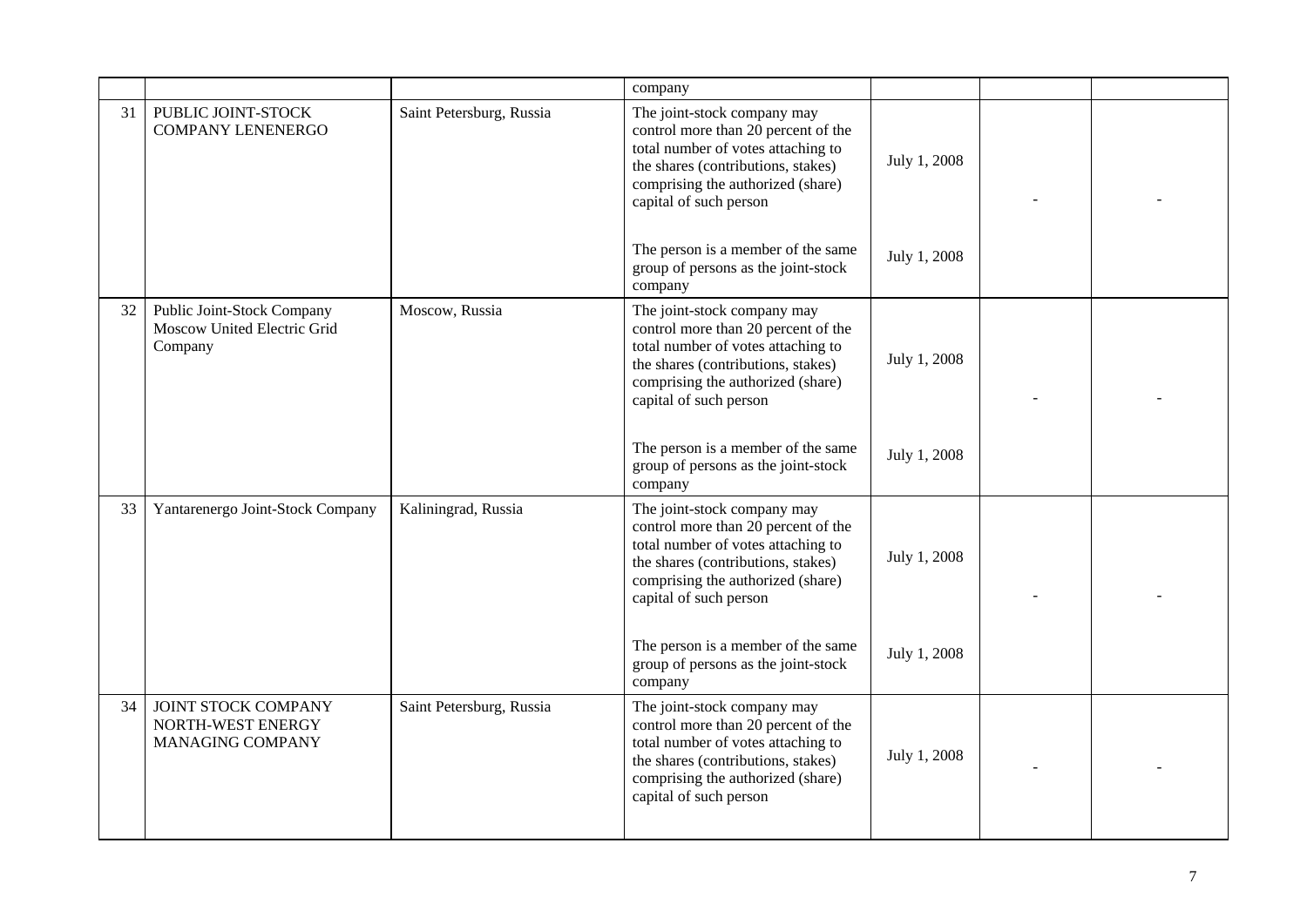|    |                                                                      |                          | company                                                                                                                                                                                                       |              |  |
|----|----------------------------------------------------------------------|--------------------------|---------------------------------------------------------------------------------------------------------------------------------------------------------------------------------------------------------------|--------------|--|
| 31 | PUBLIC JOINT-STOCK<br><b>COMPANY LENENERGO</b>                       | Saint Petersburg, Russia | The joint-stock company may<br>control more than 20 percent of the<br>total number of votes attaching to<br>the shares (contributions, stakes)<br>comprising the authorized (share)<br>capital of such person | July 1, 2008 |  |
|    |                                                                      |                          | The person is a member of the same<br>group of persons as the joint-stock<br>company                                                                                                                          | July 1, 2008 |  |
| 32 | Public Joint-Stock Company<br>Moscow United Electric Grid<br>Company | Moscow, Russia           | The joint-stock company may<br>control more than 20 percent of the<br>total number of votes attaching to<br>the shares (contributions, stakes)<br>comprising the authorized (share)<br>capital of such person | July 1, 2008 |  |
|    |                                                                      |                          | The person is a member of the same<br>group of persons as the joint-stock<br>company                                                                                                                          | July 1, 2008 |  |
| 33 | Yantarenergo Joint-Stock Company                                     | Kaliningrad, Russia      | The joint-stock company may<br>control more than 20 percent of the<br>total number of votes attaching to<br>the shares (contributions, stakes)<br>comprising the authorized (share)<br>capital of such person | July 1, 2008 |  |
|    |                                                                      |                          | The person is a member of the same<br>group of persons as the joint-stock<br>company                                                                                                                          | July 1, 2008 |  |
| 34 | JOINT STOCK COMPANY<br>NORTH-WEST ENERGY<br>MANAGING COMPANY         | Saint Petersburg, Russia | The joint-stock company may<br>control more than 20 percent of the<br>total number of votes attaching to<br>the shares (contributions, stakes)<br>comprising the authorized (share)<br>capital of such person | July 1, 2008 |  |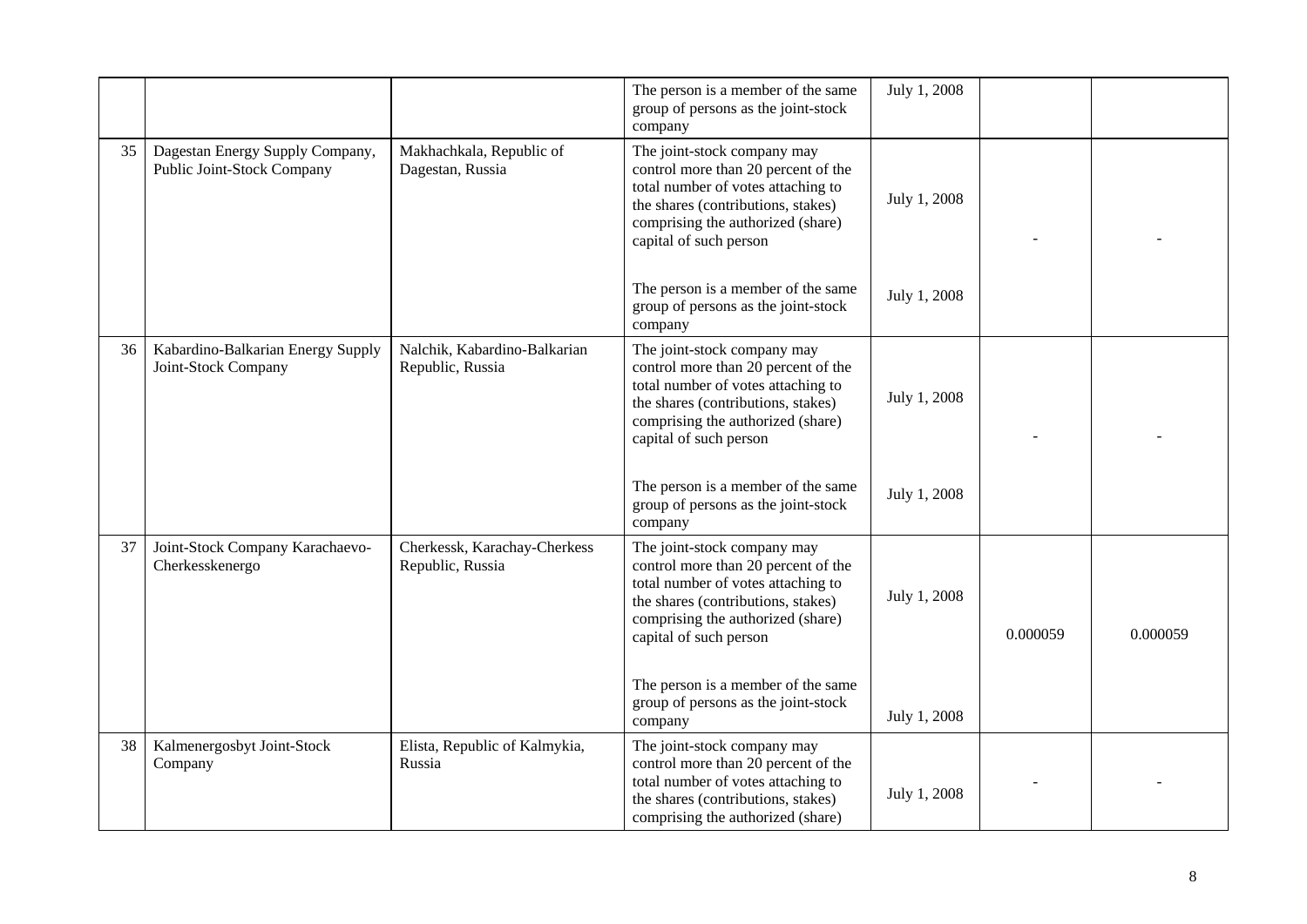|    |                                                               |                                                  | The person is a member of the same<br>group of persons as the joint-stock<br>company                                                                                                                          | July 1, 2008 |          |          |
|----|---------------------------------------------------------------|--------------------------------------------------|---------------------------------------------------------------------------------------------------------------------------------------------------------------------------------------------------------------|--------------|----------|----------|
| 35 | Dagestan Energy Supply Company,<br>Public Joint-Stock Company | Makhachkala, Republic of<br>Dagestan, Russia     | The joint-stock company may<br>control more than 20 percent of the<br>total number of votes attaching to<br>the shares (contributions, stakes)<br>comprising the authorized (share)<br>capital of such person | July 1, 2008 |          |          |
|    |                                                               |                                                  | The person is a member of the same<br>group of persons as the joint-stock<br>company                                                                                                                          | July 1, 2008 |          |          |
| 36 | Kabardino-Balkarian Energy Supply<br>Joint-Stock Company      | Nalchik, Kabardino-Balkarian<br>Republic, Russia | The joint-stock company may<br>control more than 20 percent of the<br>total number of votes attaching to<br>the shares (contributions, stakes)<br>comprising the authorized (share)<br>capital of such person | July 1, 2008 |          |          |
|    |                                                               |                                                  | The person is a member of the same<br>group of persons as the joint-stock<br>company                                                                                                                          | July 1, 2008 |          |          |
| 37 | Joint-Stock Company Karachaevo-<br>Cherkesskenergo            | Cherkessk, Karachay-Cherkess<br>Republic, Russia | The joint-stock company may<br>control more than 20 percent of the<br>total number of votes attaching to<br>the shares (contributions, stakes)<br>comprising the authorized (share)<br>capital of such person | July 1, 2008 | 0.000059 | 0.000059 |
|    |                                                               |                                                  | The person is a member of the same<br>group of persons as the joint-stock<br>company                                                                                                                          | July 1, 2008 |          |          |
| 38 | Kalmenergosbyt Joint-Stock<br>Company                         | Elista, Republic of Kalmykia,<br>Russia          | The joint-stock company may<br>control more than 20 percent of the<br>total number of votes attaching to<br>the shares (contributions, stakes)<br>comprising the authorized (share)                           | July 1, 2008 |          |          |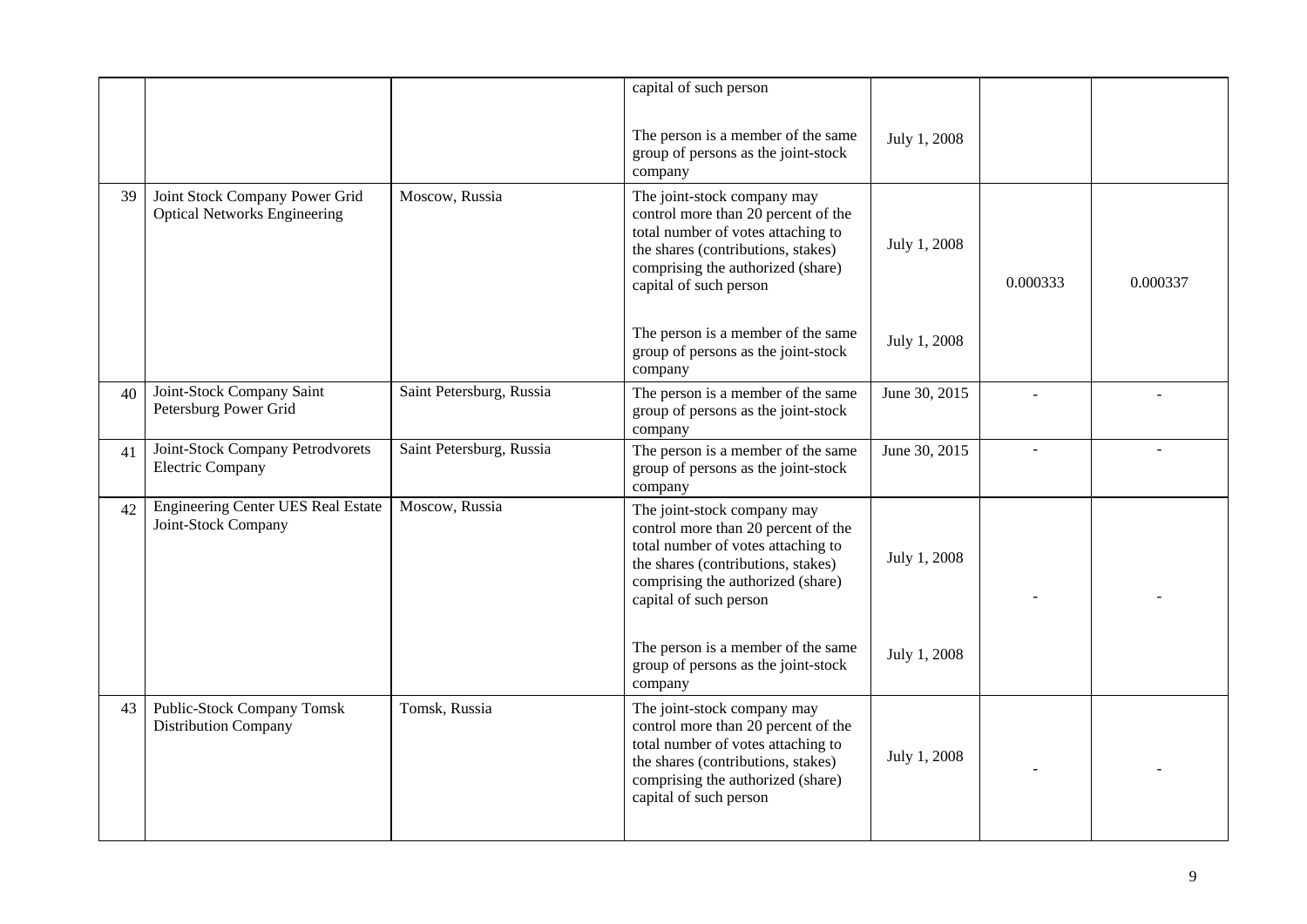|    |                                                                       |                          | capital of such person                                                                                                                                                                                        |               |          |          |
|----|-----------------------------------------------------------------------|--------------------------|---------------------------------------------------------------------------------------------------------------------------------------------------------------------------------------------------------------|---------------|----------|----------|
|    |                                                                       |                          | The person is a member of the same<br>group of persons as the joint-stock<br>company                                                                                                                          | July 1, 2008  |          |          |
| 39 | Joint Stock Company Power Grid<br><b>Optical Networks Engineering</b> | Moscow, Russia           | The joint-stock company may<br>control more than 20 percent of the<br>total number of votes attaching to<br>the shares (contributions, stakes)<br>comprising the authorized (share)<br>capital of such person | July 1, 2008  | 0.000333 | 0.000337 |
|    |                                                                       |                          | The person is a member of the same<br>group of persons as the joint-stock<br>company                                                                                                                          | July 1, 2008  |          |          |
| 40 | Joint-Stock Company Saint<br>Petersburg Power Grid                    | Saint Petersburg, Russia | The person is a member of the same<br>group of persons as the joint-stock<br>company                                                                                                                          | June 30, 2015 |          |          |
| 41 | Joint-Stock Company Petrodvorets<br><b>Electric Company</b>           | Saint Petersburg, Russia | The person is a member of the same<br>group of persons as the joint-stock<br>company                                                                                                                          | June 30, 2015 |          |          |
| 42 | Engineering Center UES Real Estate<br>Joint-Stock Company             | Moscow, Russia           | The joint-stock company may<br>control more than 20 percent of the<br>total number of votes attaching to<br>the shares (contributions, stakes)<br>comprising the authorized (share)<br>capital of such person | July 1, 2008  |          |          |
|    |                                                                       |                          | The person is a member of the same<br>group of persons as the joint-stock<br>company                                                                                                                          | July 1, 2008  |          |          |
| 43 | <b>Public-Stock Company Tomsk</b><br><b>Distribution Company</b>      | Tomsk, Russia            | The joint-stock company may<br>control more than 20 percent of the<br>total number of votes attaching to<br>the shares (contributions, stakes)<br>comprising the authorized (share)<br>capital of such person | July 1, 2008  |          |          |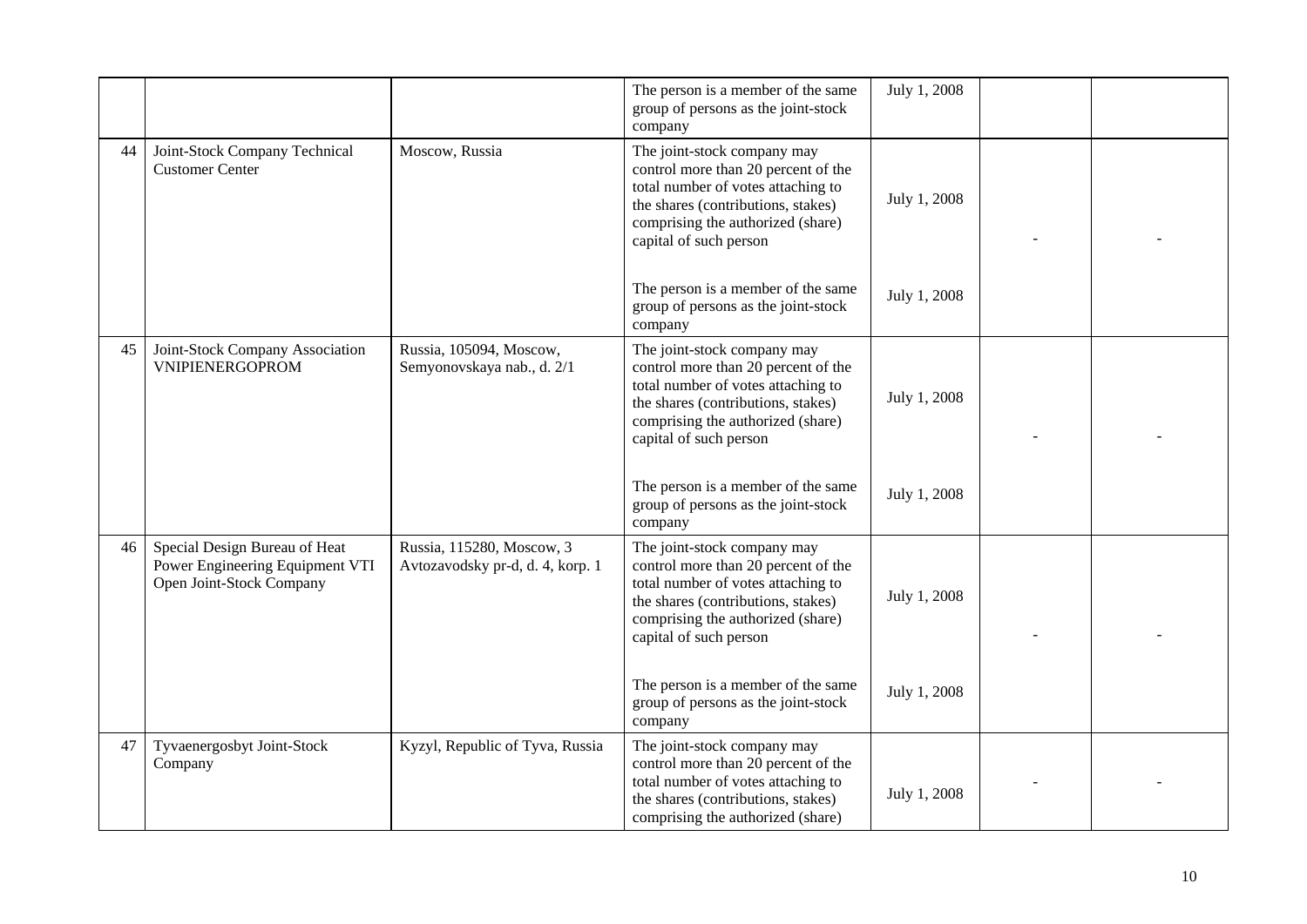|    |                                                                                              |                                                               | The person is a member of the same<br>group of persons as the joint-stock<br>company                                                                                                                          | July 1, 2008 |  |
|----|----------------------------------------------------------------------------------------------|---------------------------------------------------------------|---------------------------------------------------------------------------------------------------------------------------------------------------------------------------------------------------------------|--------------|--|
| 44 | Joint-Stock Company Technical<br><b>Customer Center</b>                                      | Moscow, Russia                                                | The joint-stock company may<br>control more than 20 percent of the<br>total number of votes attaching to<br>the shares (contributions, stakes)<br>comprising the authorized (share)<br>capital of such person | July 1, 2008 |  |
|    |                                                                                              |                                                               | The person is a member of the same<br>group of persons as the joint-stock<br>company                                                                                                                          | July 1, 2008 |  |
| 45 | Joint-Stock Company Association<br><b>VNIPIENERGOPROM</b>                                    | Russia, 105094, Moscow,<br>Semyonovskaya nab., d. 2/1         | The joint-stock company may<br>control more than 20 percent of the<br>total number of votes attaching to<br>the shares (contributions, stakes)<br>comprising the authorized (share)<br>capital of such person | July 1, 2008 |  |
|    |                                                                                              |                                                               | The person is a member of the same<br>group of persons as the joint-stock<br>company                                                                                                                          | July 1, 2008 |  |
| 46 | Special Design Bureau of Heat<br>Power Engineering Equipment VTI<br>Open Joint-Stock Company | Russia, 115280, Moscow, 3<br>Avtozavodsky pr-d, d. 4, korp. 1 | The joint-stock company may<br>control more than 20 percent of the<br>total number of votes attaching to<br>the shares (contributions, stakes)<br>comprising the authorized (share)<br>capital of such person | July 1, 2008 |  |
|    |                                                                                              |                                                               | The person is a member of the same<br>group of persons as the joint-stock<br>company                                                                                                                          | July 1, 2008 |  |
| 47 | Tyvaenergosbyt Joint-Stock<br>Company                                                        | Kyzyl, Republic of Tyva, Russia                               | The joint-stock company may<br>control more than 20 percent of the<br>total number of votes attaching to<br>the shares (contributions, stakes)<br>comprising the authorized (share)                           | July 1, 2008 |  |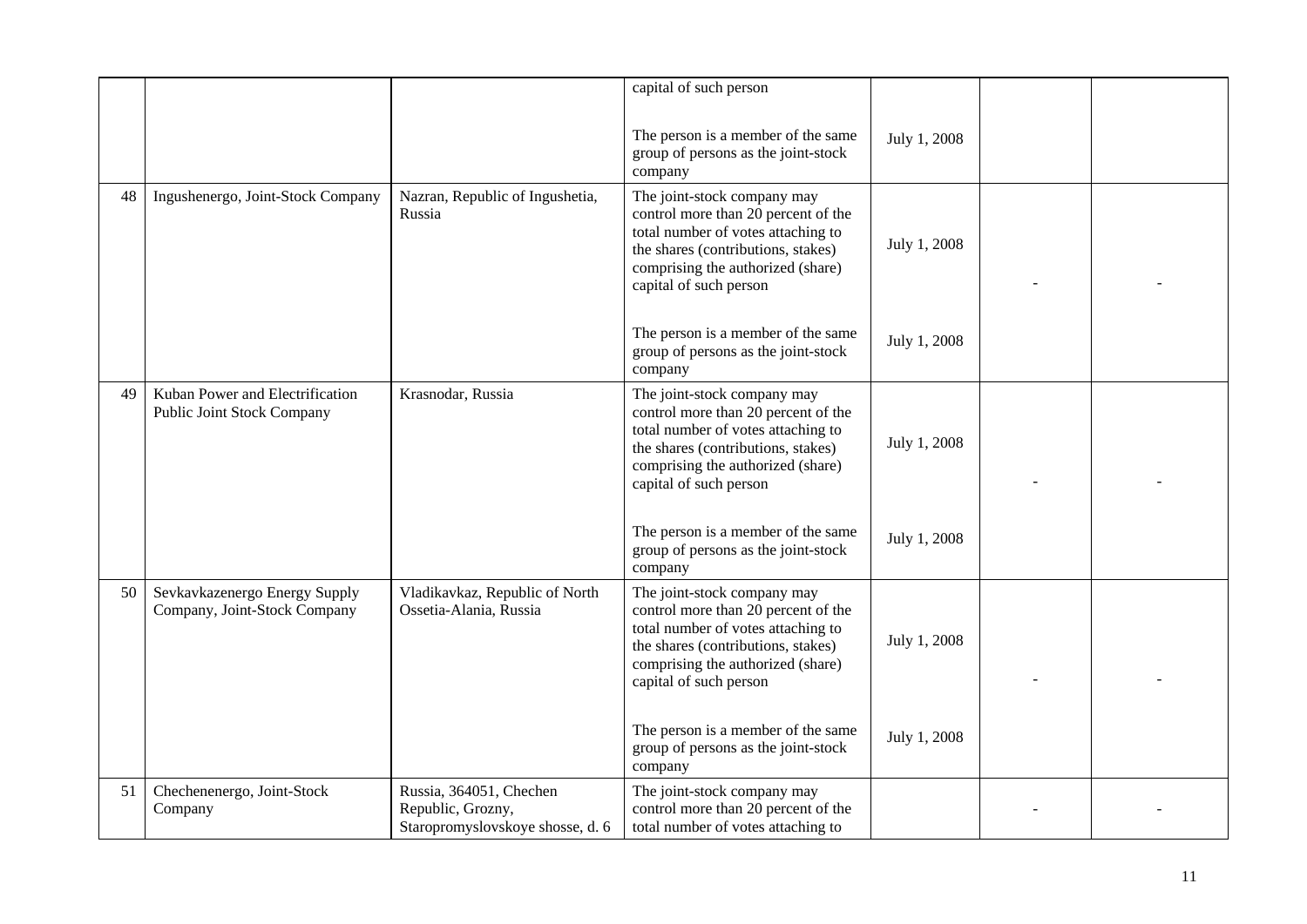|    |                                                                      |                                                                                  | capital of such person                                                                                                                                                                                        |              |  |
|----|----------------------------------------------------------------------|----------------------------------------------------------------------------------|---------------------------------------------------------------------------------------------------------------------------------------------------------------------------------------------------------------|--------------|--|
|    |                                                                      |                                                                                  | The person is a member of the same<br>group of persons as the joint-stock<br>company                                                                                                                          | July 1, 2008 |  |
| 48 | Ingushenergo, Joint-Stock Company                                    | Nazran, Republic of Ingushetia,<br>Russia                                        | The joint-stock company may<br>control more than 20 percent of the<br>total number of votes attaching to<br>the shares (contributions, stakes)<br>comprising the authorized (share)<br>capital of such person | July 1, 2008 |  |
|    |                                                                      |                                                                                  | The person is a member of the same<br>group of persons as the joint-stock<br>company                                                                                                                          | July 1, 2008 |  |
| 49 | Kuban Power and Electrification<br><b>Public Joint Stock Company</b> | Krasnodar, Russia                                                                | The joint-stock company may<br>control more than 20 percent of the<br>total number of votes attaching to<br>the shares (contributions, stakes)<br>comprising the authorized (share)<br>capital of such person | July 1, 2008 |  |
|    |                                                                      |                                                                                  | The person is a member of the same<br>group of persons as the joint-stock<br>company                                                                                                                          | July 1, 2008 |  |
| 50 | Sevkavkazenergo Energy Supply<br>Company, Joint-Stock Company        | Vladikavkaz, Republic of North<br>Ossetia-Alania, Russia                         | The joint-stock company may<br>control more than 20 percent of the<br>total number of votes attaching to<br>the shares (contributions, stakes)<br>comprising the authorized (share)<br>capital of such person | July 1, 2008 |  |
|    |                                                                      |                                                                                  | The person is a member of the same<br>group of persons as the joint-stock<br>company                                                                                                                          | July 1, 2008 |  |
| 51 | Chechenenergo, Joint-Stock<br>Company                                | Russia, 364051, Chechen<br>Republic, Grozny,<br>Staropromyslovskoye shosse, d. 6 | The joint-stock company may<br>control more than 20 percent of the<br>total number of votes attaching to                                                                                                      |              |  |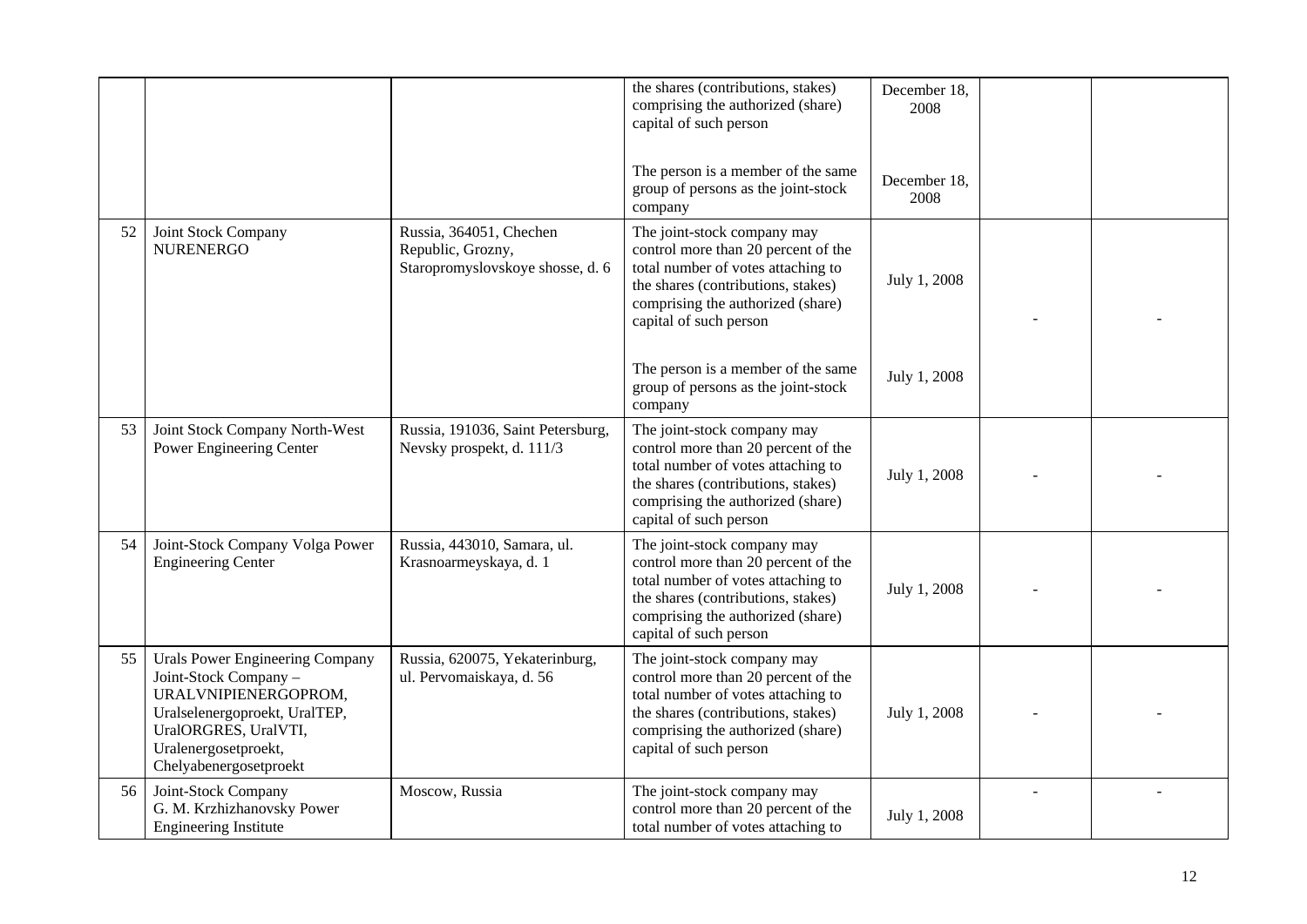|    |                                                                                                                                                                                                    |                                                                                  | the shares (contributions, stakes)<br>comprising the authorized (share)<br>capital of such person                                                                                                             | December 18,<br>2008 |  |
|----|----------------------------------------------------------------------------------------------------------------------------------------------------------------------------------------------------|----------------------------------------------------------------------------------|---------------------------------------------------------------------------------------------------------------------------------------------------------------------------------------------------------------|----------------------|--|
|    |                                                                                                                                                                                                    |                                                                                  | The person is a member of the same<br>group of persons as the joint-stock<br>company                                                                                                                          | December 18,<br>2008 |  |
| 52 | Joint Stock Company<br><b>NURENERGO</b>                                                                                                                                                            | Russia, 364051, Chechen<br>Republic, Grozny,<br>Staropromyslovskoye shosse, d. 6 | The joint-stock company may<br>control more than 20 percent of the<br>total number of votes attaching to<br>the shares (contributions, stakes)<br>comprising the authorized (share)<br>capital of such person | July 1, 2008         |  |
|    |                                                                                                                                                                                                    |                                                                                  | The person is a member of the same<br>group of persons as the joint-stock<br>company                                                                                                                          | July 1, 2008         |  |
| 53 | Joint Stock Company North-West<br>Power Engineering Center                                                                                                                                         | Russia, 191036, Saint Petersburg,<br>Nevsky prospekt, d. 111/3                   | The joint-stock company may<br>control more than 20 percent of the<br>total number of votes attaching to<br>the shares (contributions, stakes)<br>comprising the authorized (share)<br>capital of such person | July 1, 2008         |  |
| 54 | Joint-Stock Company Volga Power<br><b>Engineering Center</b>                                                                                                                                       | Russia, 443010, Samara, ul.<br>Krasnoarmeyskaya, d. 1                            | The joint-stock company may<br>control more than 20 percent of the<br>total number of votes attaching to<br>the shares (contributions, stakes)<br>comprising the authorized (share)<br>capital of such person | July 1, 2008         |  |
| 55 | <b>Urals Power Engineering Company</b><br>Joint-Stock Company -<br>URALVNIPIENERGOPROM,<br>Uralselenergoproekt, UralTEP,<br>UralORGRES, UralVTI,<br>Uralenergosetproekt,<br>Chelyabenergosetproekt | Russia, 620075, Yekaterinburg,<br>ul. Pervomaiskaya, d. 56                       | The joint-stock company may<br>control more than 20 percent of the<br>total number of votes attaching to<br>the shares (contributions, stakes)<br>comprising the authorized (share)<br>capital of such person | July 1, 2008         |  |
| 56 | Joint-Stock Company<br>G. M. Krzhizhanovsky Power<br><b>Engineering Institute</b>                                                                                                                  | Moscow, Russia                                                                   | The joint-stock company may<br>control more than 20 percent of the<br>total number of votes attaching to                                                                                                      | July 1, 2008         |  |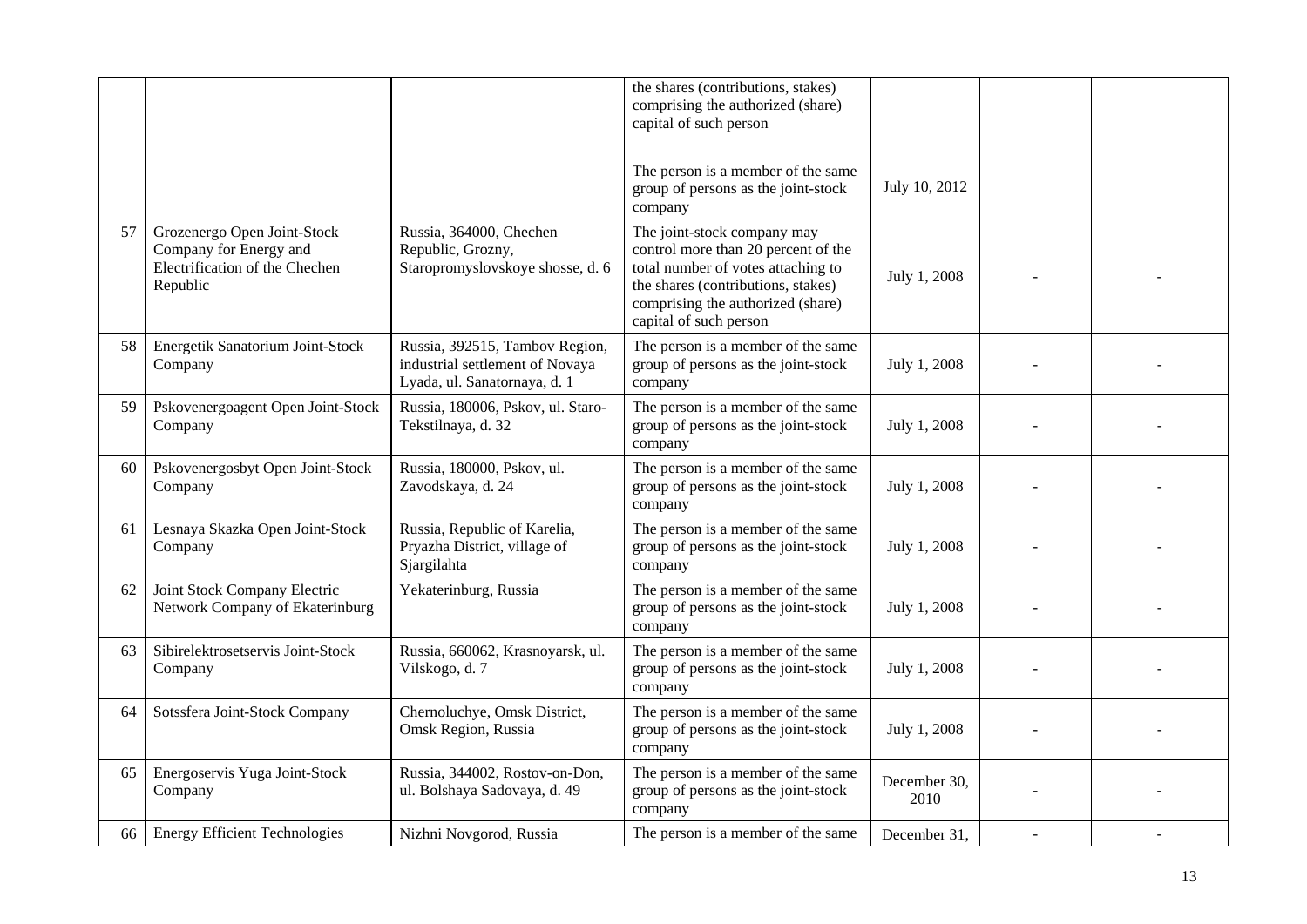|    |                                                                                                     |                                                                                                   | the shares (contributions, stakes)<br>comprising the authorized (share)<br>capital of such person                                                                                                             |                      |  |
|----|-----------------------------------------------------------------------------------------------------|---------------------------------------------------------------------------------------------------|---------------------------------------------------------------------------------------------------------------------------------------------------------------------------------------------------------------|----------------------|--|
|    |                                                                                                     |                                                                                                   | The person is a member of the same<br>group of persons as the joint-stock<br>company                                                                                                                          | July 10, 2012        |  |
| 57 | Grozenergo Open Joint-Stock<br>Company for Energy and<br>Electrification of the Chechen<br>Republic | Russia, 364000, Chechen<br>Republic, Grozny,<br>Staropromyslovskoye shosse, d. 6                  | The joint-stock company may<br>control more than 20 percent of the<br>total number of votes attaching to<br>the shares (contributions, stakes)<br>comprising the authorized (share)<br>capital of such person | July 1, 2008         |  |
| 58 | Energetik Sanatorium Joint-Stock<br>Company                                                         | Russia, 392515, Tambov Region,<br>industrial settlement of Novaya<br>Lyada, ul. Sanatornaya, d. 1 | The person is a member of the same<br>group of persons as the joint-stock<br>company                                                                                                                          | July 1, 2008         |  |
| 59 | Pskovenergoagent Open Joint-Stock<br>Company                                                        | Russia, 180006, Pskov, ul. Staro-<br>Tekstilnaya, d. 32                                           | The person is a member of the same<br>group of persons as the joint-stock<br>company                                                                                                                          | July 1, 2008         |  |
| 60 | Pskovenergosbyt Open Joint-Stock<br>Company                                                         | Russia, 180000, Pskov, ul.<br>Zavodskaya, d. 24                                                   | The person is a member of the same<br>group of persons as the joint-stock<br>company                                                                                                                          | July 1, 2008         |  |
| 61 | Lesnaya Skazka Open Joint-Stock<br>Company                                                          | Russia, Republic of Karelia,<br>Pryazha District, village of<br>Sjargilahta                       | The person is a member of the same<br>group of persons as the joint-stock<br>company                                                                                                                          | July 1, 2008         |  |
| 62 | Joint Stock Company Electric<br>Network Company of Ekaterinburg                                     | Yekaterinburg, Russia                                                                             | The person is a member of the same<br>group of persons as the joint-stock<br>company                                                                                                                          | July 1, 2008         |  |
| 63 | Sibirelektrosetservis Joint-Stock<br>Company                                                        | Russia, 660062, Krasnoyarsk, ul.<br>Vilskogo, d. 7                                                | The person is a member of the same<br>group of persons as the joint-stock<br>company                                                                                                                          | July 1, 2008         |  |
| 64 | Sotssfera Joint-Stock Company                                                                       | Chernoluchye, Omsk District,<br>Omsk Region, Russia                                               | The person is a member of the same<br>group of persons as the joint-stock<br>company                                                                                                                          | July 1, 2008         |  |
| 65 | Energoservis Yuga Joint-Stock<br>Company                                                            | Russia, 344002, Rostov-on-Don,<br>ul. Bolshaya Sadovaya, d. 49                                    | The person is a member of the same<br>group of persons as the joint-stock<br>company                                                                                                                          | December 30,<br>2010 |  |
| 66 | <b>Energy Efficient Technologies</b>                                                                | Nizhni Novgorod, Russia                                                                           | The person is a member of the same                                                                                                                                                                            | December 31.         |  |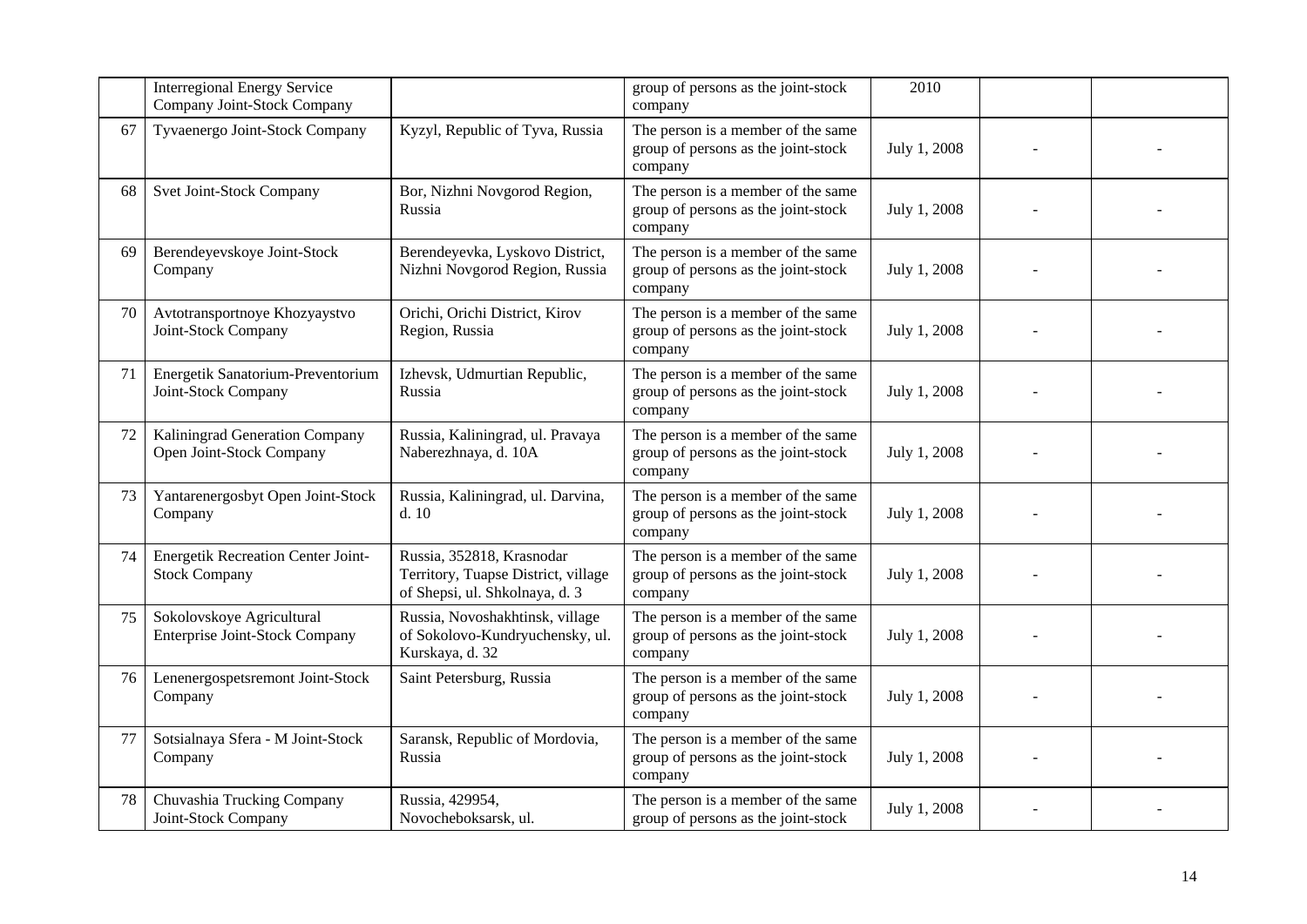|    | <b>Interregional Energy Service</b><br>Company Joint-Stock Company |                                                                                                    | group of persons as the joint-stock<br>company                                       | 2010         |  |
|----|--------------------------------------------------------------------|----------------------------------------------------------------------------------------------------|--------------------------------------------------------------------------------------|--------------|--|
| 67 | Tyvaenergo Joint-Stock Company                                     | Kyzyl, Republic of Tyva, Russia                                                                    | The person is a member of the same<br>group of persons as the joint-stock<br>company | July 1, 2008 |  |
| 68 | Svet Joint-Stock Company                                           | Bor, Nizhni Novgorod Region,<br>Russia                                                             | The person is a member of the same<br>group of persons as the joint-stock<br>company | July 1, 2008 |  |
| 69 | Berendeyevskoye Joint-Stock<br>Company                             | Berendeyevka, Lyskovo District,<br>Nizhni Novgorod Region, Russia                                  | The person is a member of the same<br>group of persons as the joint-stock<br>company | July 1, 2008 |  |
| 70 | Avtotransportnoye Khozyaystvo<br>Joint-Stock Company               | Orichi, Orichi District, Kirov<br>Region, Russia                                                   | The person is a member of the same<br>group of persons as the joint-stock<br>company | July 1, 2008 |  |
| 71 | Energetik Sanatorium-Preventorium<br>Joint-Stock Company           | Izhevsk, Udmurtian Republic,<br>Russia                                                             | The person is a member of the same<br>group of persons as the joint-stock<br>company | July 1, 2008 |  |
| 72 | Kaliningrad Generation Company<br>Open Joint-Stock Company         | Russia, Kaliningrad, ul. Pravaya<br>Naberezhnaya, d. 10A                                           | The person is a member of the same<br>group of persons as the joint-stock<br>company | July 1, 2008 |  |
| 73 | Yantarenergosbyt Open Joint-Stock<br>Company                       | Russia, Kaliningrad, ul. Darvina,<br>d.10                                                          | The person is a member of the same<br>group of persons as the joint-stock<br>company | July 1, 2008 |  |
| 74 | <b>Energetik Recreation Center Joint-</b><br><b>Stock Company</b>  | Russia, 352818, Krasnodar<br>Territory, Tuapse District, village<br>of Shepsi, ul. Shkolnaya, d. 3 | The person is a member of the same<br>group of persons as the joint-stock<br>company | July 1, 2008 |  |
| 75 | Sokolovskoye Agricultural<br><b>Enterprise Joint-Stock Company</b> | Russia, Novoshakhtinsk, village<br>of Sokolovo-Kundryuchensky, ul.<br>Kurskaya, d. 32              | The person is a member of the same<br>group of persons as the joint-stock<br>company | July 1, 2008 |  |
| 76 | Lenenergospetsremont Joint-Stock<br>Company                        | Saint Petersburg, Russia                                                                           | The person is a member of the same<br>group of persons as the joint-stock<br>company | July 1, 2008 |  |
| 77 | Sotsialnaya Sfera - M Joint-Stock<br>Company                       | Saransk, Republic of Mordovia,<br>Russia                                                           | The person is a member of the same<br>group of persons as the joint-stock<br>company | July 1, 2008 |  |
| 78 | Chuvashia Trucking Company<br>Joint-Stock Company                  | Russia, 429954,<br>Novocheboksarsk, ul.                                                            | The person is a member of the same<br>group of persons as the joint-stock            | July 1, 2008 |  |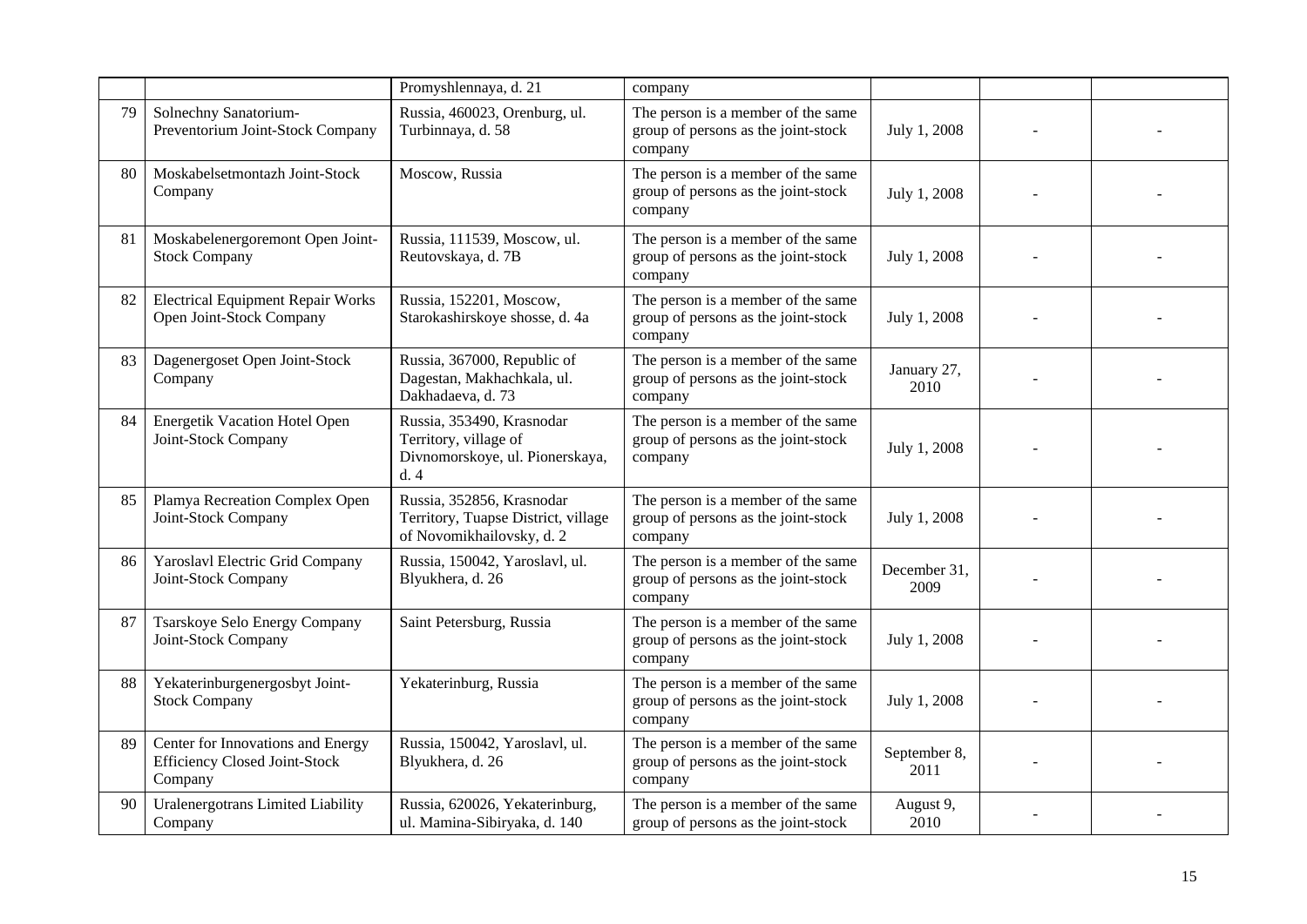|    |                                                                                      | Promyshlennaya, d. 21                                                                         | company                                                                              |                      |  |
|----|--------------------------------------------------------------------------------------|-----------------------------------------------------------------------------------------------|--------------------------------------------------------------------------------------|----------------------|--|
| 79 | Solnechny Sanatorium-<br>Preventorium Joint-Stock Company                            | Russia, 460023, Orenburg, ul.<br>Turbinnaya, d. 58                                            | The person is a member of the same<br>group of persons as the joint-stock<br>company | July 1, 2008         |  |
| 80 | Moskabelsetmontazh Joint-Stock<br>Company                                            | Moscow, Russia                                                                                | The person is a member of the same<br>group of persons as the joint-stock<br>company | July 1, 2008         |  |
| 81 | Moskabelenergoremont Open Joint-<br><b>Stock Company</b>                             | Russia, 111539, Moscow, ul.<br>Reutovskaya, d. 7B                                             | The person is a member of the same<br>group of persons as the joint-stock<br>company | July 1, 2008         |  |
| 82 | <b>Electrical Equipment Repair Works</b><br>Open Joint-Stock Company                 | Russia, 152201, Moscow,<br>Starokashirskoye shosse, d. 4a                                     | The person is a member of the same<br>group of persons as the joint-stock<br>company | July 1, 2008         |  |
| 83 | Dagenergoset Open Joint-Stock<br>Company                                             | Russia, 367000, Republic of<br>Dagestan, Makhachkala, ul.<br>Dakhadaeva, d. 73                | The person is a member of the same<br>group of persons as the joint-stock<br>company | January 27,<br>2010  |  |
| 84 | <b>Energetik Vacation Hotel Open</b><br>Joint-Stock Company                          | Russia, 353490, Krasnodar<br>Territory, village of<br>Divnomorskoye, ul. Pionerskaya,<br>d.4  | The person is a member of the same<br>group of persons as the joint-stock<br>company | July 1, 2008         |  |
| 85 | Plamya Recreation Complex Open<br>Joint-Stock Company                                | Russia, 352856, Krasnodar<br>Territory, Tuapse District, village<br>of Novomikhailovsky, d. 2 | The person is a member of the same<br>group of persons as the joint-stock<br>company | July 1, 2008         |  |
| 86 | Yaroslavl Electric Grid Company<br>Joint-Stock Company                               | Russia, 150042, Yaroslavl, ul.<br>Blyukhera, d. 26                                            | The person is a member of the same<br>group of persons as the joint-stock<br>company | December 31,<br>2009 |  |
| 87 | Tsarskoye Selo Energy Company<br>Joint-Stock Company                                 | Saint Petersburg, Russia                                                                      | The person is a member of the same<br>group of persons as the joint-stock<br>company | July 1, 2008         |  |
| 88 | Yekaterinburgenergosbyt Joint-<br><b>Stock Company</b>                               | Yekaterinburg, Russia                                                                         | The person is a member of the same<br>group of persons as the joint-stock<br>company | July 1, 2008         |  |
| 89 | Center for Innovations and Energy<br><b>Efficiency Closed Joint-Stock</b><br>Company | Russia, 150042, Yaroslavl, ul.<br>Blyukhera, d. 26                                            | The person is a member of the same<br>group of persons as the joint-stock<br>company | September 8,<br>2011 |  |
| 90 | Uralenergotrans Limited Liability<br>Company                                         | Russia, 620026, Yekaterinburg,<br>ul. Mamina-Sibiryaka, d. 140                                | The person is a member of the same<br>group of persons as the joint-stock            | August 9,<br>2010    |  |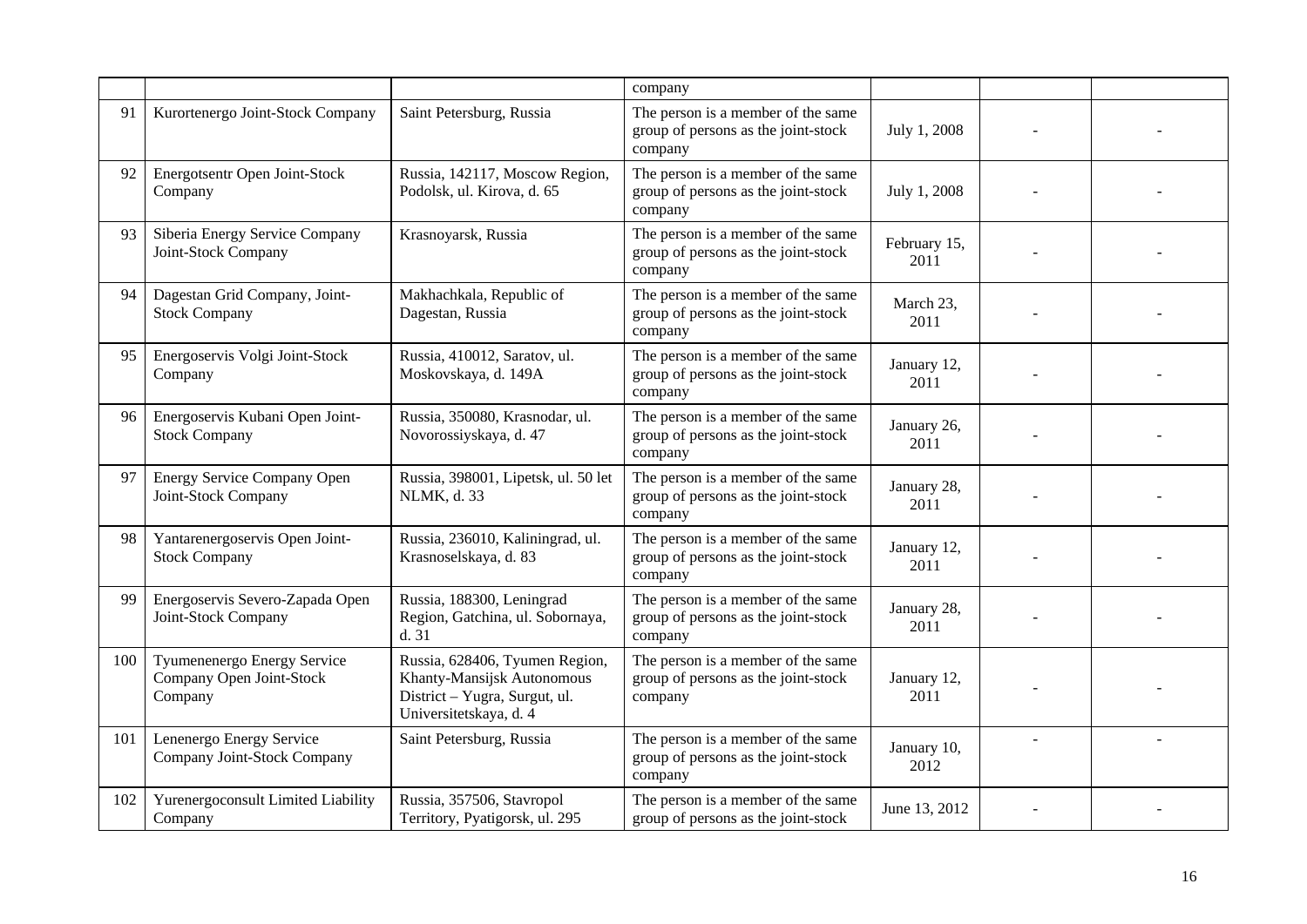|     |                                                                    |                                                                                                                         | company                                                                              |                      |  |
|-----|--------------------------------------------------------------------|-------------------------------------------------------------------------------------------------------------------------|--------------------------------------------------------------------------------------|----------------------|--|
| 91  | Kurortenergo Joint-Stock Company                                   | Saint Petersburg, Russia                                                                                                | The person is a member of the same<br>group of persons as the joint-stock<br>company | July 1, 2008         |  |
| 92  | Energotsentr Open Joint-Stock<br>Company                           | Russia, 142117, Moscow Region,<br>Podolsk, ul. Kirova, d. 65                                                            | The person is a member of the same<br>group of persons as the joint-stock<br>company | July 1, 2008         |  |
| 93  | Siberia Energy Service Company<br>Joint-Stock Company              | Krasnoyarsk, Russia                                                                                                     | The person is a member of the same<br>group of persons as the joint-stock<br>company | February 15,<br>2011 |  |
| 94  | Dagestan Grid Company, Joint-<br><b>Stock Company</b>              | Makhachkala, Republic of<br>Dagestan, Russia                                                                            | The person is a member of the same<br>group of persons as the joint-stock<br>company | March 23,<br>2011    |  |
| 95  | Energoservis Volgi Joint-Stock<br>Company                          | Russia, 410012, Saratov, ul.<br>Moskovskaya, d. 149A                                                                    | The person is a member of the same<br>group of persons as the joint-stock<br>company | January 12,<br>2011  |  |
| 96  | Energoservis Kubani Open Joint-<br><b>Stock Company</b>            | Russia, 350080, Krasnodar, ul.<br>Novorossiyskaya, d. 47                                                                | The person is a member of the same<br>group of persons as the joint-stock<br>company | January 26,<br>2011  |  |
| 97  | Energy Service Company Open<br>Joint-Stock Company                 | Russia, 398001, Lipetsk, ul. 50 let<br>NLMK, d. 33                                                                      | The person is a member of the same<br>group of persons as the joint-stock<br>company | January 28,<br>2011  |  |
| 98  | Yantarenergoservis Open Joint-<br><b>Stock Company</b>             | Russia, 236010, Kaliningrad, ul.<br>Krasnoselskaya, d. 83                                                               | The person is a member of the same<br>group of persons as the joint-stock<br>company | January 12,<br>2011  |  |
| 99  | Energoservis Severo-Zapada Open<br>Joint-Stock Company             | Russia, 188300, Leningrad<br>Region, Gatchina, ul. Sobornaya,<br>d. 31                                                  | The person is a member of the same<br>group of persons as the joint-stock<br>company | January 28,<br>2011  |  |
| 100 | Tyumenenergo Energy Service<br>Company Open Joint-Stock<br>Company | Russia, 628406, Tyumen Region,<br>Khanty-Mansijsk Autonomous<br>District - Yugra, Surgut, ul.<br>Universitetskaya, d. 4 | The person is a member of the same<br>group of persons as the joint-stock<br>company | January 12,<br>2011  |  |
| 101 | Lenenergo Energy Service<br>Company Joint-Stock Company            | Saint Petersburg, Russia                                                                                                | The person is a member of the same<br>group of persons as the joint-stock<br>company | January 10,<br>2012  |  |
| 102 | Yurenergoconsult Limited Liability<br>Company                      | Russia, 357506, Stavropol<br>Territory, Pyatigorsk, ul. 295                                                             | The person is a member of the same<br>group of persons as the joint-stock            | June 13, 2012        |  |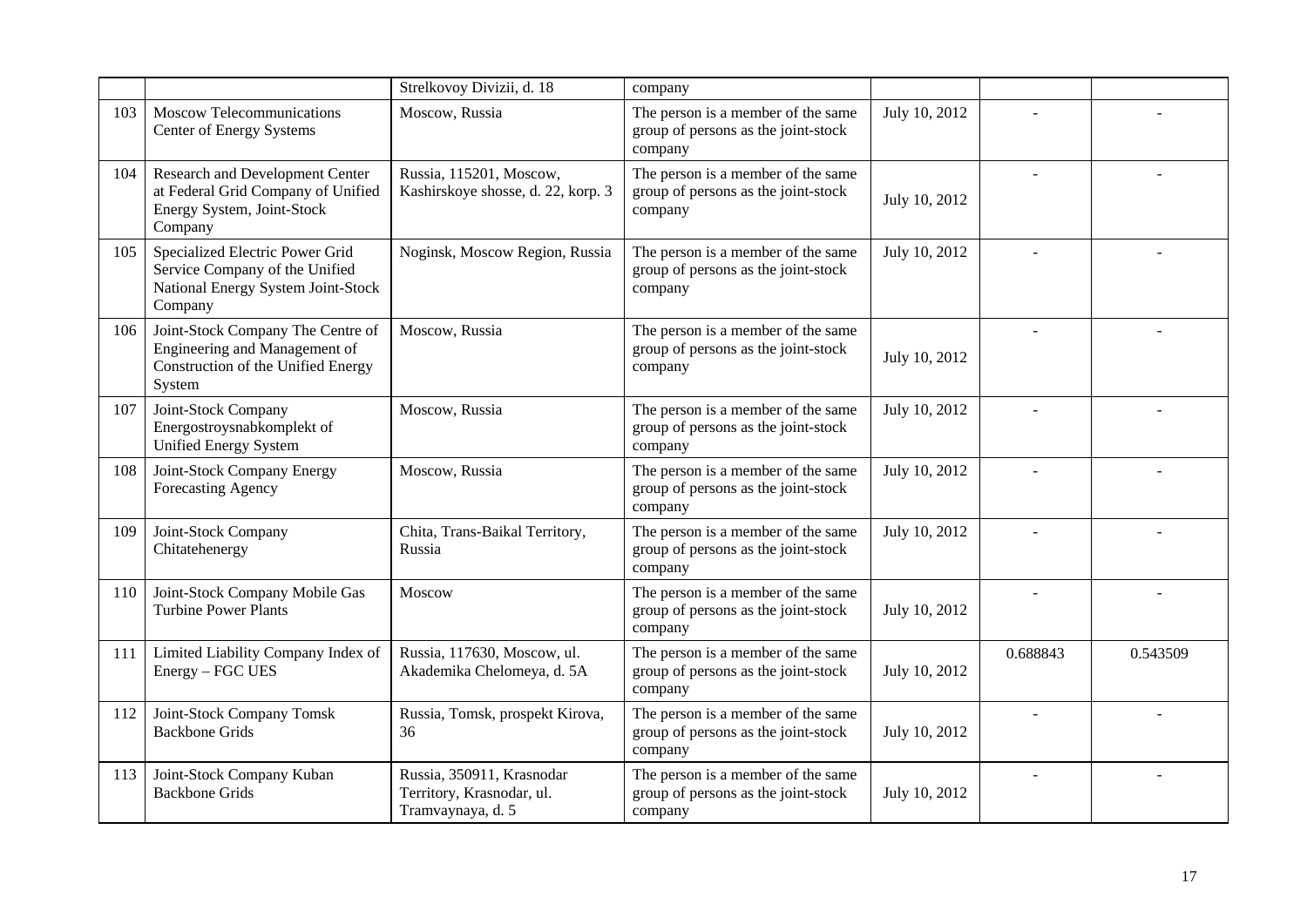|     |                                                                                                                    | Strelkovoy Divizii, d. 18                                                   | company                                                                              |               |          |          |
|-----|--------------------------------------------------------------------------------------------------------------------|-----------------------------------------------------------------------------|--------------------------------------------------------------------------------------|---------------|----------|----------|
| 103 | Moscow Telecommunications<br>Center of Energy Systems                                                              | Moscow, Russia                                                              | The person is a member of the same<br>group of persons as the joint-stock<br>company | July 10, 2012 |          |          |
| 104 | Research and Development Center<br>at Federal Grid Company of Unified<br>Energy System, Joint-Stock<br>Company     | Russia, 115201, Moscow,<br>Kashirskoye shosse, d. 22, korp. 3               | The person is a member of the same<br>group of persons as the joint-stock<br>company | July 10, 2012 |          |          |
| 105 | Specialized Electric Power Grid<br>Service Company of the Unified<br>National Energy System Joint-Stock<br>Company | Noginsk, Moscow Region, Russia                                              | The person is a member of the same<br>group of persons as the joint-stock<br>company | July 10, 2012 |          |          |
| 106 | Joint-Stock Company The Centre of<br>Engineering and Management of<br>Construction of the Unified Energy<br>System | Moscow, Russia                                                              | The person is a member of the same<br>group of persons as the joint-stock<br>company | July 10, 2012 |          |          |
| 107 | Joint-Stock Company<br>Energostroysnabkomplekt of<br><b>Unified Energy System</b>                                  | Moscow, Russia                                                              | The person is a member of the same<br>group of persons as the joint-stock<br>company | July 10, 2012 |          |          |
| 108 | Joint-Stock Company Energy<br>Forecasting Agency                                                                   | Moscow, Russia                                                              | The person is a member of the same<br>group of persons as the joint-stock<br>company | July 10, 2012 |          |          |
| 109 | Joint-Stock Company<br>Chitatehenergy                                                                              | Chita, Trans-Baikal Territory,<br>Russia                                    | The person is a member of the same<br>group of persons as the joint-stock<br>company | July 10, 2012 |          |          |
| 110 | Joint-Stock Company Mobile Gas<br><b>Turbine Power Plants</b>                                                      | Moscow                                                                      | The person is a member of the same<br>group of persons as the joint-stock<br>company | July 10, 2012 |          |          |
| 111 | Limited Liability Company Index of<br>Energy - FGC UES                                                             | Russia, 117630, Moscow, ul.<br>Akademika Chelomeya, d. 5A                   | The person is a member of the same<br>group of persons as the joint-stock<br>company | July 10, 2012 | 0.688843 | 0.543509 |
| 112 | Joint-Stock Company Tomsk<br><b>Backbone Grids</b>                                                                 | Russia, Tomsk, prospekt Kirova,<br>36                                       | The person is a member of the same<br>group of persons as the joint-stock<br>company | July 10, 2012 |          |          |
| 113 | Joint-Stock Company Kuban<br><b>Backbone Grids</b>                                                                 | Russia, 350911, Krasnodar<br>Territory, Krasnodar, ul.<br>Tramvaynaya, d. 5 | The person is a member of the same<br>group of persons as the joint-stock<br>company | July 10, 2012 |          |          |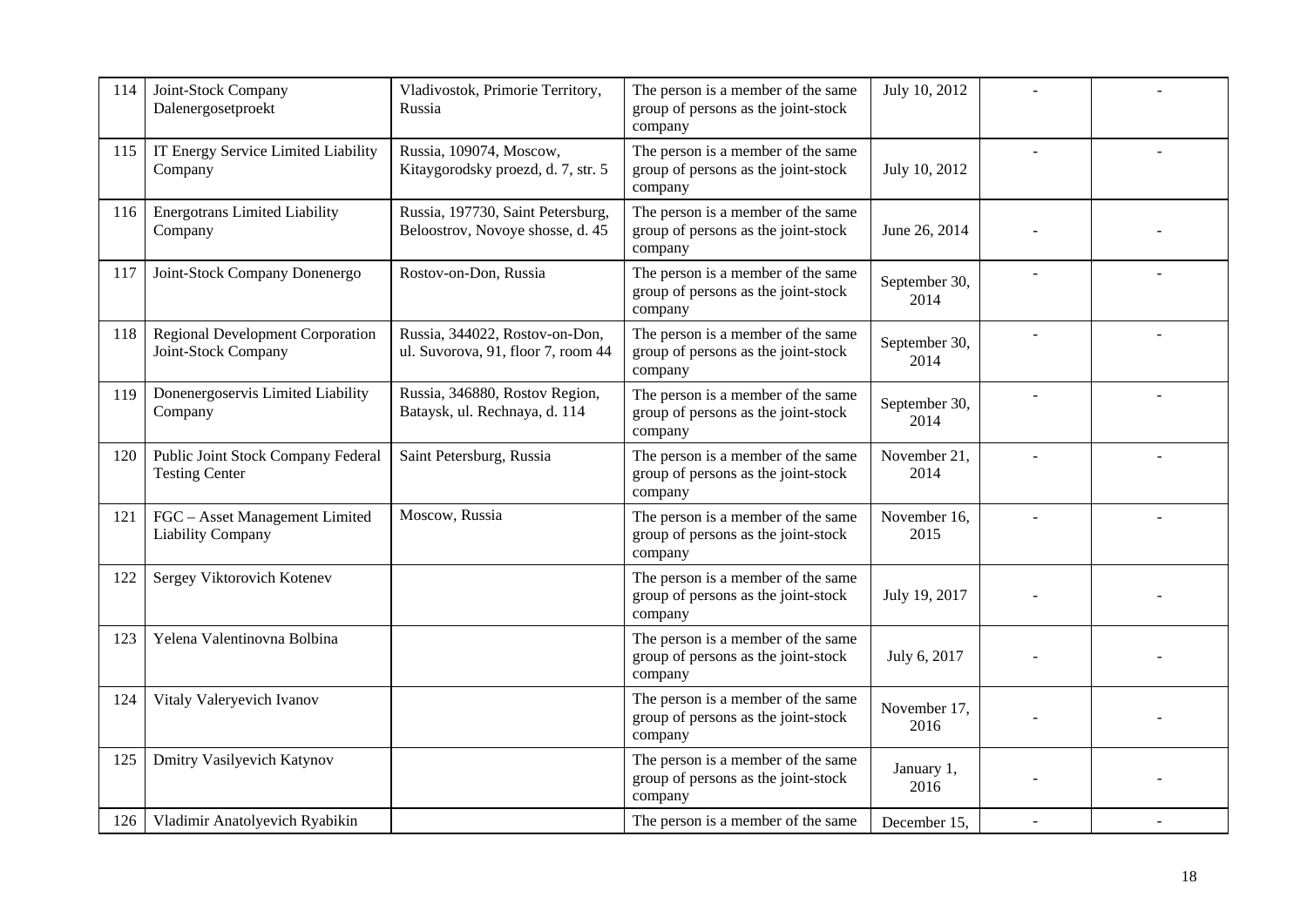| 114 | Joint-Stock Company<br>Dalenergosetproekt                   | Vladivostok, Primorie Territory,<br>Russia                            | The person is a member of the same<br>group of persons as the joint-stock<br>company | July 10, 2012         |  |
|-----|-------------------------------------------------------------|-----------------------------------------------------------------------|--------------------------------------------------------------------------------------|-----------------------|--|
| 115 | IT Energy Service Limited Liability<br>Company              | Russia, 109074, Moscow,<br>Kitaygorodsky proezd, d. 7, str. 5         | The person is a member of the same<br>group of persons as the joint-stock<br>company | July 10, 2012         |  |
| 116 | <b>Energotrans Limited Liability</b><br>Company             | Russia, 197730, Saint Petersburg,<br>Beloostrov, Novoye shosse, d. 45 | The person is a member of the same<br>group of persons as the joint-stock<br>company | June 26, 2014         |  |
| 117 | Joint-Stock Company Donenergo                               | Rostov-on-Don, Russia                                                 | The person is a member of the same<br>group of persons as the joint-stock<br>company | September 30,<br>2014 |  |
| 118 | Regional Development Corporation<br>Joint-Stock Company     | Russia, 344022, Rostov-on-Don,<br>ul. Suvorova, 91, floor 7, room 44  | The person is a member of the same<br>group of persons as the joint-stock<br>company | September 30,<br>2014 |  |
| 119 | Donenergoservis Limited Liability<br>Company                | Russia, 346880, Rostov Region,<br>Bataysk, ul. Rechnaya, d. 114       | The person is a member of the same<br>group of persons as the joint-stock<br>company | September 30,<br>2014 |  |
| 120 | Public Joint Stock Company Federal<br><b>Testing Center</b> | Saint Petersburg, Russia                                              | The person is a member of the same<br>group of persons as the joint-stock<br>company | November 21,<br>2014  |  |
| 121 | FGC - Asset Management Limited<br><b>Liability Company</b>  | Moscow, Russia                                                        | The person is a member of the same<br>group of persons as the joint-stock<br>company | November 16,<br>2015  |  |
| 122 | Sergey Viktorovich Kotenev                                  |                                                                       | The person is a member of the same<br>group of persons as the joint-stock<br>company | July 19, 2017         |  |
| 123 | Yelena Valentinovna Bolbina                                 |                                                                       | The person is a member of the same<br>group of persons as the joint-stock<br>company | July 6, 2017          |  |
| 124 | Vitaly Valeryevich Ivanov                                   |                                                                       | The person is a member of the same<br>group of persons as the joint-stock<br>company | November 17.<br>2016  |  |
| 125 | <b>Dmitry Vasilyevich Katynov</b>                           |                                                                       | The person is a member of the same<br>group of persons as the joint-stock<br>company | January 1,<br>2016    |  |
| 126 | Vladimir Anatolyevich Ryabikin                              |                                                                       | The person is a member of the same                                                   | December 15,          |  |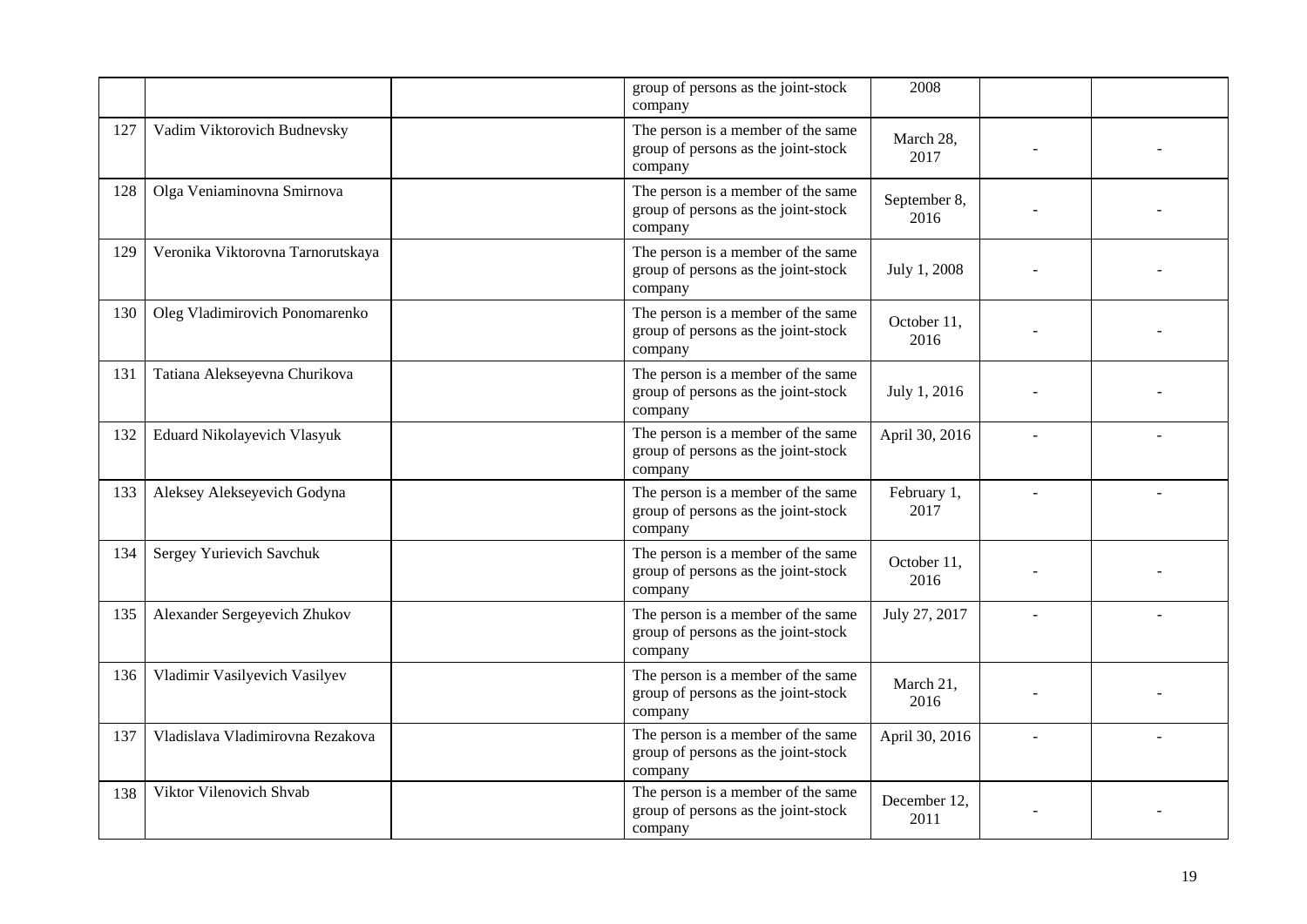|     |                                   | group of persons as the joint-stock<br>company                                       | 2008                 |  |
|-----|-----------------------------------|--------------------------------------------------------------------------------------|----------------------|--|
| 127 | Vadim Viktorovich Budnevsky       | The person is a member of the same<br>group of persons as the joint-stock<br>company | March 28,<br>2017    |  |
| 128 | Olga Veniaminovna Smirnova        | The person is a member of the same<br>group of persons as the joint-stock<br>company | September 8,<br>2016 |  |
| 129 | Veronika Viktorovna Tarnorutskaya | The person is a member of the same<br>group of persons as the joint-stock<br>company | July 1, 2008         |  |
| 130 | Oleg Vladimirovich Ponomarenko    | The person is a member of the same<br>group of persons as the joint-stock<br>company | October 11,<br>2016  |  |
| 131 | Tatiana Alekseyevna Churikova     | The person is a member of the same<br>group of persons as the joint-stock<br>company | July 1, 2016         |  |
| 132 | Eduard Nikolayevich Vlasyuk       | The person is a member of the same<br>group of persons as the joint-stock<br>company | April 30, 2016       |  |
| 133 | Aleksey Alekseyevich Godyna       | The person is a member of the same<br>group of persons as the joint-stock<br>company | February 1,<br>2017  |  |
| 134 | Sergey Yurievich Savchuk          | The person is a member of the same<br>group of persons as the joint-stock<br>company | October 11,<br>2016  |  |
| 135 | Alexander Sergeyevich Zhukov      | The person is a member of the same<br>group of persons as the joint-stock<br>company | July 27, 2017        |  |
| 136 | Vladimir Vasilyevich Vasilyev     | The person is a member of the same<br>group of persons as the joint-stock<br>company | March 21,<br>2016    |  |
| 137 | Vladislava Vladimirovna Rezakova  | The person is a member of the same<br>group of persons as the joint-stock<br>company | April 30, 2016       |  |
| 138 | Viktor Vilenovich Shvab           | The person is a member of the same<br>group of persons as the joint-stock<br>company | December 12,<br>2011 |  |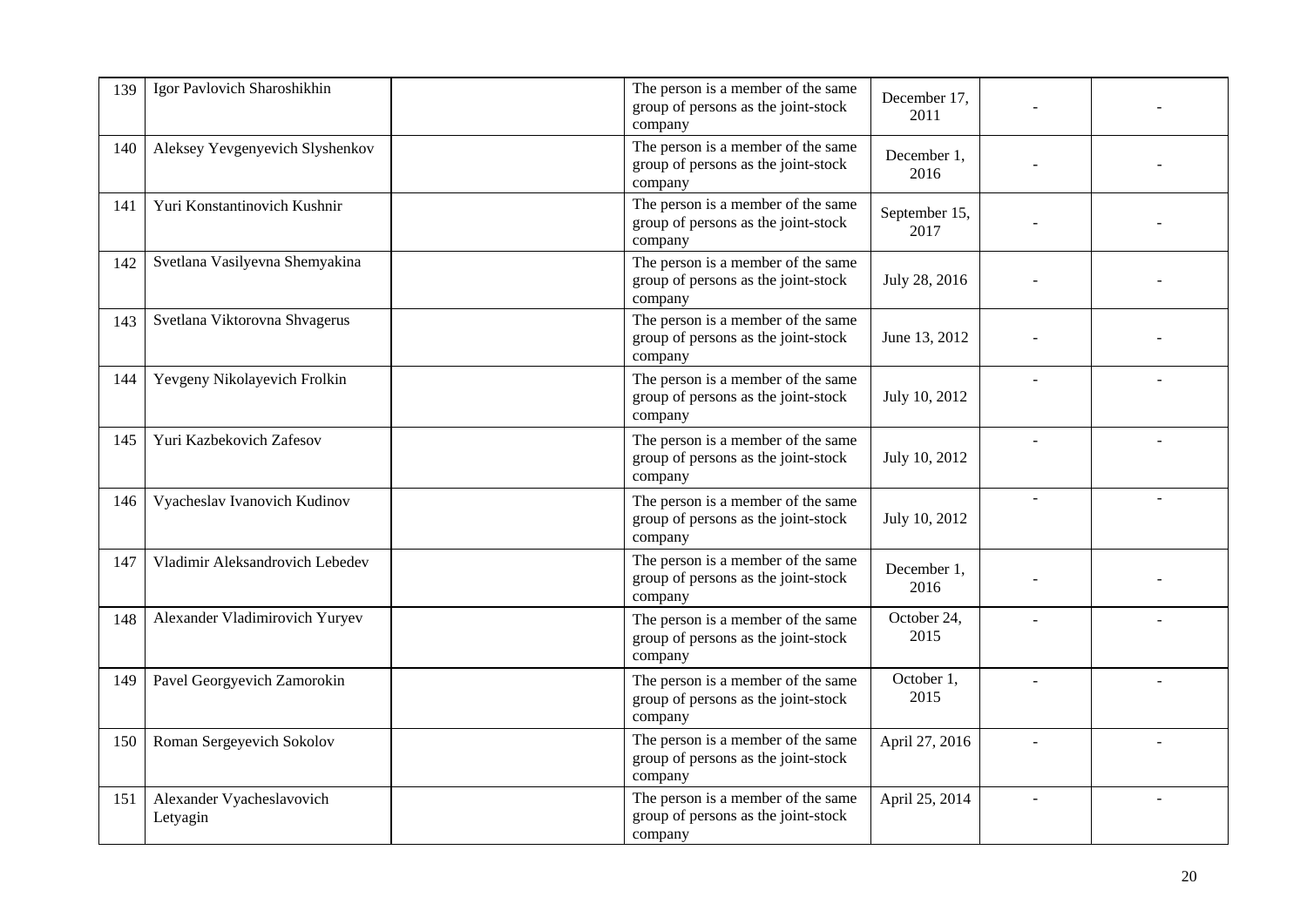| 139 | Igor Pavlovich Sharoshikhin           | The person is a member of the same<br>group of persons as the joint-stock<br>company | December 17,<br>2011  |  |
|-----|---------------------------------------|--------------------------------------------------------------------------------------|-----------------------|--|
| 140 | Aleksey Yevgenyevich Slyshenkov       | The person is a member of the same<br>group of persons as the joint-stock<br>company | December 1,<br>2016   |  |
| 141 | Yuri Konstantinovich Kushnir          | The person is a member of the same<br>group of persons as the joint-stock<br>company | September 15,<br>2017 |  |
| 142 | Svetlana Vasilyevna Shemyakina        | The person is a member of the same<br>group of persons as the joint-stock<br>company | July 28, 2016         |  |
| 143 | Svetlana Viktorovna Shvagerus         | The person is a member of the same<br>group of persons as the joint-stock<br>company | June 13, 2012         |  |
| 144 | Yevgeny Nikolayevich Frolkin          | The person is a member of the same<br>group of persons as the joint-stock<br>company | July 10, 2012         |  |
| 145 | Yuri Kazbekovich Zafesov              | The person is a member of the same<br>group of persons as the joint-stock<br>company | July 10, 2012         |  |
| 146 | Vyacheslav Ivanovich Kudinov          | The person is a member of the same<br>group of persons as the joint-stock<br>company | July 10, 2012         |  |
| 147 | Vladimir Aleksandrovich Lebedev       | The person is a member of the same<br>group of persons as the joint-stock<br>company | December 1,<br>2016   |  |
| 148 | Alexander Vladimirovich Yuryev        | The person is a member of the same<br>group of persons as the joint-stock<br>company | October 24,<br>2015   |  |
| 149 | Pavel Georgyevich Zamorokin           | The person is a member of the same<br>group of persons as the joint-stock<br>company | October 1,<br>2015    |  |
| 150 | Roman Sergeyevich Sokolov             | The person is a member of the same<br>group of persons as the joint-stock<br>company | April 27, 2016        |  |
| 151 | Alexander Vyacheslavovich<br>Letyagin | The person is a member of the same<br>group of persons as the joint-stock<br>company | April 25, 2014        |  |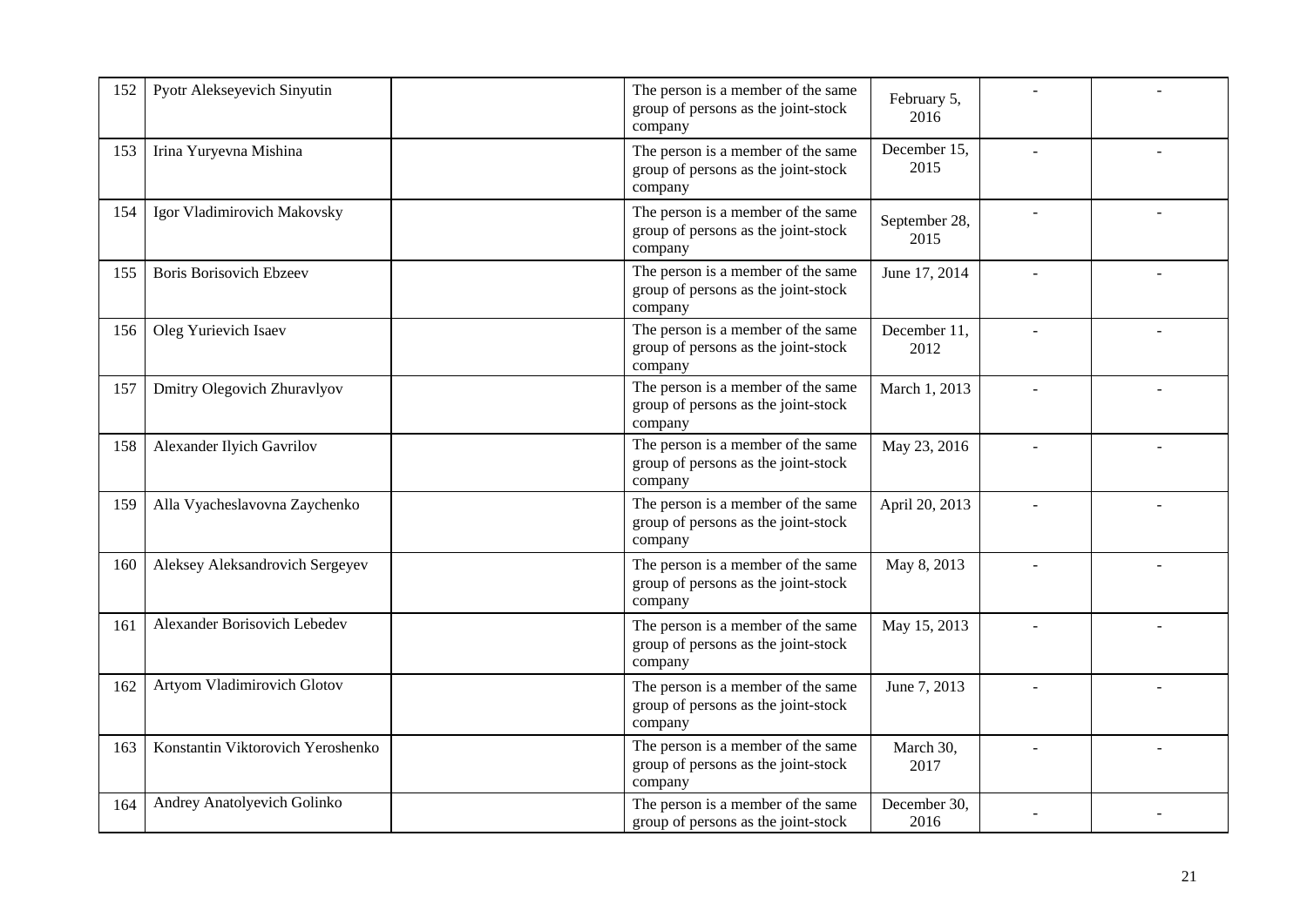| 152 | Pyotr Alekseyevich Sinyutin       | The person is a member of the same<br>group of persons as the joint-stock<br>company | February 5,<br>2016   |  |
|-----|-----------------------------------|--------------------------------------------------------------------------------------|-----------------------|--|
| 153 | Irina Yuryevna Mishina            | The person is a member of the same<br>group of persons as the joint-stock<br>company | December 15,<br>2015  |  |
| 154 | Igor Vladimirovich Makovsky       | The person is a member of the same<br>group of persons as the joint-stock<br>company | September 28,<br>2015 |  |
| 155 | <b>Boris Borisovich Ebzeev</b>    | The person is a member of the same<br>group of persons as the joint-stock<br>company | June 17, 2014         |  |
| 156 | Oleg Yurievich Isaev              | The person is a member of the same<br>group of persons as the joint-stock<br>company | December 11,<br>2012  |  |
| 157 | Dmitry Olegovich Zhuravlyov       | The person is a member of the same<br>group of persons as the joint-stock<br>company | March 1, 2013         |  |
| 158 | Alexander Ilyich Gavrilov         | The person is a member of the same<br>group of persons as the joint-stock<br>company | May 23, 2016          |  |
| 159 | Alla Vyacheslavovna Zaychenko     | The person is a member of the same<br>group of persons as the joint-stock<br>company | April 20, 2013        |  |
| 160 | Aleksey Aleksandrovich Sergeyev   | The person is a member of the same<br>group of persons as the joint-stock<br>company | May 8, 2013           |  |
| 161 | Alexander Borisovich Lebedev      | The person is a member of the same<br>group of persons as the joint-stock<br>company | May 15, 2013          |  |
| 162 | Artyom Vladimirovich Glotov       | The person is a member of the same<br>group of persons as the joint-stock<br>company | June 7, 2013          |  |
| 163 | Konstantin Viktorovich Yeroshenko | The person is a member of the same<br>group of persons as the joint-stock<br>company | March 30,<br>2017     |  |
| 164 | Andrey Anatolyevich Golinko       | The person is a member of the same<br>group of persons as the joint-stock            | December 30,<br>2016  |  |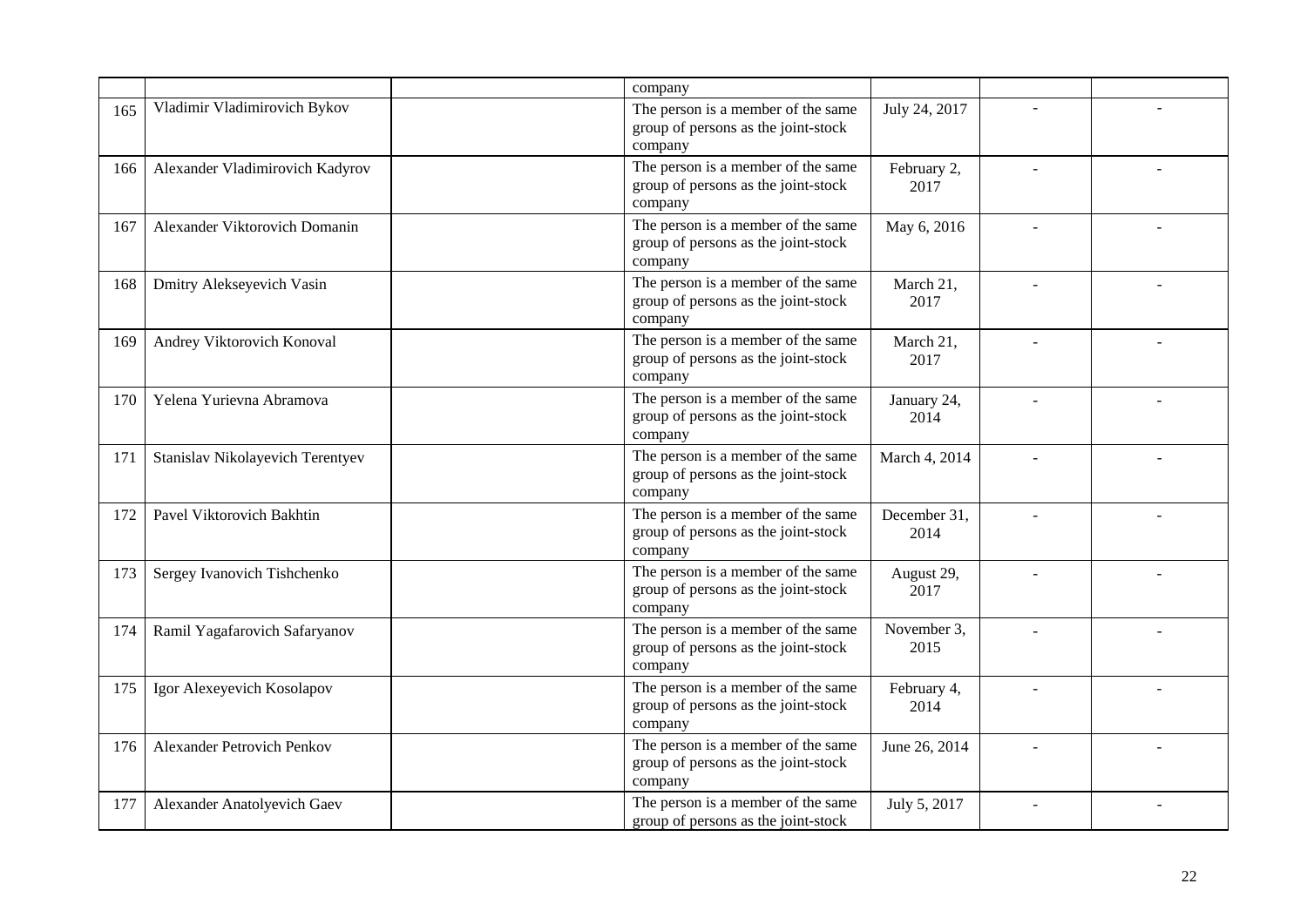|     |                                  | company                                                                              |                      |  |
|-----|----------------------------------|--------------------------------------------------------------------------------------|----------------------|--|
| 165 | Vladimir Vladimirovich Bykov     | The person is a member of the same<br>group of persons as the joint-stock<br>company | July 24, 2017        |  |
| 166 | Alexander Vladimirovich Kadyrov  | The person is a member of the same<br>group of persons as the joint-stock<br>company | February 2,<br>2017  |  |
| 167 | Alexander Viktorovich Domanin    | The person is a member of the same<br>group of persons as the joint-stock<br>company | May 6, 2016          |  |
| 168 | Dmitry Alekseyevich Vasin        | The person is a member of the same<br>group of persons as the joint-stock<br>company | March 21,<br>2017    |  |
| 169 | Andrey Viktorovich Konoval       | The person is a member of the same<br>group of persons as the joint-stock<br>company | March 21,<br>2017    |  |
| 170 | Yelena Yurievna Abramova         | The person is a member of the same<br>group of persons as the joint-stock<br>company | January 24,<br>2014  |  |
| 171 | Stanislav Nikolayevich Terentyev | The person is a member of the same<br>group of persons as the joint-stock<br>company | March 4, 2014        |  |
| 172 | Pavel Viktorovich Bakhtin        | The person is a member of the same<br>group of persons as the joint-stock<br>company | December 31,<br>2014 |  |
| 173 | Sergey Ivanovich Tishchenko      | The person is a member of the same<br>group of persons as the joint-stock<br>company | August 29,<br>2017   |  |
| 174 | Ramil Yagafarovich Safaryanov    | The person is a member of the same<br>group of persons as the joint-stock<br>company | November 3,<br>2015  |  |
| 175 | Igor Alexeyevich Kosolapov       | The person is a member of the same<br>group of persons as the joint-stock<br>company | February 4,<br>2014  |  |
| 176 | Alexander Petrovich Penkov       | The person is a member of the same<br>group of persons as the joint-stock<br>company | June 26, 2014        |  |
| 177 | Alexander Anatolyevich Gaev      | The person is a member of the same<br>group of persons as the joint-stock            | July 5, 2017         |  |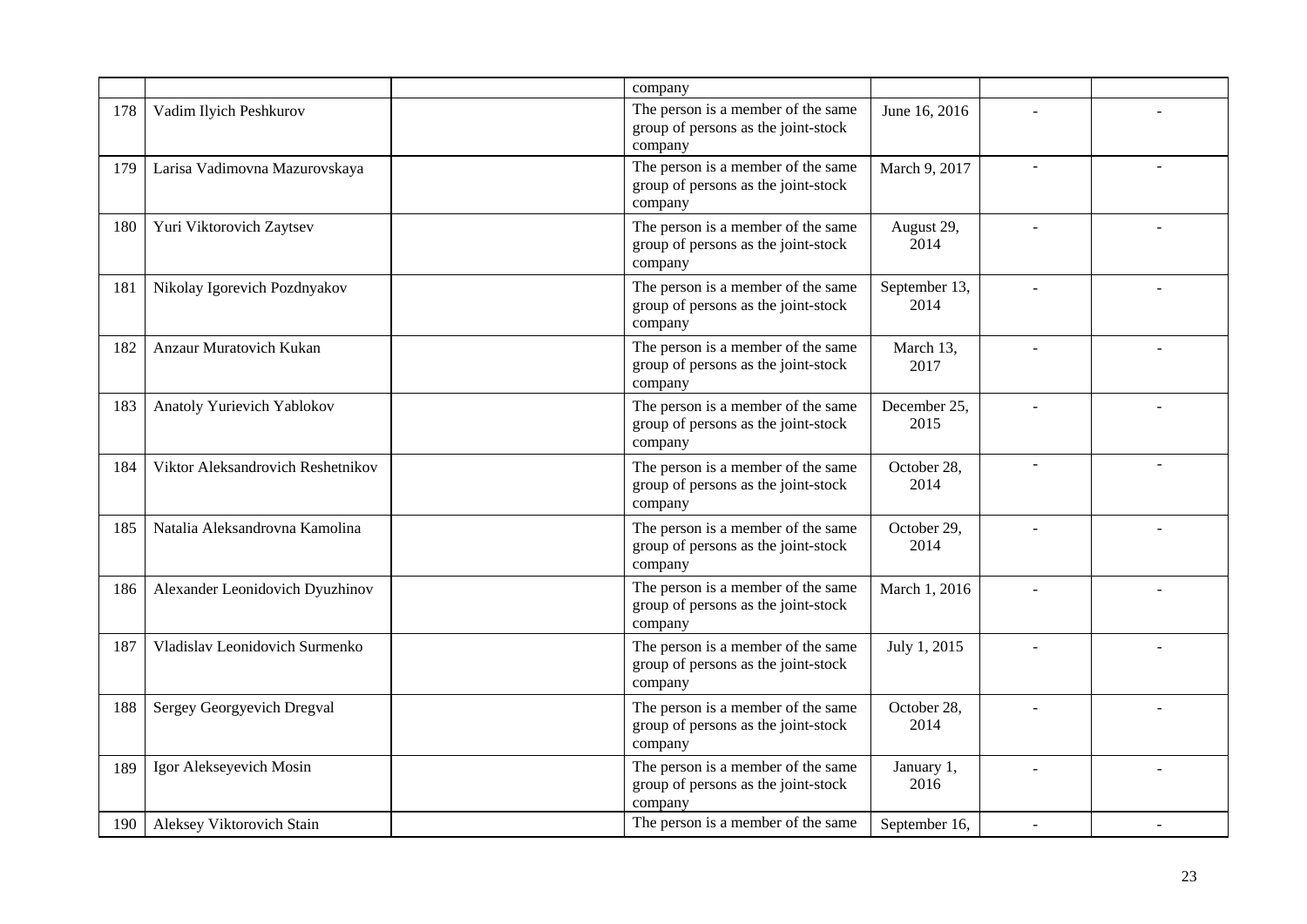|     |                                   | company                                                                              |                       |    |  |
|-----|-----------------------------------|--------------------------------------------------------------------------------------|-----------------------|----|--|
| 178 | Vadim Ilyich Peshkurov            | The person is a member of the same<br>group of persons as the joint-stock<br>company | June 16, 2016         |    |  |
| 179 | Larisa Vadimovna Mazurovskaya     | The person is a member of the same<br>group of persons as the joint-stock<br>company | March 9, 2017         |    |  |
| 180 | Yuri Viktorovich Zaytsev          | The person is a member of the same<br>group of persons as the joint-stock<br>company | August 29,<br>2014    |    |  |
| 181 | Nikolay Igorevich Pozdnyakov      | The person is a member of the same<br>group of persons as the joint-stock<br>company | September 13,<br>2014 |    |  |
| 182 | Anzaur Muratovich Kukan           | The person is a member of the same<br>group of persons as the joint-stock<br>company | March 13,<br>2017     |    |  |
| 183 | Anatoly Yurievich Yablokov        | The person is a member of the same<br>group of persons as the joint-stock<br>company | December 25,<br>2015  |    |  |
| 184 | Viktor Aleksandrovich Reshetnikov | The person is a member of the same<br>group of persons as the joint-stock<br>company | October 28,<br>2014   |    |  |
| 185 | Natalia Aleksandrovna Kamolina    | The person is a member of the same<br>group of persons as the joint-stock<br>company | October 29,<br>2014   | L. |  |
| 186 | Alexander Leonidovich Dyuzhinov   | The person is a member of the same<br>group of persons as the joint-stock<br>company | March 1, 2016         |    |  |
| 187 | Vladislav Leonidovich Surmenko    | The person is a member of the same<br>group of persons as the joint-stock<br>company | July 1, 2015          |    |  |
| 188 | Sergey Georgyevich Dregval        | The person is a member of the same<br>group of persons as the joint-stock<br>company | October 28,<br>2014   |    |  |
| 189 | Igor Alekseyevich Mosin           | The person is a member of the same<br>group of persons as the joint-stock<br>company | January 1,<br>2016    |    |  |
| 190 | Aleksey Viktorovich Stain         | The person is a member of the same                                                   | September 16,         |    |  |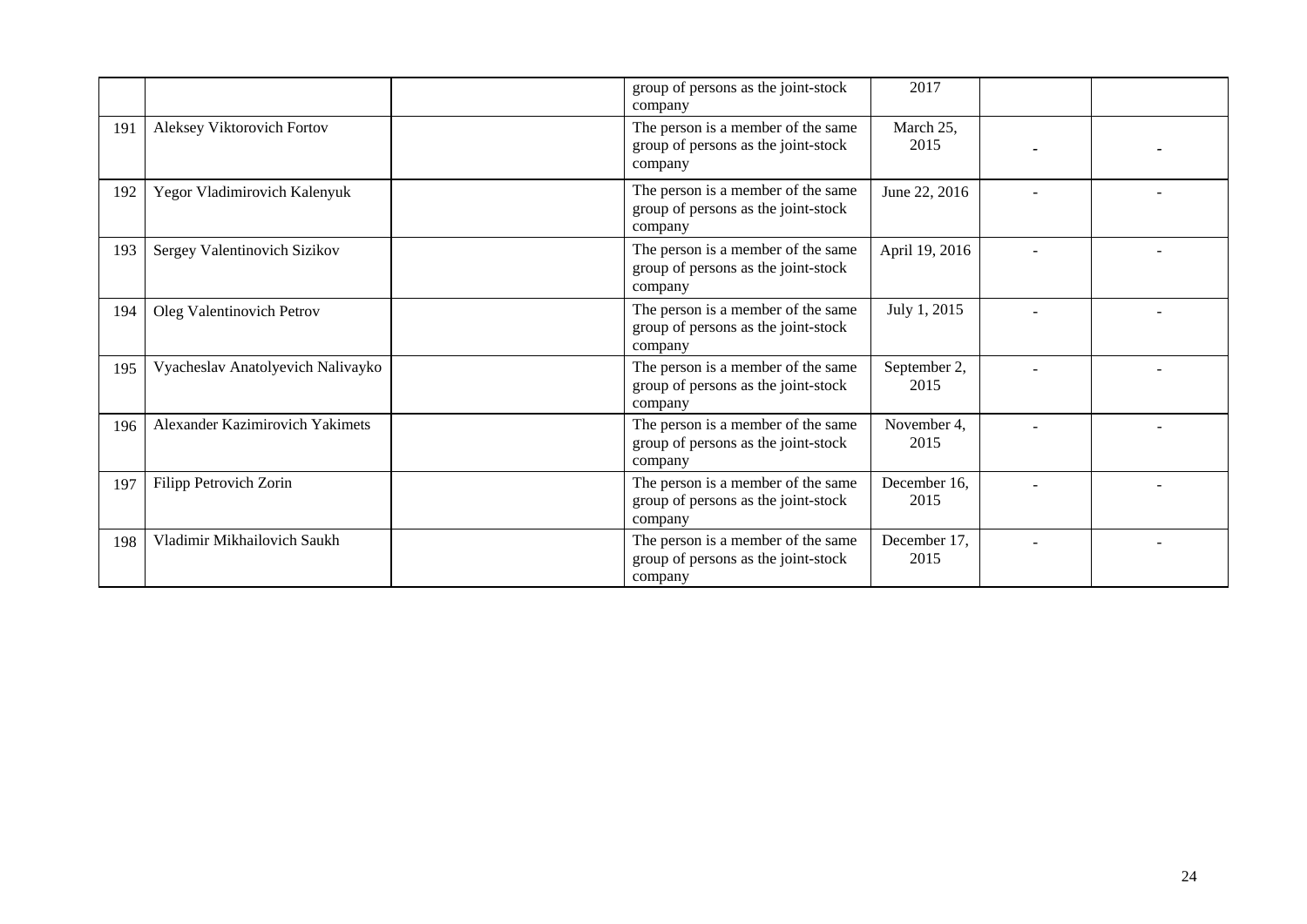|     |                                   | group of persons as the joint-stock<br>company                                       | 2017                 |  |
|-----|-----------------------------------|--------------------------------------------------------------------------------------|----------------------|--|
| 191 | Aleksey Viktorovich Fortov        | The person is a member of the same<br>group of persons as the joint-stock<br>company | March 25,<br>2015    |  |
| 192 | Yegor Vladimirovich Kalenyuk      | The person is a member of the same<br>group of persons as the joint-stock<br>company | June 22, 2016        |  |
| 193 | Sergey Valentinovich Sizikov      | The person is a member of the same<br>group of persons as the joint-stock<br>company | April 19, 2016       |  |
| 194 | Oleg Valentinovich Petrov         | The person is a member of the same<br>group of persons as the joint-stock<br>company | July 1, 2015         |  |
| 195 | Vyacheslav Anatolyevich Nalivayko | The person is a member of the same<br>group of persons as the joint-stock<br>company | September 2,<br>2015 |  |
| 196 | Alexander Kazimirovich Yakimets   | The person is a member of the same<br>group of persons as the joint-stock<br>company | November 4,<br>2015  |  |
| 197 | Filipp Petrovich Zorin            | The person is a member of the same<br>group of persons as the joint-stock<br>company | December 16,<br>2015 |  |
| 198 | Vladimir Mikhailovich Saukh       | The person is a member of the same<br>group of persons as the joint-stock<br>company | December 17,<br>2015 |  |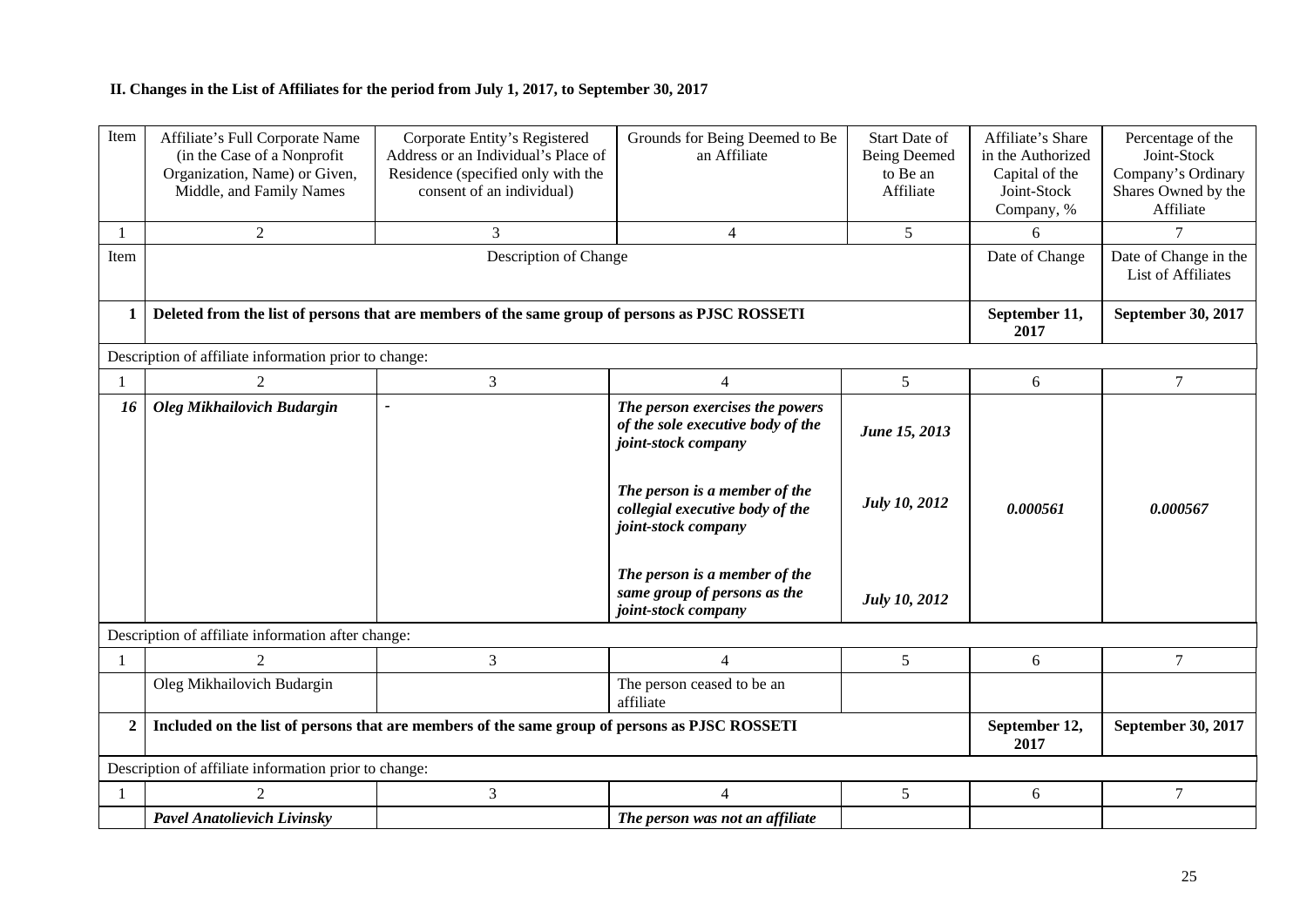## **II. Changes in the List of Affiliates for the period from July 1, 2017, to September 30, 2017**

| Item           | Affiliate's Full Corporate Name<br>(in the Case of a Nonprofit<br>Organization, Name) or Given,<br>Middle, and Family Names | Corporate Entity's Registered<br>Address or an Individual's Place of<br>Residence (specified only with the<br>consent of an individual) | Grounds for Being Deemed to Be<br>an Affiliate                                                                                                                                                                                                                                 | <b>Start Date of</b><br><b>Being Deemed</b><br>to Be an<br>Affiliate | Affiliate's Share<br>in the Authorized<br>Capital of the<br>Joint-Stock<br>Company, % | Percentage of the<br>Joint-Stock<br>Company's Ordinary<br>Shares Owned by the<br>Affiliate |
|----------------|-----------------------------------------------------------------------------------------------------------------------------|-----------------------------------------------------------------------------------------------------------------------------------------|--------------------------------------------------------------------------------------------------------------------------------------------------------------------------------------------------------------------------------------------------------------------------------|----------------------------------------------------------------------|---------------------------------------------------------------------------------------|--------------------------------------------------------------------------------------------|
|                | $\overline{2}$                                                                                                              | 3                                                                                                                                       | 4                                                                                                                                                                                                                                                                              | 5                                                                    | 6                                                                                     | 7                                                                                          |
| Item           |                                                                                                                             |                                                                                                                                         | Date of Change                                                                                                                                                                                                                                                                 | Date of Change in the<br><b>List of Affiliates</b>                   |                                                                                       |                                                                                            |
| 1              |                                                                                                                             | Deleted from the list of persons that are members of the same group of persons as PJSC ROSSETI                                          |                                                                                                                                                                                                                                                                                |                                                                      | September 11,<br>2017                                                                 | September 30, 2017                                                                         |
|                | Description of affiliate information prior to change:                                                                       |                                                                                                                                         |                                                                                                                                                                                                                                                                                |                                                                      |                                                                                       |                                                                                            |
|                | 2                                                                                                                           | 3                                                                                                                                       | $\overline{4}$                                                                                                                                                                                                                                                                 | 5 <sup>5</sup>                                                       | 6                                                                                     | $\tau$                                                                                     |
| 16             | Oleg Mikhailovich Budargin                                                                                                  | $\tilde{\phantom{a}}$                                                                                                                   | The person exercises the powers<br>of the sole executive body of the<br>joint-stock company<br>The person is a member of the<br>collegial executive body of the<br>joint-stock company<br>The person is a member of the<br>same group of persons as the<br>joint-stock company | June 15, 2013<br><b>July 10, 2012</b><br><b>July 10, 2012</b>        | 0.000561                                                                              | 0.000567                                                                                   |
|                | Description of affiliate information after change:                                                                          |                                                                                                                                         |                                                                                                                                                                                                                                                                                |                                                                      |                                                                                       |                                                                                            |
|                | 2                                                                                                                           | 3                                                                                                                                       | $\overline{4}$                                                                                                                                                                                                                                                                 | 5                                                                    | 6                                                                                     | $\tau$                                                                                     |
|                | Oleg Mikhailovich Budargin                                                                                                  |                                                                                                                                         | The person ceased to be an<br>affiliate                                                                                                                                                                                                                                        |                                                                      |                                                                                       |                                                                                            |
| $\overline{2}$ |                                                                                                                             | Included on the list of persons that are members of the same group of persons as PJSC ROSSETI                                           |                                                                                                                                                                                                                                                                                |                                                                      | September 12,<br>2017                                                                 | September 30, 2017                                                                         |
|                | Description of affiliate information prior to change:                                                                       |                                                                                                                                         |                                                                                                                                                                                                                                                                                |                                                                      |                                                                                       |                                                                                            |
|                | $\overline{2}$                                                                                                              | 3                                                                                                                                       | $\overline{4}$                                                                                                                                                                                                                                                                 | 5                                                                    | 6                                                                                     | $\tau$                                                                                     |
|                | <b>Pavel Anatolievich Livinsky</b>                                                                                          |                                                                                                                                         | The person was not an affiliate                                                                                                                                                                                                                                                |                                                                      |                                                                                       |                                                                                            |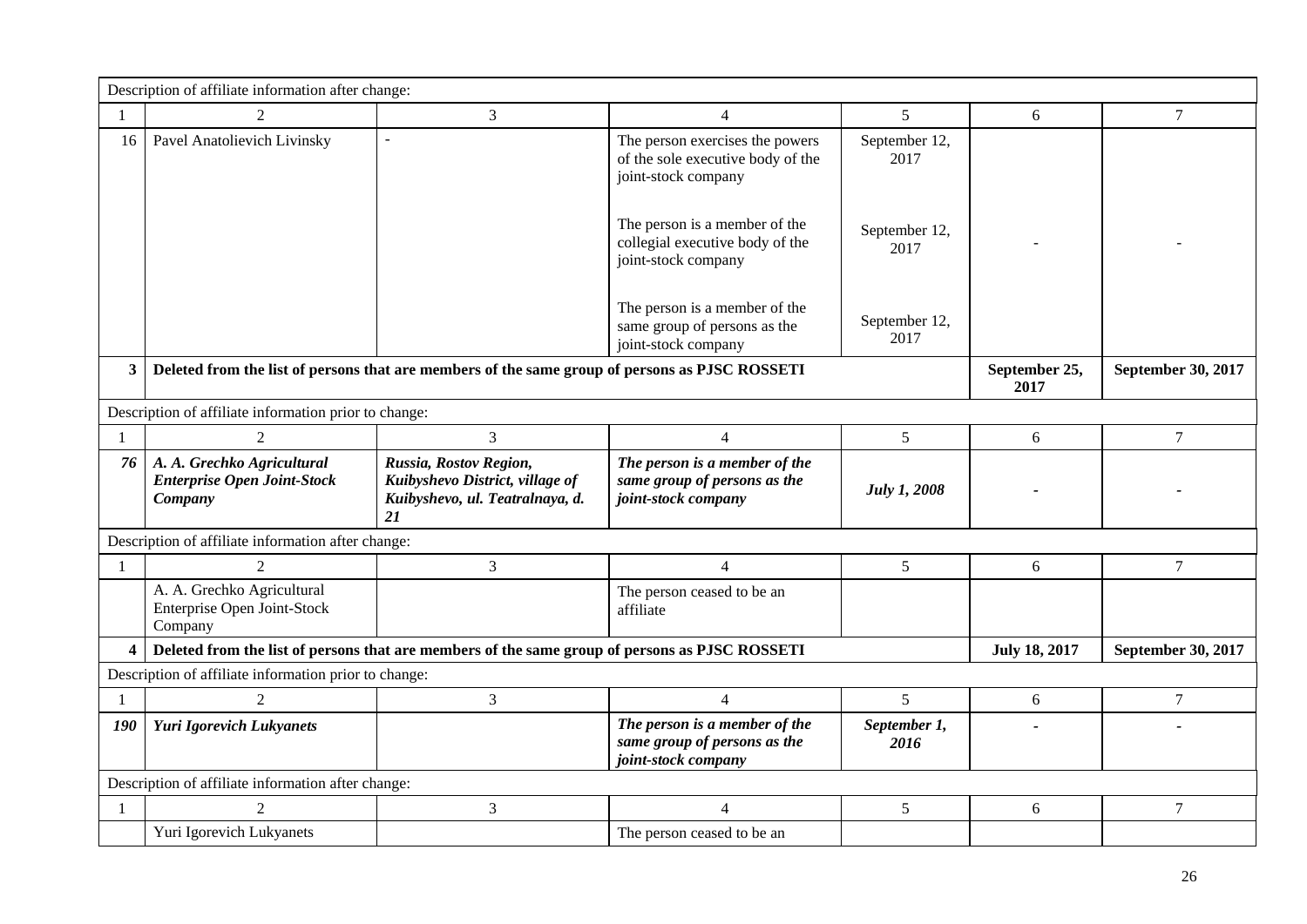|                         | Description of affiliate information after change:                                             |                                                                                                    |                                                                                             |                       |                      |                    |  |
|-------------------------|------------------------------------------------------------------------------------------------|----------------------------------------------------------------------------------------------------|---------------------------------------------------------------------------------------------|-----------------------|----------------------|--------------------|--|
| -1                      | $\overline{2}$                                                                                 | $\overline{3}$                                                                                     | $\overline{4}$                                                                              | 5                     | 6                    | $\overline{7}$     |  |
| 16                      | Pavel Anatolievich Livinsky                                                                    | $\blacksquare$                                                                                     | The person exercises the powers<br>of the sole executive body of the<br>joint-stock company | September 12,<br>2017 |                      |                    |  |
|                         |                                                                                                |                                                                                                    | The person is a member of the<br>collegial executive body of the<br>joint-stock company     | September 12,<br>2017 |                      |                    |  |
|                         |                                                                                                |                                                                                                    | The person is a member of the<br>same group of persons as the<br>joint-stock company        | September 12,<br>2017 |                      |                    |  |
| 3 <sup>1</sup>          | Deleted from the list of persons that are members of the same group of persons as PJSC ROSSETI |                                                                                                    | September 25,<br>2017                                                                       | September 30, 2017    |                      |                    |  |
|                         | Description of affiliate information prior to change:                                          |                                                                                                    |                                                                                             |                       |                      |                    |  |
| 1                       | 2                                                                                              | 3                                                                                                  | $\overline{4}$                                                                              | 5                     | 6                    | $\tau$             |  |
| 76                      | A. A. Grechko Agricultural<br><b>Enterprise Open Joint-Stock</b><br>Company                    | Russia, Rostov Region,<br>Kuibyshevo District, village of<br>Kuibyshevo, ul. Teatralnaya, d.<br>21 | The person is a member of the<br>same group of persons as the<br>joint-stock company        | <b>July 1, 2008</b>   |                      |                    |  |
|                         | Description of affiliate information after change:                                             |                                                                                                    |                                                                                             |                       |                      |                    |  |
| -1                      | 2                                                                                              | $\mathfrak{Z}$                                                                                     | $\overline{4}$                                                                              | 5                     | 6                    | $\overline{7}$     |  |
|                         | A. A. Grechko Agricultural<br>Enterprise Open Joint-Stock<br>Company                           |                                                                                                    | The person ceased to be an<br>affiliate                                                     |                       |                      |                    |  |
| $\overline{\mathbf{4}}$ |                                                                                                | Deleted from the list of persons that are members of the same group of persons as PJSC ROSSETI     |                                                                                             |                       | <b>July 18, 2017</b> | September 30, 2017 |  |
|                         | Description of affiliate information prior to change:                                          |                                                                                                    |                                                                                             |                       |                      |                    |  |
| 1                       | 2                                                                                              | 3                                                                                                  | $\overline{4}$                                                                              | $5^{\circ}$           | 6                    | $\tau$             |  |
| 190                     | <b>Yuri Igorevich Lukyanets</b>                                                                |                                                                                                    | The person is a member of the<br>same group of persons as the<br>joint-stock company        | September 1,<br>2016  |                      |                    |  |
|                         | Description of affiliate information after change:                                             |                                                                                                    |                                                                                             |                       |                      |                    |  |
| $\mathbf{1}$            | $\overline{2}$                                                                                 | $\mathfrak{Z}$                                                                                     | $\overline{4}$                                                                              | 5                     | 6                    | $\overline{7}$     |  |
|                         | Yuri Igorevich Lukyanets                                                                       |                                                                                                    | The person ceased to be an                                                                  |                       |                      |                    |  |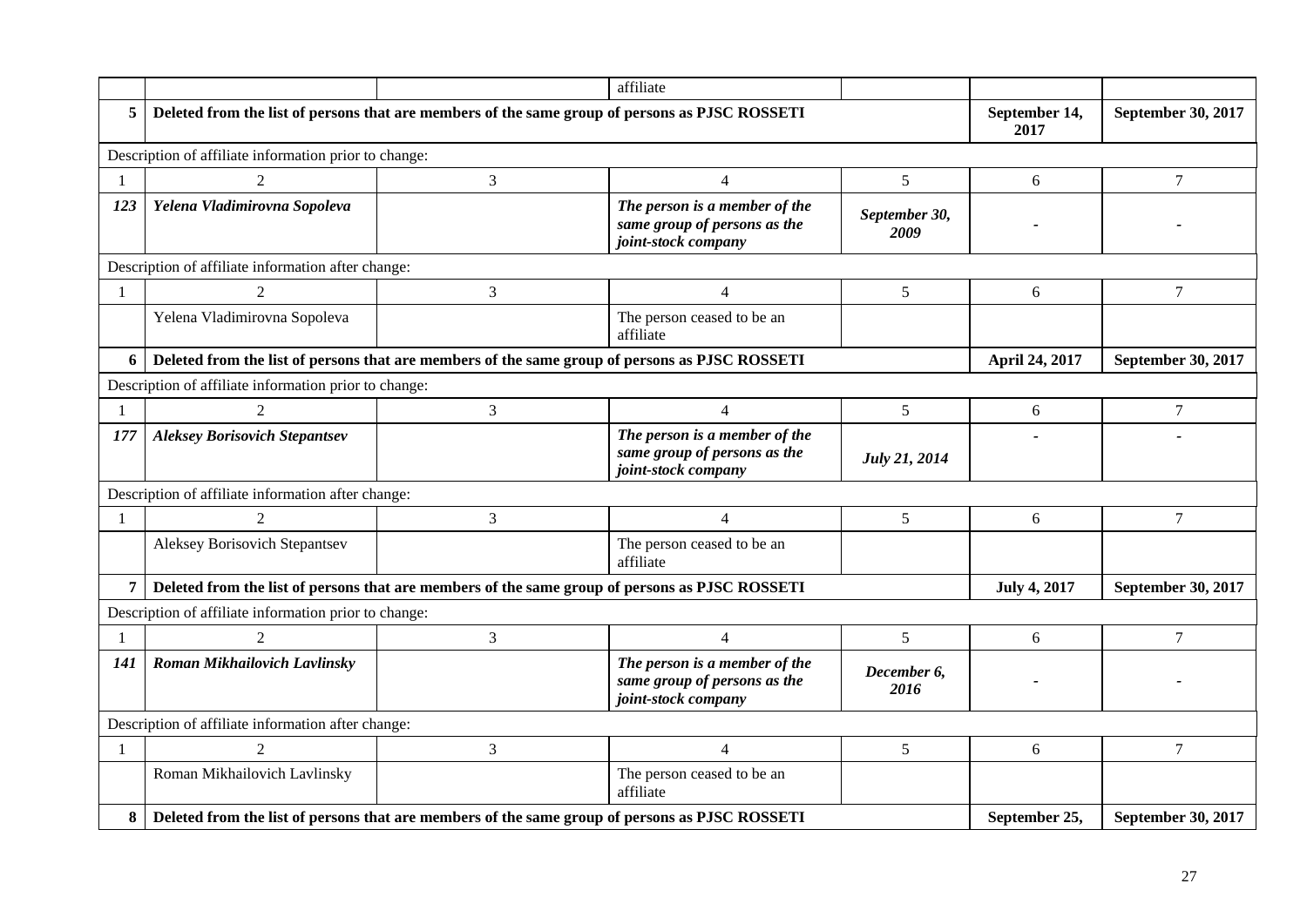|                |                                                       |                                                                                                | affiliate                                                                            |                       |                       |                    |  |
|----------------|-------------------------------------------------------|------------------------------------------------------------------------------------------------|--------------------------------------------------------------------------------------|-----------------------|-----------------------|--------------------|--|
| 5              |                                                       | Deleted from the list of persons that are members of the same group of persons as PJSC ROSSETI |                                                                                      |                       | September 14,<br>2017 | September 30, 2017 |  |
|                | Description of affiliate information prior to change: |                                                                                                |                                                                                      |                       |                       |                    |  |
| $\mathbf{1}$   | 2                                                     | $\mathfrak{Z}$                                                                                 | $\overline{4}$                                                                       | 5                     | 6                     | 7                  |  |
| 123            | Yelena Vladimirovna Sopoleva                          |                                                                                                | The person is a member of the<br>same group of persons as the<br>joint-stock company | September 30,<br>2009 |                       |                    |  |
|                | Description of affiliate information after change:    |                                                                                                |                                                                                      |                       |                       |                    |  |
|                | $\mathfrak{D}$                                        | 3                                                                                              | $\overline{4}$                                                                       | 5                     | 6                     | $\tau$             |  |
|                | Yelena Vladimirovna Sopoleva                          |                                                                                                | The person ceased to be an<br>affiliate                                              |                       |                       |                    |  |
| 6              |                                                       | Deleted from the list of persons that are members of the same group of persons as PJSC ROSSETI |                                                                                      |                       | April 24, 2017        | September 30, 2017 |  |
|                | Description of affiliate information prior to change: |                                                                                                |                                                                                      |                       |                       |                    |  |
| 1              | 2                                                     | 3                                                                                              | $\overline{4}$                                                                       | 5                     | 6                     | 7                  |  |
| 177            | <b>Aleksey Borisovich Stepantsev</b>                  |                                                                                                | The person is a member of the<br>same group of persons as the<br>joint-stock company | July 21, 2014         |                       |                    |  |
|                | Description of affiliate information after change:    |                                                                                                |                                                                                      |                       |                       |                    |  |
| 1              | $\overline{2}$                                        | $\mathfrak{Z}$                                                                                 | $\overline{4}$                                                                       | 5                     | 6                     | $\tau$             |  |
|                | Aleksey Borisovich Stepantsev                         |                                                                                                | The person ceased to be an<br>affiliate                                              |                       |                       |                    |  |
| $\overline{7}$ |                                                       | Deleted from the list of persons that are members of the same group of persons as PJSC ROSSETI |                                                                                      |                       | <b>July 4, 2017</b>   | September 30, 2017 |  |
|                | Description of affiliate information prior to change: |                                                                                                |                                                                                      |                       |                       |                    |  |
| -1             | 2                                                     | $\overline{3}$                                                                                 | $\overline{4}$                                                                       | 5                     | 6                     | 7                  |  |
| 141            | Roman Mikhailovich Lavlinsky                          |                                                                                                | The person is a member of the<br>same group of persons as the<br>joint-stock company | December 6,<br>2016   |                       |                    |  |
|                | Description of affiliate information after change:    |                                                                                                |                                                                                      |                       |                       |                    |  |
| $\mathbf{1}$   | $\mathfrak{D}$                                        | 3                                                                                              | $\overline{4}$                                                                       | 5                     | 6                     | $\tau$             |  |
|                | Roman Mikhailovich Lavlinsky                          |                                                                                                | The person ceased to be an<br>affiliate                                              |                       |                       |                    |  |
| 8              |                                                       | Deleted from the list of persons that are members of the same group of persons as PJSC ROSSETI |                                                                                      |                       | September 25,         | September 30, 2017 |  |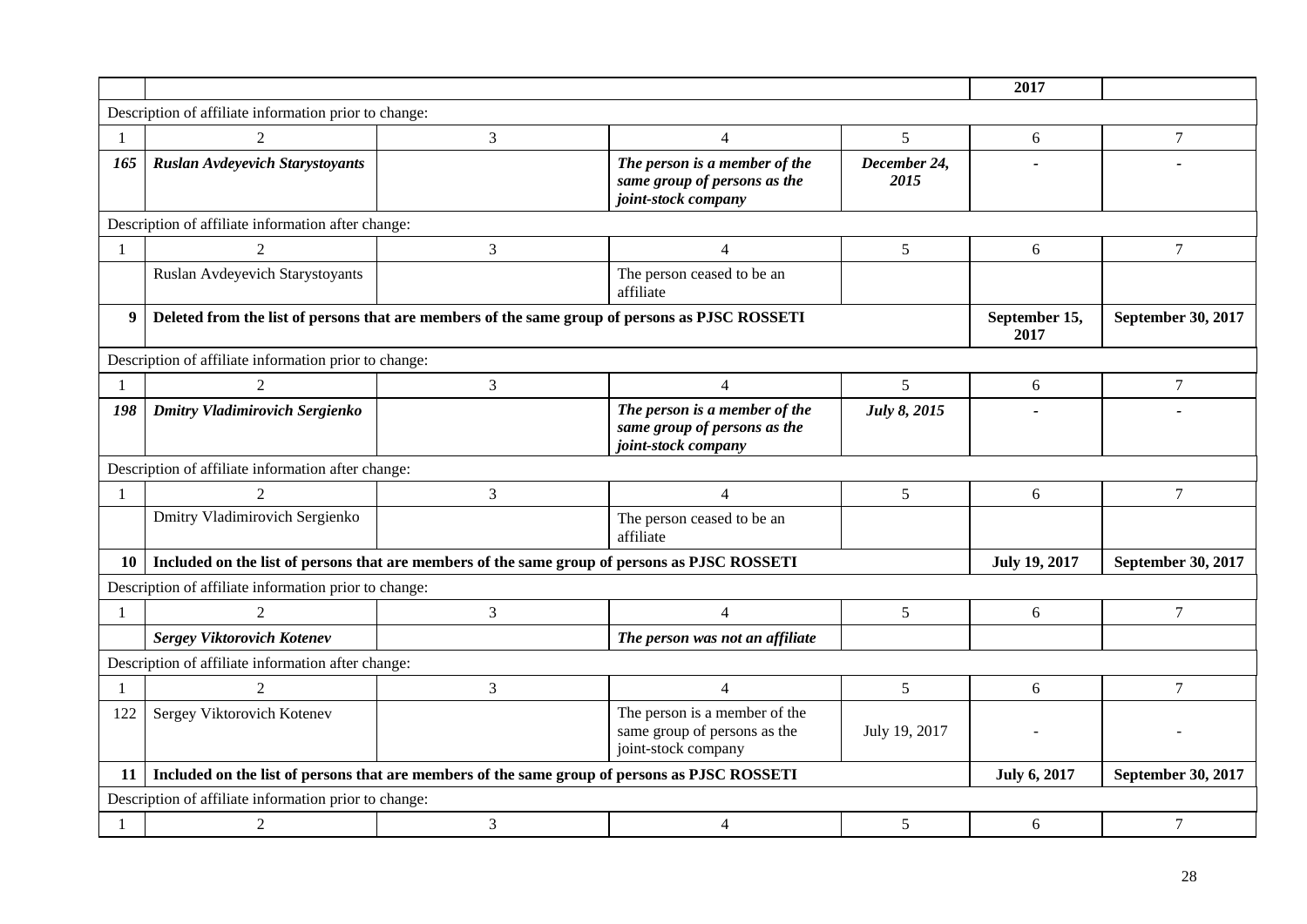|                |                                                                                                |                                                                                               |                                                                                      | 2017                 |                      |                    |  |  |
|----------------|------------------------------------------------------------------------------------------------|-----------------------------------------------------------------------------------------------|--------------------------------------------------------------------------------------|----------------------|----------------------|--------------------|--|--|
|                | Description of affiliate information prior to change:                                          |                                                                                               |                                                                                      |                      |                      |                    |  |  |
| $\overline{1}$ | $\overline{2}$                                                                                 | 3                                                                                             | $\overline{4}$                                                                       | 5                    | 6                    | 7                  |  |  |
| 165            | <b>Ruslan Avdeyevich Starystoyants</b>                                                         |                                                                                               | The person is a member of the<br>same group of persons as the<br>joint-stock company | December 24,<br>2015 |                      |                    |  |  |
|                | Description of affiliate information after change:                                             |                                                                                               |                                                                                      |                      |                      |                    |  |  |
| $\mathbf{1}$   | $\mathfrak{D}$                                                                                 | 3                                                                                             | $\overline{4}$                                                                       | 5                    | 6                    | 7                  |  |  |
|                | Ruslan Avdeyevich Starystoyants                                                                |                                                                                               | The person ceased to be an<br>affiliate                                              |                      |                      |                    |  |  |
| 9              | Deleted from the list of persons that are members of the same group of persons as PJSC ROSSETI |                                                                                               | September 15,<br>2017                                                                | September 30, 2017   |                      |                    |  |  |
|                | Description of affiliate information prior to change:                                          |                                                                                               |                                                                                      |                      |                      |                    |  |  |
|                | $\mathfrak{D}$                                                                                 | 3                                                                                             | $\overline{4}$                                                                       | 5                    | 6                    | $\overline{7}$     |  |  |
| 198            | <b>Dmitry Vladimirovich Sergienko</b>                                                          |                                                                                               | The person is a member of the<br>same group of persons as the<br>joint-stock company | July 8, 2015         |                      |                    |  |  |
|                | Description of affiliate information after change:                                             |                                                                                               |                                                                                      |                      |                      |                    |  |  |
| -1             |                                                                                                | 3                                                                                             | $\overline{4}$                                                                       | 5                    | 6                    | 7                  |  |  |
|                | Dmitry Vladimirovich Sergienko                                                                 |                                                                                               | The person ceased to be an<br>affiliate                                              |                      |                      |                    |  |  |
| 10             |                                                                                                | Included on the list of persons that are members of the same group of persons as PJSC ROSSETI |                                                                                      |                      | <b>July 19, 2017</b> | September 30, 2017 |  |  |
|                | Description of affiliate information prior to change:                                          |                                                                                               |                                                                                      |                      |                      |                    |  |  |
| $\overline{1}$ | $\mathfrak{D}$                                                                                 | 3                                                                                             | $\overline{4}$                                                                       | 5                    | 6                    | $\overline{7}$     |  |  |
|                | <b>Sergey Viktorovich Kotenev</b>                                                              |                                                                                               | The person was not an affiliate                                                      |                      |                      |                    |  |  |
|                | Description of affiliate information after change:                                             |                                                                                               |                                                                                      |                      |                      |                    |  |  |
| -1             | 2                                                                                              | $\mathfrak{Z}$                                                                                | $\overline{4}$                                                                       | 5                    | 6                    | 7                  |  |  |
| 122            | Sergey Viktorovich Kotenev                                                                     |                                                                                               | The person is a member of the<br>same group of persons as the<br>joint-stock company | July 19, 2017        |                      |                    |  |  |
| 11             |                                                                                                | Included on the list of persons that are members of the same group of persons as PJSC ROSSETI |                                                                                      |                      | <b>July 6, 2017</b>  | September 30, 2017 |  |  |
|                | Description of affiliate information prior to change:                                          |                                                                                               |                                                                                      |                      |                      |                    |  |  |
| $\overline{1}$ | 2                                                                                              | 3                                                                                             | $\overline{4}$                                                                       | 5                    | 6                    | 7                  |  |  |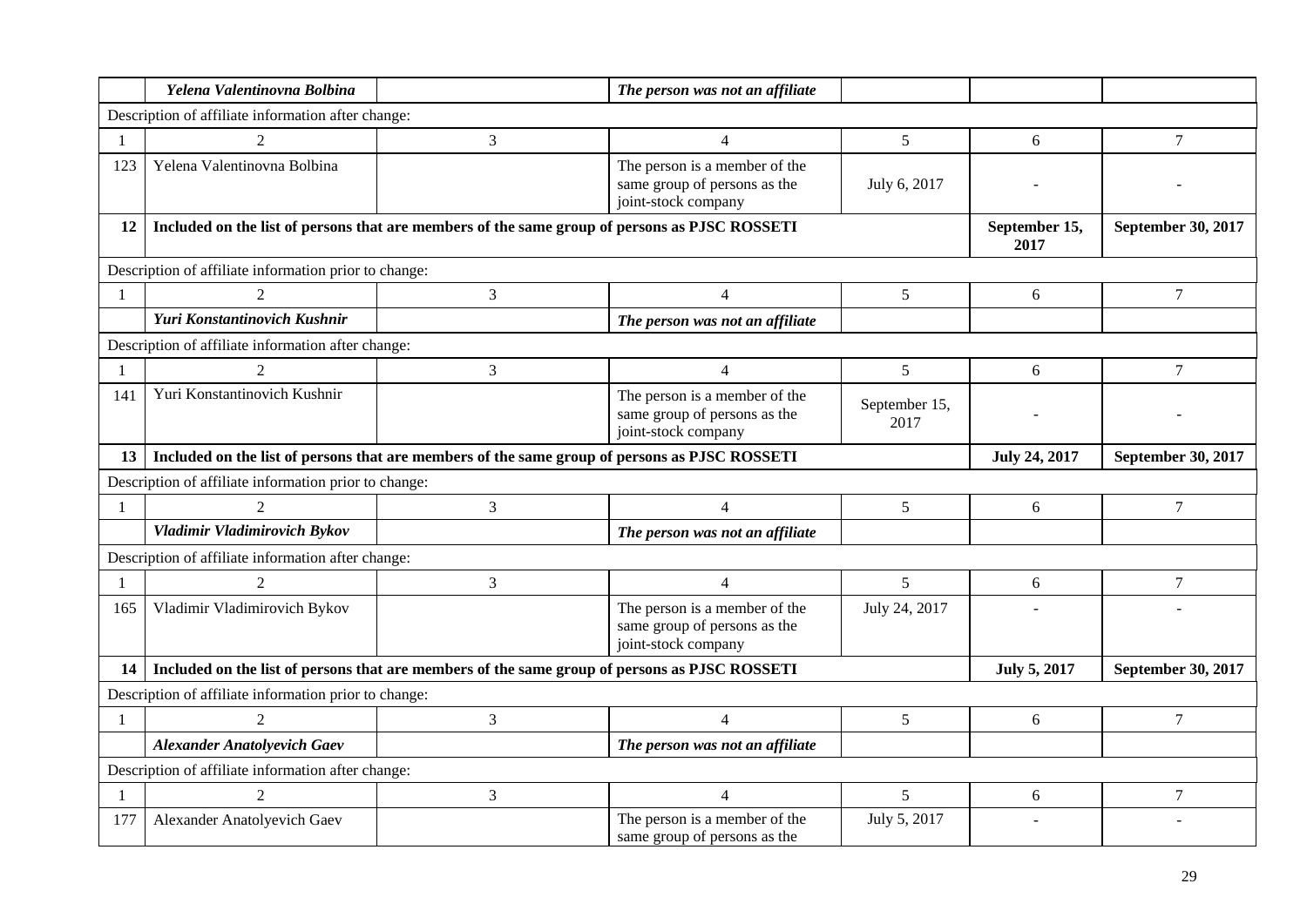|                  | Yelena Valentinovna Bolbina                                                                   |                                                                                               | The person was not an affiliate                                                      |                           |                       |                    |
|------------------|-----------------------------------------------------------------------------------------------|-----------------------------------------------------------------------------------------------|--------------------------------------------------------------------------------------|---------------------------|-----------------------|--------------------|
|                  | Description of affiliate information after change:                                            |                                                                                               |                                                                                      |                           |                       |                    |
|                  | $\mathfrak{D}$                                                                                | 3                                                                                             | $\overline{4}$                                                                       | 5                         | 6                     | 7                  |
| 123              | Yelena Valentinovna Bolbina                                                                   |                                                                                               | The person is a member of the<br>same group of persons as the<br>joint-stock company | July 6, 2017              |                       |                    |
| 12               |                                                                                               | Included on the list of persons that are members of the same group of persons as PJSC ROSSETI |                                                                                      |                           | September 15,<br>2017 | September 30, 2017 |
|                  | Description of affiliate information prior to change:                                         |                                                                                               |                                                                                      |                           |                       |                    |
|                  | $\mathcal{D}_{\mathcal{L}}$                                                                   | 3                                                                                             | $\overline{4}$                                                                       | 5                         | 6                     | $\tau$             |
|                  | Yuri Konstantinovich Kushnir                                                                  |                                                                                               | The person was not an affiliate                                                      |                           |                       |                    |
|                  | Description of affiliate information after change:                                            |                                                                                               |                                                                                      |                           |                       |                    |
|                  |                                                                                               | 3                                                                                             | $\overline{4}$                                                                       | 5                         | 6                     | $\tau$             |
| 141              | Yuri Konstantinovich Kushnir                                                                  |                                                                                               | The person is a member of the<br>same group of persons as the<br>joint-stock company | September 15,<br>2017     |                       |                    |
| 13 <sup>13</sup> | Included on the list of persons that are members of the same group of persons as PJSC ROSSETI |                                                                                               | <b>July 24, 2017</b>                                                                 | <b>September 30, 2017</b> |                       |                    |
|                  | Description of affiliate information prior to change:                                         |                                                                                               |                                                                                      |                           |                       |                    |
| 1                | $\mathcal{D}_{\mathcal{L}}$                                                                   | 3                                                                                             | $\overline{4}$                                                                       | 5                         | 6                     | 7                  |
|                  | Vladimir Vladimirovich Bykov                                                                  |                                                                                               | The person was not an affiliate                                                      |                           |                       |                    |
|                  | Description of affiliate information after change:                                            |                                                                                               |                                                                                      |                           |                       |                    |
|                  | $\overline{2}$                                                                                | 3                                                                                             | $\overline{4}$                                                                       | 5                         | 6                     | 7                  |
| 165              | Vladimir Vladimirovich Bykov                                                                  |                                                                                               | The person is a member of the<br>same group of persons as the<br>joint-stock company | July 24, 2017             |                       |                    |
| 14               |                                                                                               | Included on the list of persons that are members of the same group of persons as PJSC ROSSETI |                                                                                      |                           | <b>July 5, 2017</b>   | September 30, 2017 |
|                  | Description of affiliate information prior to change:                                         |                                                                                               |                                                                                      |                           |                       |                    |
|                  | 2                                                                                             | 3                                                                                             | $\overline{4}$                                                                       | 5                         | 6                     | $\tau$             |
|                  | <b>Alexander Anatolyevich Gaev</b>                                                            |                                                                                               | The person was not an affiliate                                                      |                           |                       |                    |
|                  | Description of affiliate information after change:                                            |                                                                                               |                                                                                      |                           |                       |                    |
| -1               | 2                                                                                             | $\mathfrak{Z}$                                                                                | $\overline{4}$                                                                       | $5\overline{)}$           | 6                     | $\tau$             |
| 177              | Alexander Anatolyevich Gaev                                                                   |                                                                                               | The person is a member of the<br>same group of persons as the                        | July 5, 2017              |                       |                    |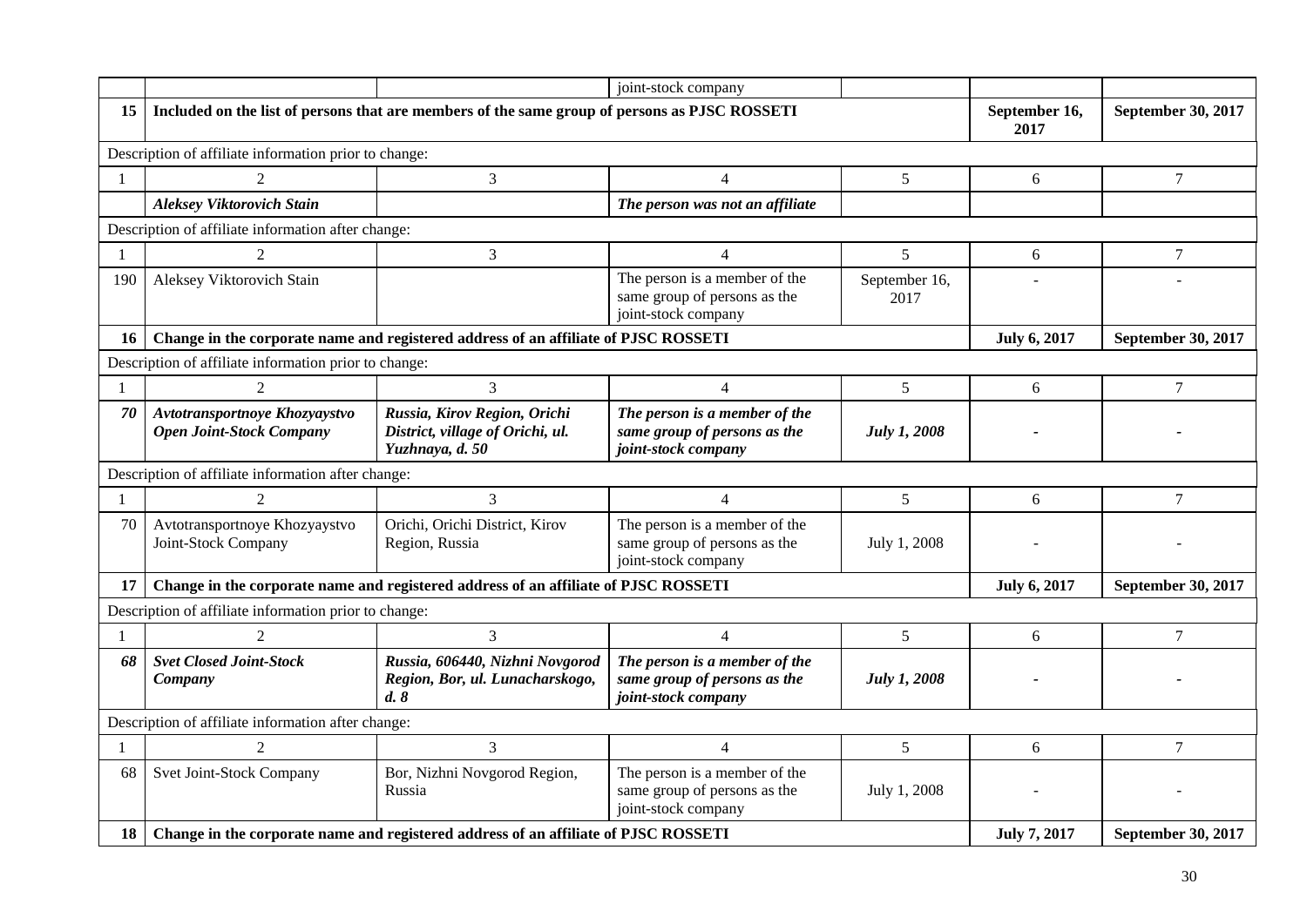|              |                                                                  |                                                                                               | joint-stock company                                                                  |                       |                       |                           |
|--------------|------------------------------------------------------------------|-----------------------------------------------------------------------------------------------|--------------------------------------------------------------------------------------|-----------------------|-----------------------|---------------------------|
| 15           |                                                                  | Included on the list of persons that are members of the same group of persons as PJSC ROSSETI |                                                                                      |                       | September 16,<br>2017 | September 30, 2017        |
|              | Description of affiliate information prior to change:            |                                                                                               |                                                                                      |                       |                       |                           |
| $\mathbf{1}$ | 2                                                                | 3                                                                                             | $\overline{4}$                                                                       | 5                     | 6                     | 7                         |
|              | <b>Aleksey Viktorovich Stain</b>                                 |                                                                                               | The person was not an affiliate                                                      |                       |                       |                           |
|              | Description of affiliate information after change:               |                                                                                               |                                                                                      |                       |                       |                           |
|              | $\mathfrak{D}$                                                   | 3                                                                                             | $\overline{4}$                                                                       | 5                     | 6                     | 7                         |
| 190          | Aleksey Viktorovich Stain                                        |                                                                                               | The person is a member of the<br>same group of persons as the<br>joint-stock company | September 16,<br>2017 |                       |                           |
| 16           |                                                                  | Change in the corporate name and registered address of an affiliate of PJSC ROSSETI           |                                                                                      |                       | <b>July 6, 2017</b>   | September 30, 2017        |
|              | Description of affiliate information prior to change:            |                                                                                               |                                                                                      |                       |                       |                           |
| 1            | $\mathfrak{D}$                                                   | 3                                                                                             | $\overline{4}$                                                                       | 5                     | 6                     | $\overline{7}$            |
| 70           | Avtotransportnoye Khozyaystvo<br><b>Open Joint-Stock Company</b> | Russia, Kirov Region, Orichi<br>District, village of Orichi, ul.<br>Yuzhnaya, d. 50           | The person is a member of the<br>same group of persons as the<br>joint-stock company | <b>July 1, 2008</b>   |                       |                           |
|              | Description of affiliate information after change:               |                                                                                               |                                                                                      |                       |                       |                           |
| 1            | $\mathcal{D}_{\mathcal{L}}$                                      | 3                                                                                             | $\overline{4}$                                                                       | 5                     | 6                     | 7                         |
| 70           | Avtotransportnoye Khozyaystvo<br>Joint-Stock Company             | Orichi, Orichi District, Kirov<br>Region, Russia                                              | The person is a member of the<br>same group of persons as the<br>joint-stock company | July 1, 2008          |                       |                           |
| 17           |                                                                  | Change in the corporate name and registered address of an affiliate of PJSC ROSSETI           |                                                                                      |                       | <b>July 6, 2017</b>   | September 30, 2017        |
|              | Description of affiliate information prior to change:            |                                                                                               |                                                                                      |                       |                       |                           |
|              | $\mathcal{D}_{\mathcal{L}}$                                      | 3                                                                                             | $\overline{4}$                                                                       | 5                     | 6                     | 7                         |
| 68           | <b>Svet Closed Joint-Stock</b><br>Company                        | Russia, 606440, Nizhni Novgorod<br>Region, Bor, ul. Lunacharskogo,<br>d.8                     | The person is a member of the<br>same group of persons as the<br>joint-stock company | July 1, 2008          |                       |                           |
|              | Description of affiliate information after change:               |                                                                                               |                                                                                      |                       |                       |                           |
| 1            | $\overline{2}$                                                   | 3                                                                                             | $\overline{4}$                                                                       | 5                     | 6                     | 7                         |
| 68           | Svet Joint-Stock Company                                         | Bor, Nizhni Novgorod Region,<br>Russia                                                        | The person is a member of the<br>same group of persons as the<br>joint-stock company | July 1, 2008          |                       |                           |
| 18           |                                                                  | Change in the corporate name and registered address of an affiliate of PJSC ROSSETI           |                                                                                      |                       | <b>July 7, 2017</b>   | <b>September 30, 2017</b> |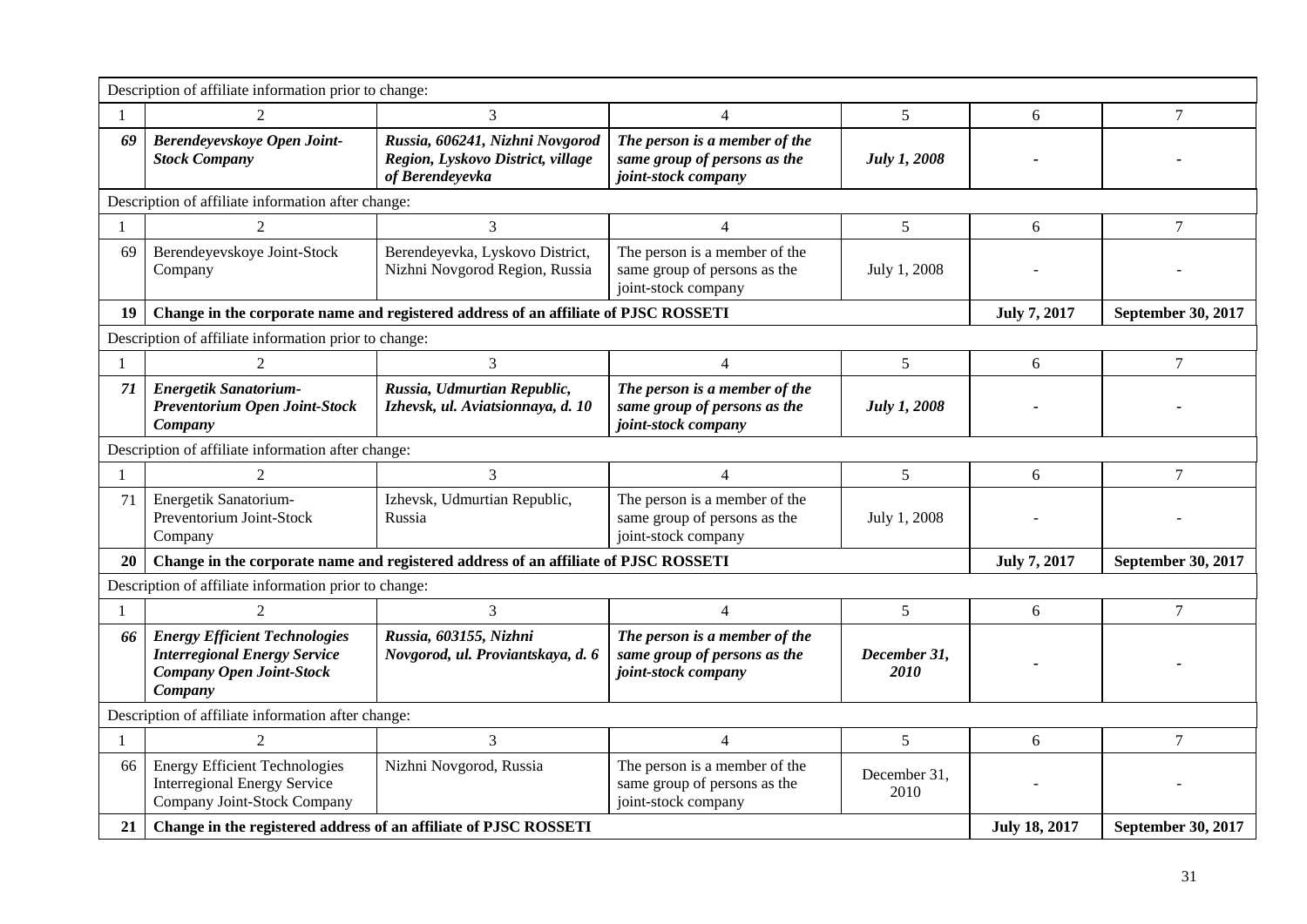|              | Description of affiliate information prior to change:                                                                     |                                                                                         |                                                                                      |                      |                     |                    |  |  |
|--------------|---------------------------------------------------------------------------------------------------------------------------|-----------------------------------------------------------------------------------------|--------------------------------------------------------------------------------------|----------------------|---------------------|--------------------|--|--|
| -1           | 2                                                                                                                         | $\overline{3}$                                                                          | 4                                                                                    | 5                    | 6                   | $\overline{7}$     |  |  |
| 69           | Berendeyevskoye Open Joint-<br><b>Stock Company</b>                                                                       | Russia, 606241, Nizhni Novgorod<br>Region, Lyskovo District, village<br>of Berendeyevka | The person is a member of the<br>same group of persons as the<br>joint-stock company | <b>July 1, 2008</b>  |                     |                    |  |  |
|              | Description of affiliate information after change:                                                                        |                                                                                         |                                                                                      |                      |                     |                    |  |  |
|              |                                                                                                                           | 3                                                                                       | $\overline{\mathcal{L}}$                                                             | 5                    | 6                   | $\tau$             |  |  |
| 69           | Berendeyevskoye Joint-Stock<br>Company                                                                                    | Berendeyevka, Lyskovo District,<br>Nizhni Novgorod Region, Russia                       | The person is a member of the<br>same group of persons as the<br>joint-stock company | July 1, 2008         |                     |                    |  |  |
| 19           | Change in the corporate name and registered address of an affiliate of PJSC ROSSETI                                       |                                                                                         | <b>July 7, 2017</b>                                                                  | September 30, 2017   |                     |                    |  |  |
|              | Description of affiliate information prior to change:                                                                     |                                                                                         |                                                                                      |                      |                     |                    |  |  |
|              | $\mathfrak{D}$                                                                                                            | 3                                                                                       | $\overline{4}$                                                                       | 5                    | 6                   | $\tau$             |  |  |
| 71           | Energetik Sanatorium-<br>Preventorium Open Joint-Stock<br>Company                                                         | Russia, Udmurtian Republic,<br>Izhevsk, ul. Aviatsionnaya, d. 10                        | The person is a member of the<br>same group of persons as the<br>joint-stock company | <b>July 1, 2008</b>  |                     |                    |  |  |
|              | Description of affiliate information after change:                                                                        |                                                                                         |                                                                                      |                      |                     |                    |  |  |
| $\mathbf{1}$ | $\mathfrak{D}$                                                                                                            | 3                                                                                       | $\overline{4}$                                                                       | 5                    | 6                   | $\tau$             |  |  |
| 71           | Energetik Sanatorium-<br>Preventorium Joint-Stock<br>Company                                                              | Izhevsk, Udmurtian Republic,<br>Russia                                                  | The person is a member of the<br>same group of persons as the<br>joint-stock company | July 1, 2008         |                     |                    |  |  |
| 20           |                                                                                                                           | Change in the corporate name and registered address of an affiliate of PJSC ROSSETI     |                                                                                      |                      | <b>July 7, 2017</b> | September 30, 2017 |  |  |
|              | Description of affiliate information prior to change:                                                                     |                                                                                         |                                                                                      |                      |                     |                    |  |  |
|              | $\mathfrak{D}$                                                                                                            | $\overline{3}$                                                                          | $\overline{4}$                                                                       | 5                    | 6                   | $\overline{7}$     |  |  |
| 66           | <b>Energy Efficient Technologies</b><br><b>Interregional Energy Service</b><br><b>Company Open Joint-Stock</b><br>Company | Russia, 603155, Nizhni<br>Novgorod, ul. Proviantskaya, d. 6                             | The person is a member of the<br>same group of persons as the<br>joint-stock company | December 31,<br>2010 |                     |                    |  |  |
|              | Description of affiliate information after change:                                                                        |                                                                                         |                                                                                      |                      |                     |                    |  |  |
| 1            | $\mathcal{D}_{\mathcal{L}}$                                                                                               | 3                                                                                       | $\overline{4}$                                                                       | 5                    | 6                   | $\tau$             |  |  |
| 66           | <b>Energy Efficient Technologies</b><br><b>Interregional Energy Service</b><br>Company Joint-Stock Company                | Nizhni Novgorod, Russia                                                                 | The person is a member of the<br>same group of persons as the<br>joint-stock company | December 31,<br>2010 |                     |                    |  |  |
| 21           | Change in the registered address of an affiliate of PJSC ROSSETI                                                          |                                                                                         | <b>July 18, 2017</b>                                                                 | September 30, 2017   |                     |                    |  |  |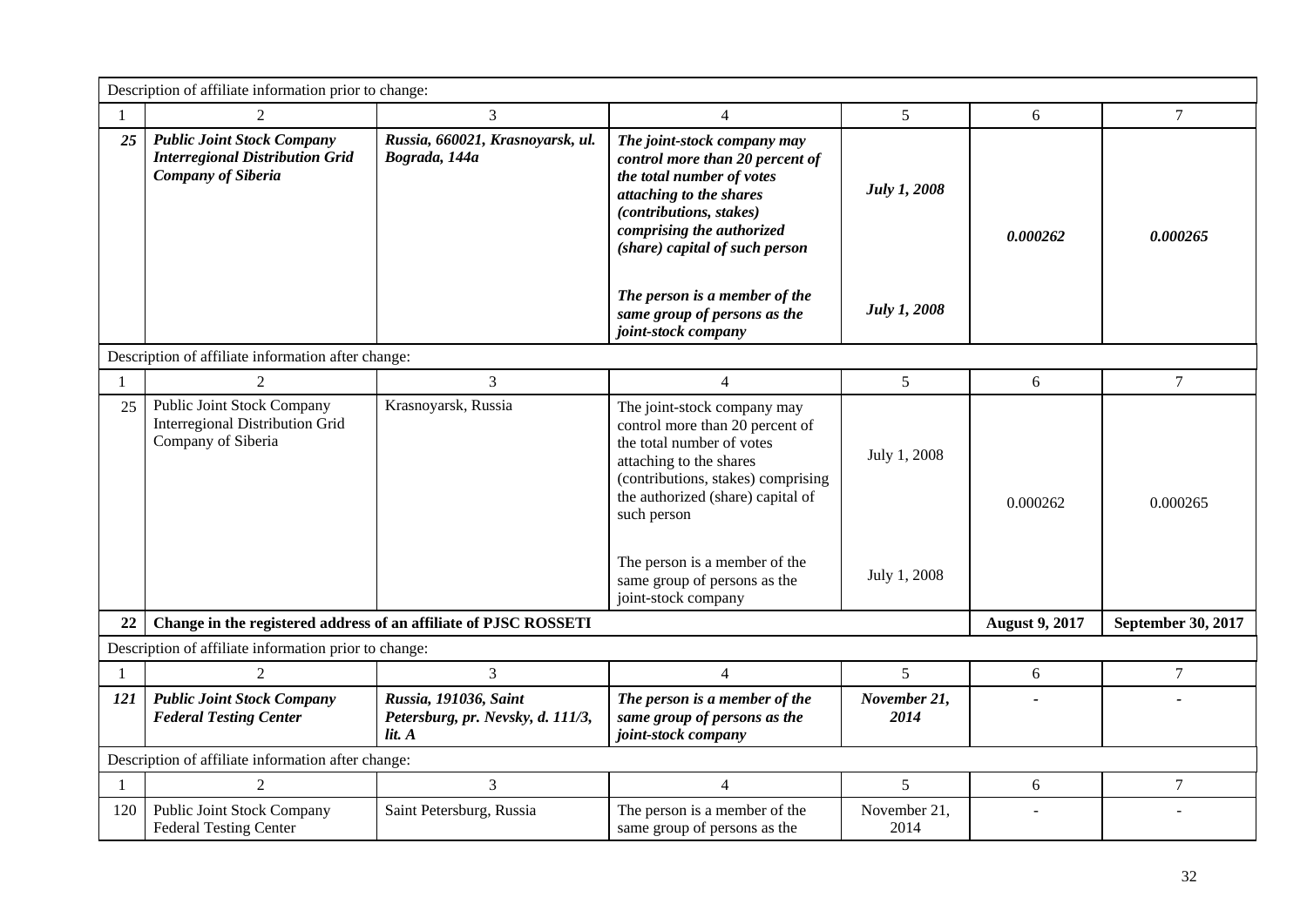|                                                    | Description of affiliate information prior to change:                                                    |                                                                      |                                                                                                                                                                                                                                                                                   |                              |                       |                    |  |  |
|----------------------------------------------------|----------------------------------------------------------------------------------------------------------|----------------------------------------------------------------------|-----------------------------------------------------------------------------------------------------------------------------------------------------------------------------------------------------------------------------------------------------------------------------------|------------------------------|-----------------------|--------------------|--|--|
| 1                                                  | 2                                                                                                        | 3                                                                    | $\overline{4}$                                                                                                                                                                                                                                                                    | $5\overline{)}$              | 6                     | $\overline{7}$     |  |  |
| 25                                                 | <b>Public Joint Stock Company</b><br><b>Interregional Distribution Grid</b><br><b>Company of Siberia</b> | Russia, 660021, Krasnoyarsk, ul.<br>Bograda, 144a                    | The joint-stock company may<br>control more than 20 percent of<br>the total number of votes<br>attaching to the shares<br>(contributions, stakes)<br>comprising the authorized<br>(share) capital of such person                                                                  | <b>July 1, 2008</b>          | 0.000262              | 0.000265           |  |  |
|                                                    |                                                                                                          |                                                                      | The person is a member of the<br>same group of persons as the<br>joint-stock company                                                                                                                                                                                              | <b>July 1, 2008</b>          |                       |                    |  |  |
| Description of affiliate information after change: |                                                                                                          |                                                                      |                                                                                                                                                                                                                                                                                   |                              |                       |                    |  |  |
| 1                                                  | 2                                                                                                        | 3                                                                    | $\overline{4}$                                                                                                                                                                                                                                                                    | 5                            | 6                     | $\tau$             |  |  |
| 25                                                 | <b>Public Joint Stock Company</b><br><b>Interregional Distribution Grid</b><br>Company of Siberia        | Krasnoyarsk, Russia                                                  | The joint-stock company may<br>control more than 20 percent of<br>the total number of votes<br>attaching to the shares<br>(contributions, stakes) comprising<br>the authorized (share) capital of<br>such person<br>The person is a member of the<br>same group of persons as the | July 1, 2008<br>July 1, 2008 | 0.000262              | 0.000265           |  |  |
|                                                    |                                                                                                          |                                                                      | joint-stock company                                                                                                                                                                                                                                                               |                              |                       |                    |  |  |
| 22                                                 | Change in the registered address of an affiliate of PJSC ROSSETI                                         |                                                                      |                                                                                                                                                                                                                                                                                   |                              | <b>August 9, 2017</b> | September 30, 2017 |  |  |
|                                                    | Description of affiliate information prior to change:                                                    |                                                                      |                                                                                                                                                                                                                                                                                   |                              |                       |                    |  |  |
| -1                                                 | 2                                                                                                        | 3                                                                    | $\overline{4}$                                                                                                                                                                                                                                                                    | 5                            | 6                     | $\overline{7}$     |  |  |
| 121                                                | <b>Public Joint Stock Company</b><br><b>Federal Testing Center</b>                                       | Russia, 191036, Saint<br>Petersburg, pr. Nevsky, d. 111/3,<br>lit. A | The person is a member of the<br>same group of persons as the<br>joint-stock company                                                                                                                                                                                              | November 21,<br>2014         |                       |                    |  |  |
|                                                    | Description of affiliate information after change:                                                       |                                                                      |                                                                                                                                                                                                                                                                                   |                              |                       |                    |  |  |
|                                                    | $\overline{2}$                                                                                           | 3                                                                    | $\overline{4}$                                                                                                                                                                                                                                                                    | $5\overline{)}$              | 6                     | $\tau$             |  |  |
| 120                                                | <b>Public Joint Stock Company</b><br><b>Federal Testing Center</b>                                       | Saint Petersburg, Russia                                             | The person is a member of the<br>same group of persons as the                                                                                                                                                                                                                     | November 21,<br>2014         |                       |                    |  |  |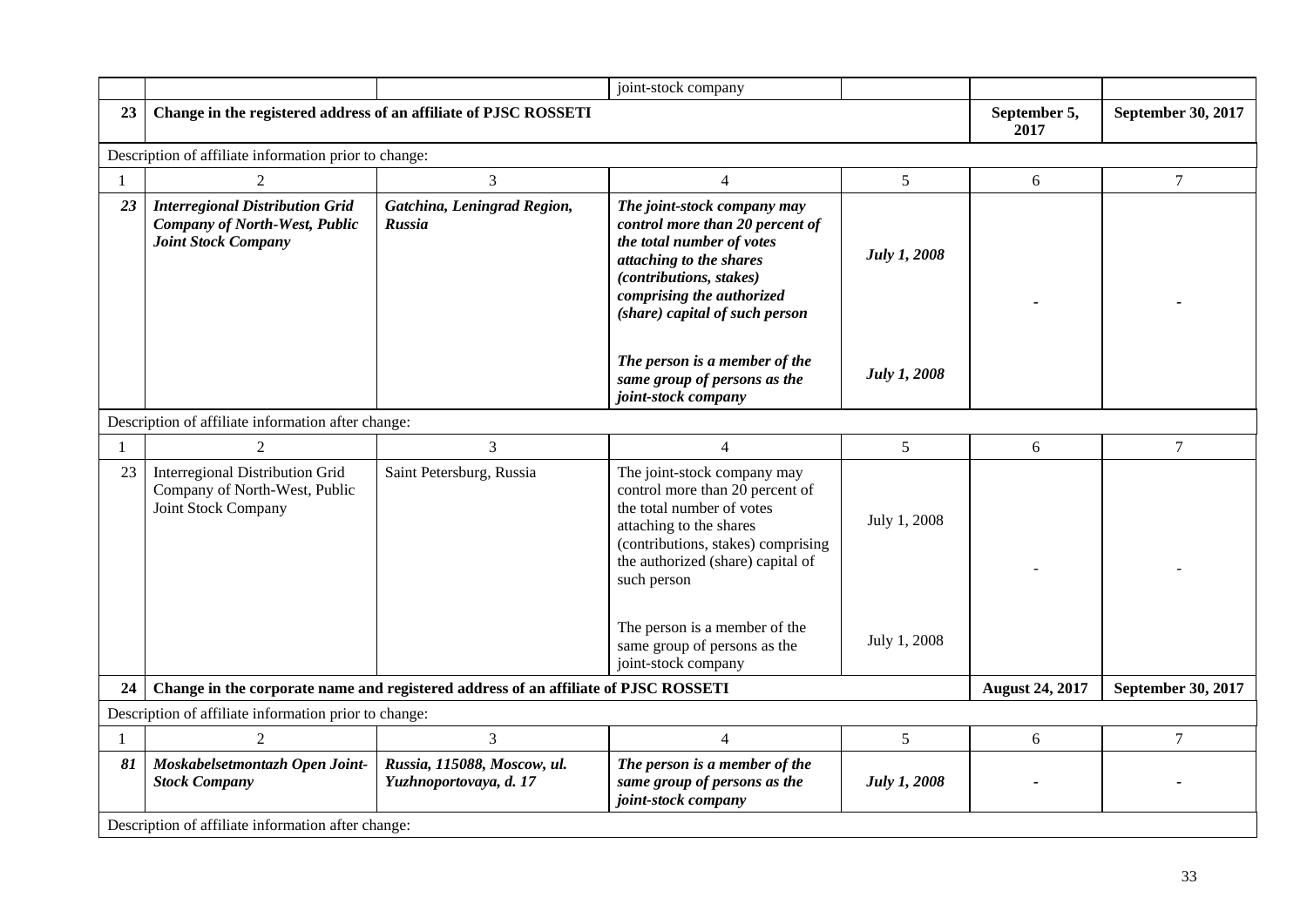|                |                                                                                                              |                                                                                     | joint-stock company                                                                                                                                                                                              |                     |                        |                    |  |  |
|----------------|--------------------------------------------------------------------------------------------------------------|-------------------------------------------------------------------------------------|------------------------------------------------------------------------------------------------------------------------------------------------------------------------------------------------------------------|---------------------|------------------------|--------------------|--|--|
| 23             | Change in the registered address of an affiliate of PJSC ROSSETI                                             |                                                                                     |                                                                                                                                                                                                                  |                     | September 5,<br>2017   | September 30, 2017 |  |  |
|                | Description of affiliate information prior to change:                                                        |                                                                                     |                                                                                                                                                                                                                  |                     |                        |                    |  |  |
| $\overline{1}$ | $\overline{2}$                                                                                               | 3                                                                                   | $\overline{4}$                                                                                                                                                                                                   | $5\overline{)}$     | 6                      | $\tau$             |  |  |
| 23             | <b>Interregional Distribution Grid</b><br><b>Company of North-West, Public</b><br><b>Joint Stock Company</b> | Gatchina, Leningrad Region,<br>Russia                                               | The joint-stock company may<br>control more than 20 percent of<br>the total number of votes<br>attaching to the shares<br>(contributions, stakes)<br>comprising the authorized<br>(share) capital of such person | <b>July 1, 2008</b> |                        |                    |  |  |
|                |                                                                                                              |                                                                                     | The person is a member of the<br>same group of persons as the<br>joint-stock company                                                                                                                             | July 1, 2008        |                        |                    |  |  |
|                | Description of affiliate information after change:                                                           |                                                                                     |                                                                                                                                                                                                                  |                     |                        |                    |  |  |
| $\overline{1}$ | 2                                                                                                            | 3                                                                                   | $\overline{4}$                                                                                                                                                                                                   | 5                   | 6                      | $\tau$             |  |  |
| 23             | <b>Interregional Distribution Grid</b><br>Company of North-West, Public<br>Joint Stock Company               | Saint Petersburg, Russia                                                            | The joint-stock company may<br>control more than 20 percent of<br>the total number of votes<br>attaching to the shares<br>(contributions, stakes) comprising<br>the authorized (share) capital of<br>such person | July 1, 2008        |                        |                    |  |  |
|                |                                                                                                              |                                                                                     | The person is a member of the<br>same group of persons as the<br>joint-stock company                                                                                                                             | July 1, 2008        |                        |                    |  |  |
| 24             |                                                                                                              | Change in the corporate name and registered address of an affiliate of PJSC ROSSETI |                                                                                                                                                                                                                  |                     | <b>August 24, 2017</b> | September 30, 2017 |  |  |
|                | Description of affiliate information prior to change:                                                        |                                                                                     |                                                                                                                                                                                                                  |                     |                        |                    |  |  |
|                | 2                                                                                                            | 3                                                                                   | $\overline{4}$                                                                                                                                                                                                   | 5                   | 6                      | $\tau$             |  |  |
| 81             | Moskabelsetmontazh Open Joint-<br><b>Stock Company</b>                                                       | Russia, 115088, Moscow, ul.<br>Yuzhnoportovaya, d. 17                               | The person is a member of the<br>same group of persons as the<br>joint-stock company                                                                                                                             | <b>July 1, 2008</b> |                        |                    |  |  |
|                | Description of affiliate information after change:                                                           |                                                                                     |                                                                                                                                                                                                                  |                     |                        |                    |  |  |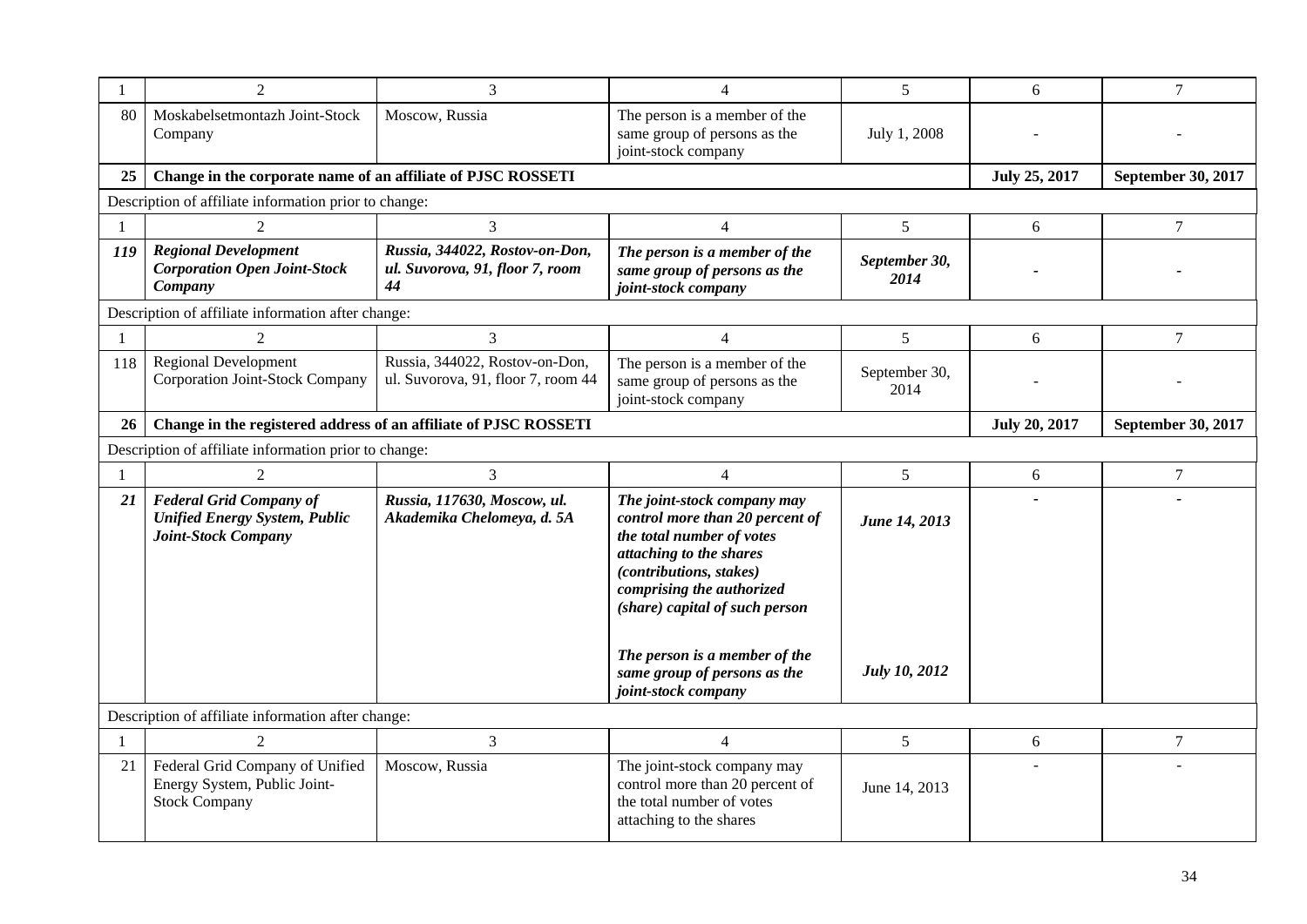|              | 2                                                                                             | 3                                                                       | $\overline{4}$                                                                                                                                                                                                   | 5                     | 6                    | $\overline{7}$     |  |
|--------------|-----------------------------------------------------------------------------------------------|-------------------------------------------------------------------------|------------------------------------------------------------------------------------------------------------------------------------------------------------------------------------------------------------------|-----------------------|----------------------|--------------------|--|
| 80           | Moskabelsetmontazh Joint-Stock<br>Company                                                     | Moscow, Russia                                                          | The person is a member of the<br>same group of persons as the<br>joint-stock company                                                                                                                             | July 1, 2008          |                      |                    |  |
| 25           | Change in the corporate name of an affiliate of PJSC ROSSETI                                  |                                                                         |                                                                                                                                                                                                                  |                       | <b>July 25, 2017</b> | September 30, 2017 |  |
|              | Description of affiliate information prior to change:                                         |                                                                         |                                                                                                                                                                                                                  |                       |                      |                    |  |
| $\mathbf{1}$ | $\mathcal{D}_{\mathcal{L}}$                                                                   | 3                                                                       | $\overline{4}$                                                                                                                                                                                                   | 5                     | 6                    | $\overline{7}$     |  |
| 119          | <b>Regional Development</b><br><b>Corporation Open Joint-Stock</b><br>Company                 | Russia, 344022, Rostov-on-Don,<br>ul. Suvorova, 91, floor 7, room<br>44 | The person is a member of the<br>same group of persons as the<br>joint-stock company                                                                                                                             | September 30,<br>2014 |                      |                    |  |
|              | Description of affiliate information after change:                                            |                                                                         |                                                                                                                                                                                                                  |                       |                      |                    |  |
| -1           | $\mathfrak{D}$                                                                                | 3                                                                       | $\overline{4}$                                                                                                                                                                                                   | 5                     | 6                    | $\overline{7}$     |  |
| 118          | <b>Regional Development</b><br>Corporation Joint-Stock Company                                | Russia, 344022, Rostov-on-Don,<br>ul. Suvorova, 91, floor 7, room 44    | The person is a member of the<br>same group of persons as the<br>joint-stock company                                                                                                                             | September 30,<br>2014 |                      |                    |  |
| 26           | Change in the registered address of an affiliate of PJSC ROSSETI                              |                                                                         | <b>July 20, 2017</b>                                                                                                                                                                                             | September 30, 2017    |                      |                    |  |
|              | Description of affiliate information prior to change:                                         |                                                                         |                                                                                                                                                                                                                  |                       |                      |                    |  |
| $\mathbf{1}$ |                                                                                               | 3                                                                       | $\overline{4}$                                                                                                                                                                                                   | $\mathfrak{S}$        | 6                    | $\boldsymbol{7}$   |  |
| 21           | <b>Federal Grid Company of</b><br><b>Unified Energy System, Public</b><br>Joint-Stock Company | Russia, 117630, Moscow, ul.<br>Akademika Chelomeya, d. 5A               | The joint-stock company may<br>control more than 20 percent of<br>the total number of votes<br>attaching to the shares<br>(contributions, stakes)<br>comprising the authorized<br>(share) capital of such person | June 14, 2013         |                      |                    |  |
|              |                                                                                               |                                                                         | The person is a member of the<br>same group of persons as the<br>joint-stock company                                                                                                                             | <b>July 10, 2012</b>  |                      |                    |  |
|              | Description of affiliate information after change:                                            |                                                                         |                                                                                                                                                                                                                  |                       |                      |                    |  |
| $\mathbf{1}$ | $\mathfrak{D}$                                                                                | 3                                                                       | $\overline{4}$                                                                                                                                                                                                   | $5\overline{)}$       | 6                    | $\overline{7}$     |  |
| 21           | Federal Grid Company of Unified<br>Energy System, Public Joint-<br><b>Stock Company</b>       | Moscow, Russia                                                          | The joint-stock company may<br>control more than 20 percent of<br>the total number of votes<br>attaching to the shares                                                                                           | June 14, 2013         |                      |                    |  |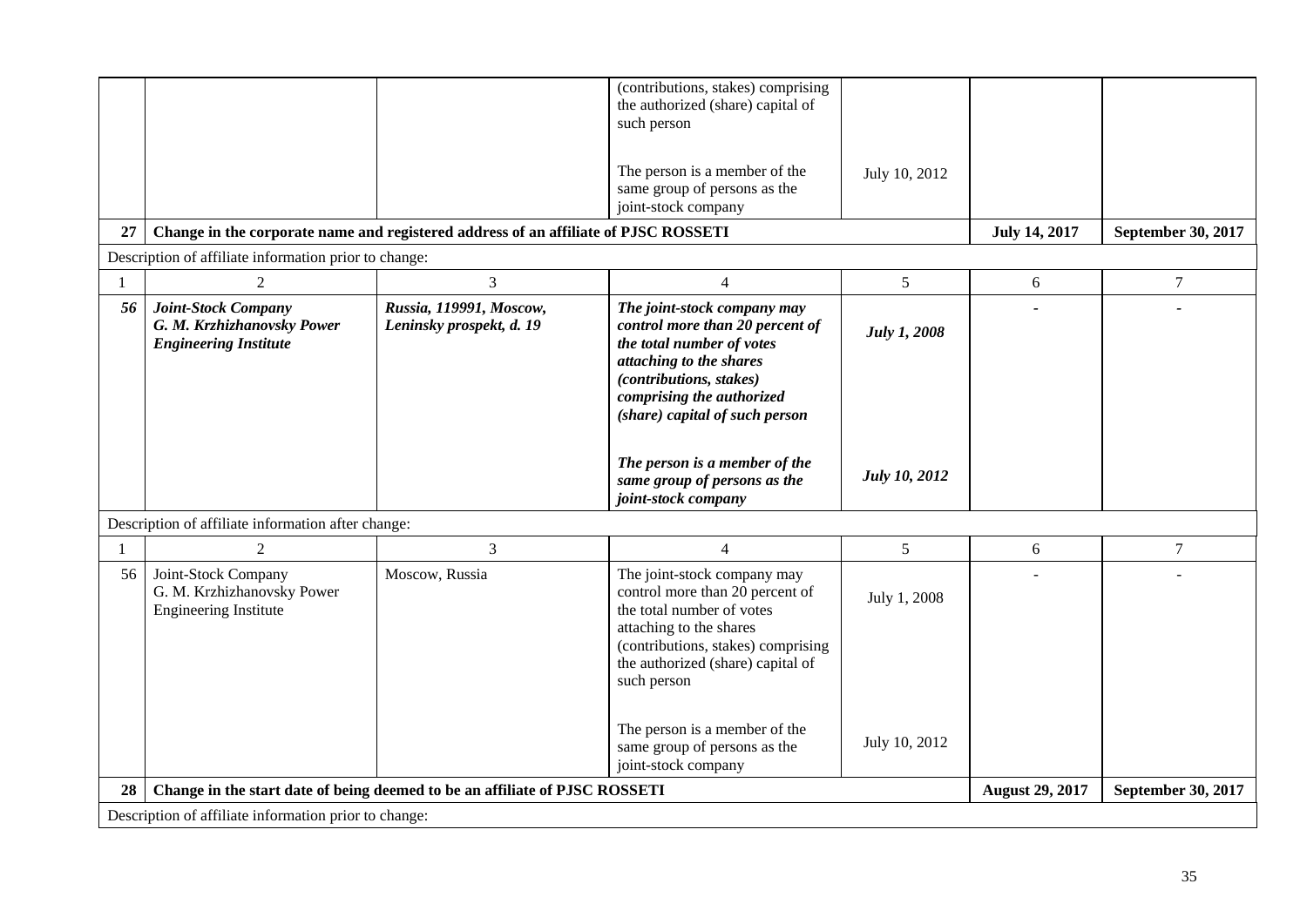| 27                                                                                                                                           |                                                                                          |                                                     | (contributions, stakes) comprising<br>the authorized (share) capital of<br>such person<br>The person is a member of the<br>same group of persons as the<br>joint-stock company                                                                    | July 10, 2012             | <b>July 14, 2017</b> | September 30, 2017 |  |  |  |
|----------------------------------------------------------------------------------------------------------------------------------------------|------------------------------------------------------------------------------------------|-----------------------------------------------------|---------------------------------------------------------------------------------------------------------------------------------------------------------------------------------------------------------------------------------------------------|---------------------------|----------------------|--------------------|--|--|--|
| Change in the corporate name and registered address of an affiliate of PJSC ROSSETI<br>Description of affiliate information prior to change: |                                                                                          |                                                     |                                                                                                                                                                                                                                                   |                           |                      |                    |  |  |  |
| 1                                                                                                                                            | 2                                                                                        | 3                                                   | $\overline{4}$                                                                                                                                                                                                                                    | 5                         | 6                    | $\tau$             |  |  |  |
| 56                                                                                                                                           | <b>Joint-Stock Company</b><br>G. M. Krzhizhanovsky Power<br><b>Engineering Institute</b> | Russia, 119991, Moscow,<br>Leninsky prospekt, d. 19 | The joint-stock company may<br>control more than 20 percent of<br>the total number of votes<br>attaching to the shares<br>(contributions, stakes)<br>comprising the authorized<br>(share) capital of such person                                  | <b>July 1, 2008</b>       |                      |                    |  |  |  |
|                                                                                                                                              |                                                                                          |                                                     | The person is a member of the<br>same group of persons as the<br>joint-stock company                                                                                                                                                              | <b>July 10, 2012</b>      |                      |                    |  |  |  |
|                                                                                                                                              | Description of affiliate information after change:                                       |                                                     |                                                                                                                                                                                                                                                   |                           |                      |                    |  |  |  |
| 1                                                                                                                                            | $\overline{2}$                                                                           | 3                                                   | $\overline{4}$                                                                                                                                                                                                                                    | 5                         | 6                    | $\tau$             |  |  |  |
| 56                                                                                                                                           | Joint-Stock Company<br>G. M. Krzhizhanovsky Power<br><b>Engineering Institute</b>        | Moscow, Russia                                      | The joint-stock company may<br>control more than 20 percent of<br>the total number of votes<br>attaching to the shares<br>(contributions, stakes) comprising<br>the authorized (share) capital of<br>such person<br>The person is a member of the | July 1, 2008              |                      |                    |  |  |  |
|                                                                                                                                              |                                                                                          |                                                     | same group of persons as the<br>joint-stock company                                                                                                                                                                                               | July 10, 2012             |                      |                    |  |  |  |
| 28                                                                                                                                           | Change in the start date of being deemed to be an affiliate of PJSC ROSSETI              |                                                     | <b>August 29, 2017</b>                                                                                                                                                                                                                            | <b>September 30, 2017</b> |                      |                    |  |  |  |
|                                                                                                                                              | Description of affiliate information prior to change:                                    |                                                     |                                                                                                                                                                                                                                                   |                           |                      |                    |  |  |  |